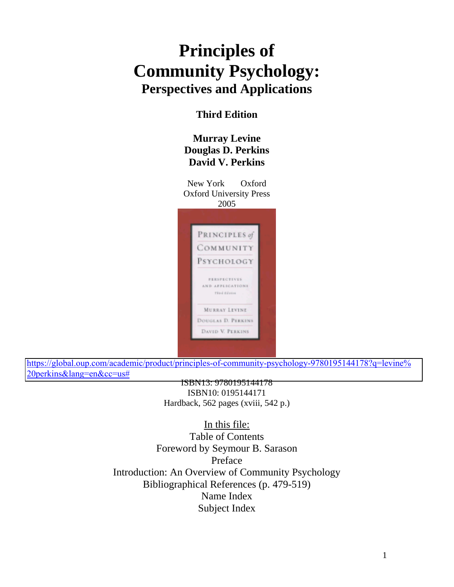# **Principles of Community Psychology: Perspectives and Applications**

**Third Edition** 

**Murray Levine Douglas D. Perkins David V. Perkins** 

New York Oxford Oxford University Press 2005



[https://global.oup.com/academic/product/principles-of-community-psychology-9780195144178?q=levine%](https://global.oup.com/academic/product/principles-of-community-psychology-9780195144178?q=levine%20perkins&lang=en&cc=us#) 20perkins&lang=en&cc=us#

ISBN13: 9780195144178 ISBN10: 0195144171 Hardback, 562 pages (xviii, 542 p.)

In this file: Table of Contents Foreword by Seymour B. Sarason Preface Introduction: An Overview of Community Psychology Bibliographical References (p. 479-519) Name Index Subject Index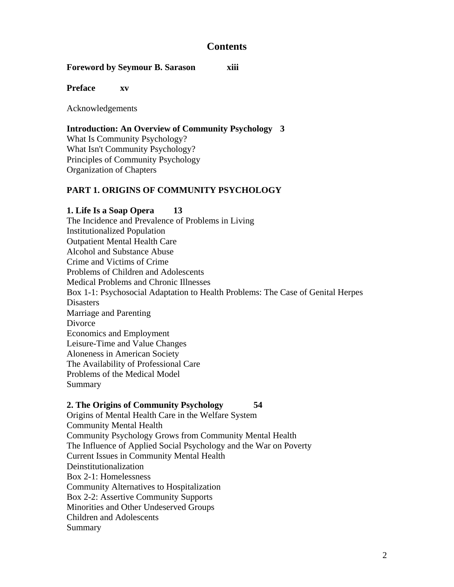# **Contents**

**Foreword by Seymour B. Sarason xiii** 

**Preface xv** 

Acknowledgements

# **Introduction: An Overview of Community Psychology 3**

What Is Community Psychology? What Isn't Community Psychology? Principles of Community Psychology Organization of Chapters

# **PART 1. ORIGINS OF COMMUNITY PSYCHOLOGY**

# **1. Life Is a Soap Opera 13**

The Incidence and Prevalence of Problems in Living Institutionalized Population Outpatient Mental Health Care Alcohol and Substance Abuse Crime and Victims of Crime Problems of Children and Adolescents Medical Problems and Chronic Illnesses Box 1-1: Psychosocial Adaptation to Health Problems: The Case of Genital Herpes **Disasters** Marriage and Parenting **Divorce** Economics and Employment Leisure-Time and Value Changes Aloneness in American Society The Availability of Professional Care Problems of the Medical Model Summary

# **2. The Origins of Community Psychology 54**

Origins of Mental Health Care in the Welfare System Community Mental Health Community Psychology Grows from Community Mental Health The Influence of Applied Social Psychology and the War on Poverty Current Issues in Community Mental Health Deinstitutionalization Box 2-1: Homelessness Community Alternatives to Hospitalization Box 2-2: Assertive Community Supports Minorities and Other Undeserved Groups Children and Adolescents Summary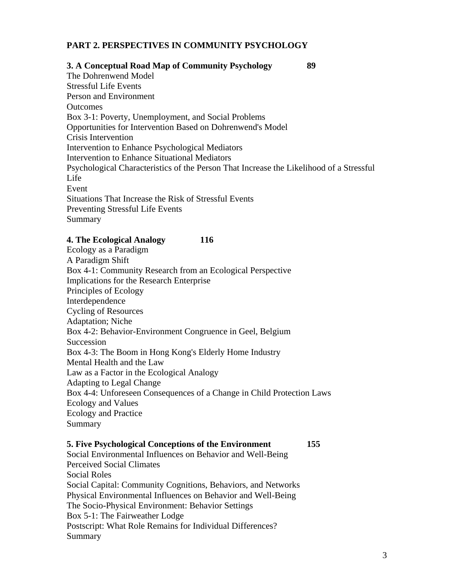# **PART 2. PERSPECTIVES IN COMMUNITY PSYCHOLOGY**

## **3. A Conceptual Road Map of Community Psychology 89**  The Dohrenwend Model Stressful Life Events Person and Environment **Outcomes** Box 3-1: Poverty, Unemployment, and Social Problems Opportunities for Intervention Based on Dohrenwend's Model Crisis Intervention Intervention to Enhance Psychological Mediators Intervention to Enhance Situational Mediators Psychological Characteristics of the Person That Increase the Likelihood of a Stressful Life Event Situations That Increase the Risk of Stressful Events Preventing Stressful Life Events Summary

### **4. The Ecological Analogy 116**

Ecology as a Paradigm A Paradigm Shift Box 4-1: Community Research from an Ecological Perspective Implications for the Research Enterprise Principles of Ecology Interdependence Cycling of Resources Adaptation; Niche Box 4-2: Behavior-Environment Congruence in Geel, Belgium Succession Box 4-3: The Boom in Hong Kong's Elderly Home Industry Mental Health and the Law Law as a Factor in the Ecological Analogy Adapting to Legal Change Box 4-4: Unforeseen Consequences of a Change in Child Protection Laws Ecology and Values Ecology and Practice Summary

# **5. Five Psychological Conceptions of the Environment 155**

Social Environmental Influences on Behavior and Well-Being Perceived Social Climates Social Roles Social Capital: Community Cognitions, Behaviors, and Networks Physical Environmental Influences on Behavior and Well-Being The Socio-Physical Environment: Behavior Settings Box 5-1: The Fairweather Lodge Postscript: What Role Remains for Individual Differences? Summary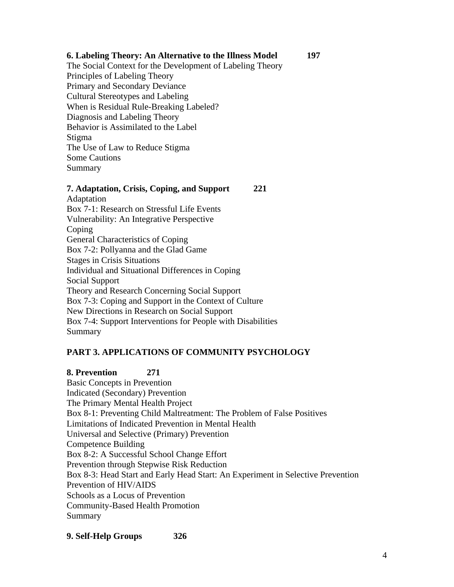# **6. Labeling Theory: An Alternative to the Illness Model 197**

The Social Context for the Development of Labeling Theory Principles of Labeling Theory Primary and Secondary Deviance Cultural Stereotypes and Labeling When is Residual Rule-Breaking Labeled? Diagnosis and Labeling Theory Behavior is Assimilated to the Label Stigma The Use of Law to Reduce Stigma Some Cautions Summary

### **7. Adaptation, Crisis, Coping, and Support 221**

Adaptation Box 7-1: Research on Stressful Life Events Vulnerability: An Integrative Perspective Coping General Characteristics of Coping Box 7-2: Pollyanna and the Glad Game Stages in Crisis Situations Individual and Situational Differences in Coping Social Support Theory and Research Concerning Social Support Box 7-3: Coping and Support in the Context of Culture New Directions in Research on Social Support Box 7-4: Support Interventions for People with Disabilities Summary

# **PART 3. APPLICATIONS OF COMMUNITY PSYCHOLOGY**

### **8. Prevention 271**

Basic Concepts in Prevention Indicated (Secondary) Prevention The Primary Mental Health Project Box 8-1: Preventing Child Maltreatment: The Problem of False Positives Limitations of Indicated Prevention in Mental Health Universal and Selective (Primary) Prevention Competence Building Box 8-2: A Successful School Change Effort Prevention through Stepwise Risk Reduction Box 8-3: Head Start and Early Head Start: An Experiment in Selective Prevention Prevention of HIV/AIDS Schools as a Locus of Prevention Community-Based Health Promotion Summary

# **9. Self-Help Groups 326**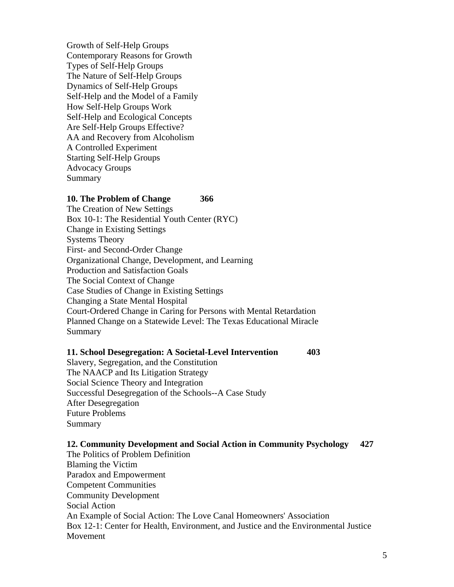Growth of Self-Help Groups Contemporary Reasons for Growth Types of Self-Help Groups The Nature of Self-Help Groups Dynamics of Self-Help Groups Self-Help and the Model of a Family How Self-Help Groups Work Self-Help and Ecological Concepts Are Self-Help Groups Effective? AA and Recovery from Alcoholism A Controlled Experiment Starting Self-Help Groups Advocacy Groups Summary

### **10. The Problem of Change 366**

The Creation of New Settings Box 10-1: The Residential Youth Center (RYC) Change in Existing Settings Systems Theory First- and Second-Order Change Organizational Change, Development, and Learning Production and Satisfaction Goals The Social Context of Change Case Studies of Change in Existing Settings Changing a State Mental Hospital Court-Ordered Change in Caring for Persons with Mental Retardation Planned Change on a Statewide Level: The Texas Educational Miracle Summary

### **11. School Desegregation: A Societal-Level Intervention 403**

Slavery, Segregation, and the Constitution The NAACP and Its Litigation Strategy Social Science Theory and Integration Successful Desegregation of the Schools--A Case Study After Desegregation Future Problems Summary

**12. Community Development and Social Action in Community Psychology 427** 

The Politics of Problem Definition Blaming the Victim Paradox and Empowerment Competent Communities Community Development Social Action An Example of Social Action: The Love Canal Homeowners' Association Box 12-1: Center for Health, Environment, and Justice and the Environmental Justice Movement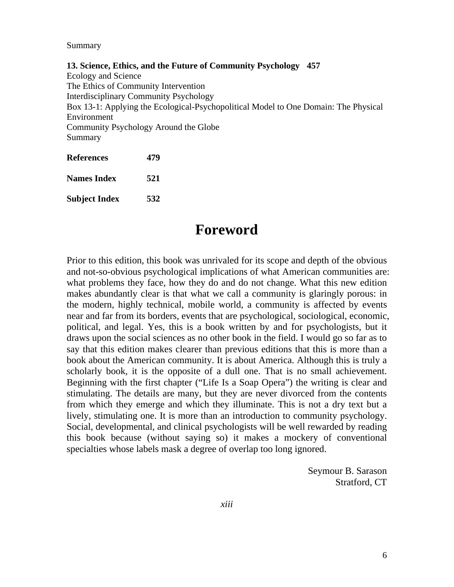Summary

**13. Science, Ethics, and the Future of Community Psychology 457**  Ecology and Science The Ethics of Community Intervention Interdisciplinary Community Psychology Box 13-1: Applying the Ecological-Psychopolitical Model to One Domain: The Physical Environment Community Psychology Around the Globe Summary

| <b>References</b>    | 479 |
|----------------------|-----|
| <b>Names Index</b>   | 521 |
| <b>Subject Index</b> | 532 |

# **Foreword**

Prior to this edition, this book was unrivaled for its scope and depth of the obvious and not-so-obvious psychological implications of what American communities are: what problems they face, how they do and do not change. What this new edition makes abundantly clear is that what we call a community is glaringly porous: in the modern, highly technical, mobile world, a community is affected by events near and far from its borders, events that are psychological, sociological, economic, political, and legal. Yes, this is a book written by and for psychologists, but it draws upon the social sciences as no other book in the field. I would go so far as to say that this edition makes clearer than previous editions that this is more than a book about the American community. It is about America. Although this is truly a scholarly book, it is the opposite of a dull one. That is no small achievement. Beginning with the first chapter ("Life Is a Soap Opera") the writing is clear and stimulating. The details are many, but they are never divorced from the contents from which they emerge and which they illuminate. This is not a dry text but a lively, stimulating one. It is more than an introduction to community psychology. Social, developmental, and clinical psychologists will be well rewarded by reading this book because (without saying so) it makes a mockery of conventional specialties whose labels mask a degree of overlap too long ignored.

> Seymour B. Sarason Stratford, CT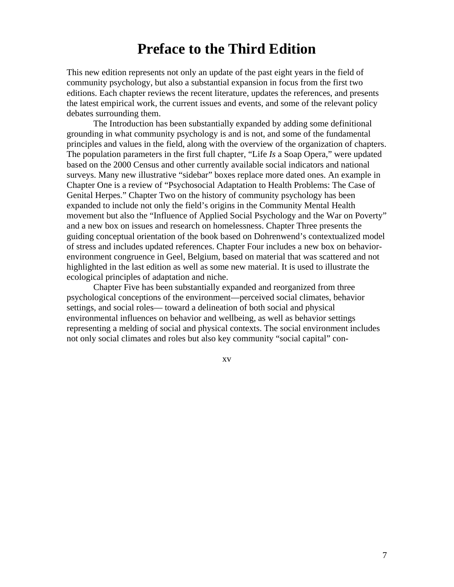# **Preface to the Third Edition**

This new edition represents not only an update of the past eight years in the field of community psychology, but also a substantial expansion in focus from the first two editions. Each chapter reviews the recent literature, updates the references, and presents the latest empirical work, the current issues and events, and some of the relevant policy debates surrounding them.

The Introduction has been substantially expanded by adding some definitional grounding in what community psychology is and is not, and some of the fundamental principles and values in the field, along with the overview of the organization of chapters. The population parameters in the first full chapter, "Life *Is* a Soap Opera," were updated based on the 2000 Census and other currently available social indicators and national surveys. Many new illustrative "sidebar" boxes replace more dated ones. An example in Chapter One is a review of "Psychosocial Adaptation to Health Problems: The Case of Genital Herpes." Chapter Two on the history of community psychology has been expanded to include not only the field's origins in the Community Mental Health movement but also the "Influence of Applied Social Psychology and the War on Poverty" and a new box on issues and research on homelessness. Chapter Three presents the guiding conceptual orientation of the book based on Dohrenwend's contextualized model of stress and includes updated references. Chapter Four includes a new box on behaviorenvironment congruence in Geel, Belgium, based on material that was scattered and not highlighted in the last edition as well as some new material. It is used to illustrate the ecological principles of adaptation and niche.

Chapter Five has been substantially expanded and reorganized from three psychological conceptions of the environment—perceived social climates, behavior settings, and social roles— toward a delineation of both social and physical environmental influences on behavior and wellbeing, as well as behavior settings representing a melding of social and physical contexts. The social environment includes not only social climates and roles but also key community "social capital" con-

xv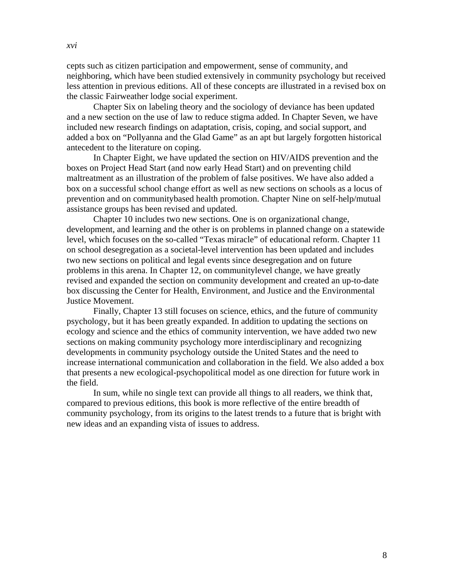cepts such as citizen participation and empowerment, sense of community, and neighboring, which have been studied extensively in community psychology but received less attention in previous editions. All of these concepts are illustrated in a revised box on the classic Fairweather lodge social experiment.

Chapter Six on labeling theory and the sociology of deviance has been updated and a new section on the use of law to reduce stigma added. In Chapter Seven, we have included new research findings on adaptation, crisis, coping, and social support, and added a box on "Pollyanna and the Glad Game" as an apt but largely forgotten historical antecedent to the literature on coping.

In Chapter Eight, we have updated the section on HIV/AIDS prevention and the boxes on Project Head Start (and now early Head Start) and on preventing child maltreatment as an illustration of the problem of false positives. We have also added a box on a successful school change effort as well as new sections on schools as a locus of prevention and on communitybased health promotion. Chapter Nine on self-help/mutual assistance groups has been revised and updated.

Chapter 10 includes two new sections. One is on organizational change, development, and learning and the other is on problems in planned change on a statewide level, which focuses on the so-called "Texas miracle" of educational reform. Chapter 11 on school desegregation as a societal-level intervention has been updated and includes two new sections on political and legal events since desegregation and on future problems in this arena. In Chapter 12, on communitylevel change, we have greatly revised and expanded the section on community development and created an up-to-date box discussing the Center for Health, Environment, and Justice and the Environmental Justice Movement.

Finally, Chapter 13 still focuses on science, ethics, and the future of community psychology, but it has been greatly expanded. In addition to updating the sections on ecology and science and the ethics of community intervention, we have added two new sections on making community psychology more interdisciplinary and recognizing developments in community psychology outside the United States and the need to increase international communication and collaboration in the field. We also added a box that presents a new ecological-psychopolitical model as one direction for future work in the field.

In sum, while no single text can provide all things to all readers, we think that, compared to previous editions, this book is more reflective of the entire breadth of community psychology, from its origins to the latest trends to a future that is bright with new ideas and an expanding vista of issues to address.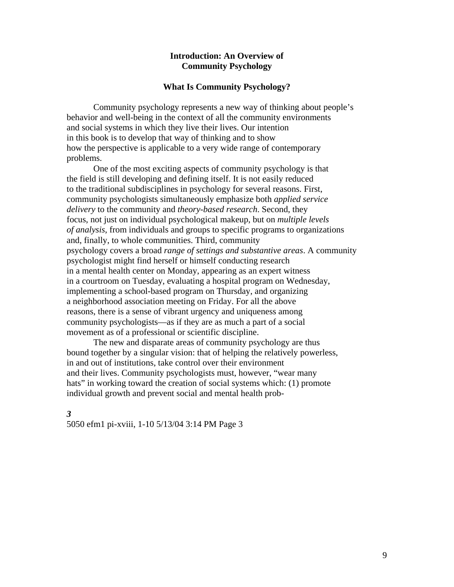### **What Is Community Psychology?**

Community psychology represents a new way of thinking about people's behavior and well-being in the context of all the community environments and social systems in which they live their lives. Our intention in this book is to develop that way of thinking and to show how the perspective is applicable to a very wide range of contemporary problems.

One of the most exciting aspects of community psychology is that the field is still developing and defining itself. It is not easily reduced to the traditional subdisciplines in psychology for several reasons. First, community psychologists simultaneously emphasize both *applied service delivery* to the community and *theory-based research*. Second, they focus, not just on individual psychological makeup, but on *multiple levels of analysis*, from individuals and groups to specific programs to organizations and, finally, to whole communities. Third, community psychology covers a broad *range of settings and substantive areas*. A community psychologist might find herself or himself conducting research in a mental health center on Monday, appearing as an expert witness in a courtroom on Tuesday, evaluating a hospital program on Wednesday, implementing a school-based program on Thursday, and organizing a neighborhood association meeting on Friday. For all the above reasons, there is a sense of vibrant urgency and uniqueness among community psychologists—as if they are as much a part of a social movement as of a professional or scientific discipline.

The new and disparate areas of community psychology are thus bound together by a singular vision: that of helping the relatively powerless, in and out of institutions, take control over their environment and their lives. Community psychologists must, however, "wear many hats" in working toward the creation of social systems which: (1) promote individual growth and prevent social and mental health prob-

### *3*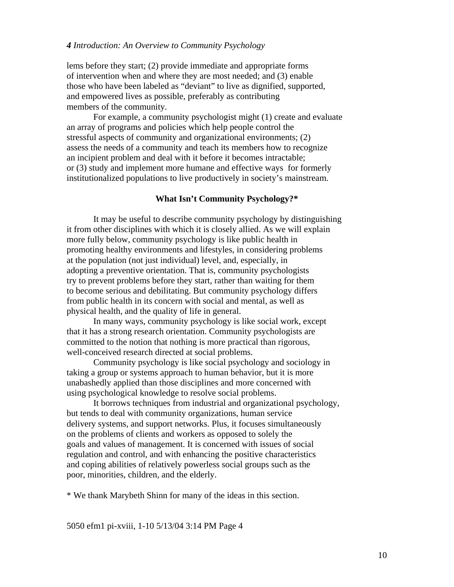lems before they start; (2) provide immediate and appropriate forms of intervention when and where they are most needed; and (3) enable those who have been labeled as "deviant" to live as dignified, supported, and empowered lives as possible, preferably as contributing members of the community.

For example, a community psychologist might (1) create and evaluate an array of programs and policies which help people control the stressful aspects of community and organizational environments; (2) assess the needs of a community and teach its members how to recognize an incipient problem and deal with it before it becomes intractable; or (3) study and implement more humane and effective ways for formerly institutionalized populations to live productively in society's mainstream.

### **What Isn't Community Psychology?\***

It may be useful to describe community psychology by distinguishing it from other disciplines with which it is closely allied. As we will explain more fully below, community psychology is like public health in promoting healthy environments and lifestyles, in considering problems at the population (not just individual) level, and, especially, in adopting a preventive orientation. That is, community psychologists try to prevent problems before they start, rather than waiting for them to become serious and debilitating. But community psychology differs from public health in its concern with social and mental, as well as physical health, and the quality of life in general.

In many ways, community psychology is like social work, except that it has a strong research orientation. Community psychologists are committed to the notion that nothing is more practical than rigorous, well-conceived research directed at social problems.

Community psychology is like social psychology and sociology in taking a group or systems approach to human behavior, but it is more unabashedly applied than those disciplines and more concerned with using psychological knowledge to resolve social problems.

It borrows techniques from industrial and organizational psychology, but tends to deal with community organizations, human service delivery systems, and support networks. Plus, it focuses simultaneously on the problems of clients and workers as opposed to solely the goals and values of management. It is concerned with issues of social regulation and control, and with enhancing the positive characteristics and coping abilities of relatively powerless social groups such as the poor, minorities, children, and the elderly.

\* We thank Marybeth Shinn for many of the ideas in this section.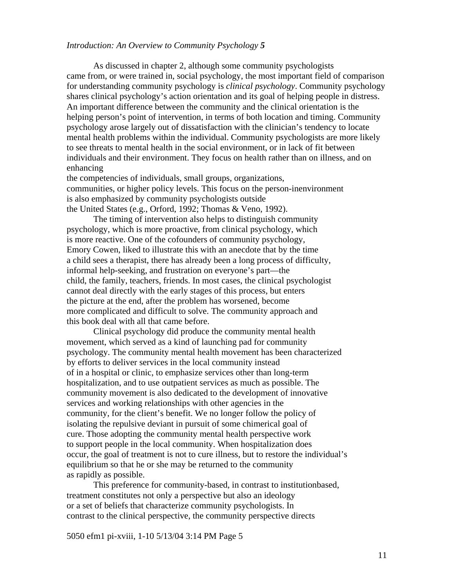As discussed in chapter 2, although some community psychologists came from, or were trained in, social psychology, the most important field of comparison for understanding community psychology is *clinical psychology*. Community psychology shares clinical psychology's action orientation and its goal of helping people in distress. An important difference between the community and the clinical orientation is the helping person's point of intervention, in terms of both location and timing. Community psychology arose largely out of dissatisfaction with the clinician's tendency to locate mental health problems within the individual. Community psychologists are more likely to see threats to mental health in the social environment, or in lack of fit between individuals and their environment. They focus on health rather than on illness, and on enhancing

the competencies of individuals, small groups, organizations, communities, or higher policy levels. This focus on the person-inenvironment is also emphasized by community psychologists outside the United States (e.g., Orford, 1992; Thomas & Veno, 1992).

The timing of intervention also helps to distinguish community psychology, which is more proactive, from clinical psychology, which is more reactive. One of the cofounders of community psychology, Emory Cowen, liked to illustrate this with an anecdote that by the time a child sees a therapist, there has already been a long process of difficulty, informal help-seeking, and frustration on everyone's part—the child, the family, teachers, friends. In most cases, the clinical psychologist cannot deal directly with the early stages of this process, but enters the picture at the end, after the problem has worsened, become more complicated and difficult to solve. The community approach and this book deal with all that came before.

Clinical psychology did produce the community mental health movement, which served as a kind of launching pad for community psychology. The community mental health movement has been characterized by efforts to deliver services in the local community instead of in a hospital or clinic, to emphasize services other than long-term hospitalization, and to use outpatient services as much as possible. The community movement is also dedicated to the development of innovative services and working relationships with other agencies in the community, for the client's benefit. We no longer follow the policy of isolating the repulsive deviant in pursuit of some chimerical goal of cure. Those adopting the community mental health perspective work to support people in the local community. When hospitalization does occur, the goal of treatment is not to cure illness, but to restore the individual's equilibrium so that he or she may be returned to the community as rapidly as possible.

This preference for community-based, in contrast to institutionbased, treatment constitutes not only a perspective but also an ideology or a set of beliefs that characterize community psychologists. In contrast to the clinical perspective, the community perspective directs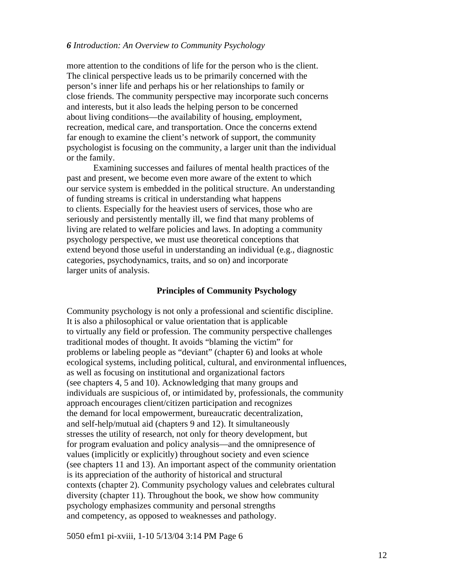more attention to the conditions of life for the person who is the client. The clinical perspective leads us to be primarily concerned with the person's inner life and perhaps his or her relationships to family or close friends. The community perspective may incorporate such concerns and interests, but it also leads the helping person to be concerned about living conditions—the availability of housing, employment, recreation, medical care, and transportation. Once the concerns extend far enough to examine the client's network of support, the community psychologist is focusing on the community, a larger unit than the individual or the family.

Examining successes and failures of mental health practices of the past and present, we become even more aware of the extent to which our service system is embedded in the political structure. An understanding of funding streams is critical in understanding what happens to clients. Especially for the heaviest users of services, those who are seriously and persistently mentally ill, we find that many problems of living are related to welfare policies and laws. In adopting a community psychology perspective, we must use theoretical conceptions that extend beyond those useful in understanding an individual (e.g., diagnostic categories, psychodynamics, traits, and so on) and incorporate larger units of analysis.

### **Principles of Community Psychology**

Community psychology is not only a professional and scientific discipline. It is also a philosophical or value orientation that is applicable to virtually any field or profession. The community perspective challenges traditional modes of thought. It avoids "blaming the victim" for problems or labeling people as "deviant" (chapter 6) and looks at whole ecological systems, including political, cultural, and environmental influences, as well as focusing on institutional and organizational factors (see chapters 4, 5 and 10). Acknowledging that many groups and individuals are suspicious of, or intimidated by, professionals, the community approach encourages client/citizen participation and recognizes the demand for local empowerment, bureaucratic decentralization, and self-help/mutual aid (chapters 9 and 12). It simultaneously stresses the utility of research, not only for theory development, but for program evaluation and policy analysis—and the omnipresence of values (implicitly or explicitly) throughout society and even science (see chapters 11 and 13). An important aspect of the community orientation is its appreciation of the authority of historical and structural contexts (chapter 2). Community psychology values and celebrates cultural diversity (chapter 11). Throughout the book, we show how community psychology emphasizes community and personal strengths and competency, as opposed to weaknesses and pathology.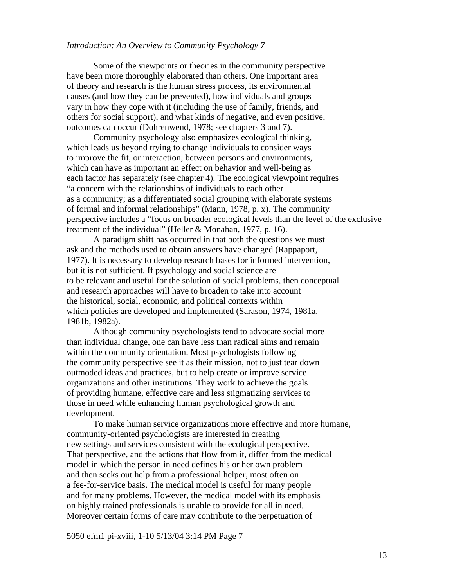Some of the viewpoints or theories in the community perspective have been more thoroughly elaborated than others. One important area of theory and research is the human stress process, its environmental causes (and how they can be prevented), how individuals and groups vary in how they cope with it (including the use of family, friends, and others for social support), and what kinds of negative, and even positive, outcomes can occur (Dohrenwend, 1978; see chapters 3 and 7).

Community psychology also emphasizes ecological thinking, which leads us beyond trying to change individuals to consider ways to improve the fit, or interaction, between persons and environments, which can have as important an effect on behavior and well-being as each factor has separately (see chapter 4). The ecological viewpoint requires "a concern with the relationships of individuals to each other as a community; as a differentiated social grouping with elaborate systems of formal and informal relationships" (Mann, 1978, p. x). The community perspective includes a "focus on broader ecological levels than the level of the exclusive treatment of the individual" (Heller & Monahan, 1977, p. 16).

A paradigm shift has occurred in that both the questions we must ask and the methods used to obtain answers have changed (Rappaport, 1977). It is necessary to develop research bases for informed intervention, but it is not sufficient. If psychology and social science are to be relevant and useful for the solution of social problems, then conceptual and research approaches will have to broaden to take into account the historical, social, economic, and political contexts within which policies are developed and implemented (Sarason, 1974, 1981a, 1981b, 1982a).

Although community psychologists tend to advocate social more than individual change, one can have less than radical aims and remain within the community orientation. Most psychologists following the community perspective see it as their mission, not to just tear down outmoded ideas and practices, but to help create or improve service organizations and other institutions. They work to achieve the goals of providing humane, effective care and less stigmatizing services to those in need while enhancing human psychological growth and development.

To make human service organizations more effective and more humane, community-oriented psychologists are interested in creating new settings and services consistent with the ecological perspective. That perspective, and the actions that flow from it, differ from the medical model in which the person in need defines his or her own problem and then seeks out help from a professional helper, most often on a fee-for-service basis. The medical model is useful for many people and for many problems. However, the medical model with its emphasis on highly trained professionals is unable to provide for all in need. Moreover certain forms of care may contribute to the perpetuation of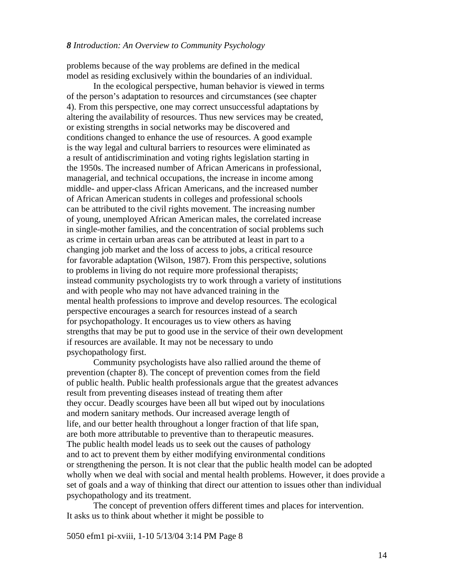problems because of the way problems are defined in the medical model as residing exclusively within the boundaries of an individual.

In the ecological perspective, human behavior is viewed in terms of the person's adaptation to resources and circumstances (see chapter 4). From this perspective, one may correct unsuccessful adaptations by altering the availability of resources. Thus new services may be created, or existing strengths in social networks may be discovered and conditions changed to enhance the use of resources. A good example is the way legal and cultural barriers to resources were eliminated as a result of antidiscrimination and voting rights legislation starting in the 1950s. The increased number of African Americans in professional, managerial, and technical occupations, the increase in income among middle- and upper-class African Americans, and the increased number of African American students in colleges and professional schools can be attributed to the civil rights movement. The increasing number of young, unemployed African American males, the correlated increase in single-mother families, and the concentration of social problems such as crime in certain urban areas can be attributed at least in part to a changing job market and the loss of access to jobs, a critical resource for favorable adaptation (Wilson, 1987). From this perspective, solutions to problems in living do not require more professional therapists; instead community psychologists try to work through a variety of institutions and with people who may not have advanced training in the mental health professions to improve and develop resources. The ecological perspective encourages a search for resources instead of a search for psychopathology. It encourages us to view others as having strengths that may be put to good use in the service of their own development if resources are available. It may not be necessary to undo psychopathology first.

Community psychologists have also rallied around the theme of prevention (chapter 8). The concept of prevention comes from the field of public health. Public health professionals argue that the greatest advances result from preventing diseases instead of treating them after they occur. Deadly scourges have been all but wiped out by inoculations and modern sanitary methods. Our increased average length of life, and our better health throughout a longer fraction of that life span, are both more attributable to preventive than to therapeutic measures. The public health model leads us to seek out the causes of pathology and to act to prevent them by either modifying environmental conditions or strengthening the person. It is not clear that the public health model can be adopted wholly when we deal with social and mental health problems. However, it does provide a set of goals and a way of thinking that direct our attention to issues other than individual psychopathology and its treatment.

The concept of prevention offers different times and places for intervention. It asks us to think about whether it might be possible to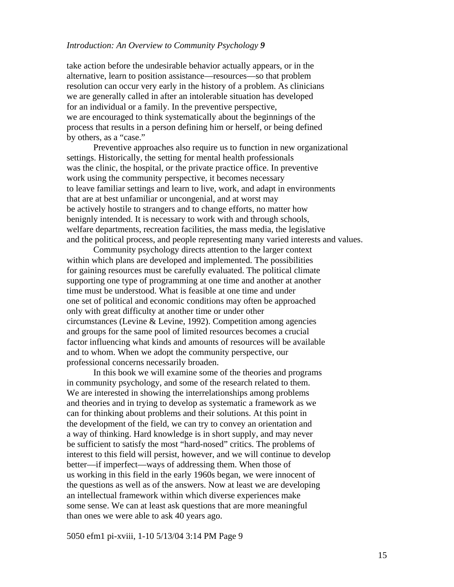take action before the undesirable behavior actually appears, or in the alternative, learn to position assistance—resources—so that problem resolution can occur very early in the history of a problem. As clinicians we are generally called in after an intolerable situation has developed for an individual or a family. In the preventive perspective, we are encouraged to think systematically about the beginnings of the process that results in a person defining him or herself, or being defined by others, as a "case."

Preventive approaches also require us to function in new organizational settings. Historically, the setting for mental health professionals was the clinic, the hospital, or the private practice office. In preventive work using the community perspective, it becomes necessary to leave familiar settings and learn to live, work, and adapt in environments that are at best unfamiliar or uncongenial, and at worst may be actively hostile to strangers and to change efforts, no matter how benignly intended. It is necessary to work with and through schools, welfare departments, recreation facilities, the mass media, the legislative and the political process, and people representing many varied interests and values.

Community psychology directs attention to the larger context within which plans are developed and implemented. The possibilities for gaining resources must be carefully evaluated. The political climate supporting one type of programming at one time and another at another time must be understood. What is feasible at one time and under one set of political and economic conditions may often be approached only with great difficulty at another time or under other circumstances (Levine & Levine, 1992). Competition among agencies and groups for the same pool of limited resources becomes a crucial factor influencing what kinds and amounts of resources will be available and to whom. When we adopt the community perspective, our professional concerns necessarily broaden.

In this book we will examine some of the theories and programs in community psychology, and some of the research related to them. We are interested in showing the interrelationships among problems and theories and in trying to develop as systematic a framework as we can for thinking about problems and their solutions. At this point in the development of the field, we can try to convey an orientation and a way of thinking. Hard knowledge is in short supply, and may never be sufficient to satisfy the most "hard-nosed" critics. The problems of interest to this field will persist, however, and we will continue to develop better—if imperfect—ways of addressing them. When those of us working in this field in the early 1960s began, we were innocent of the questions as well as of the answers. Now at least we are developing an intellectual framework within which diverse experiences make some sense. We can at least ask questions that are more meaningful than ones we were able to ask 40 years ago.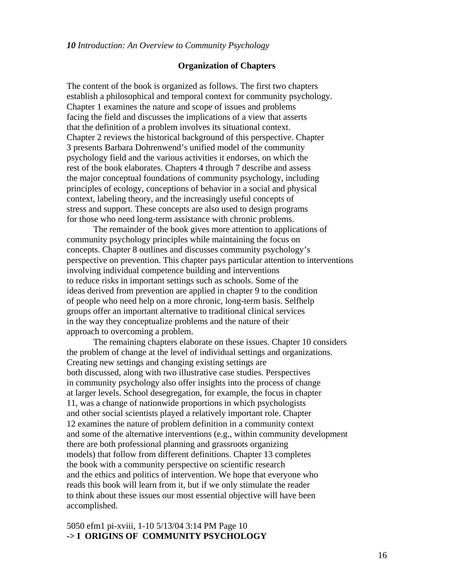### **Organization of Chapters**

The content of the book is organized as follows. The first two chapters establish a philosophical and temporal context for community psychology. Chapter 1 examines the nature and scope of issues and problems facing the field and discusses the implications of a view that asserts that the definition of a problem involves its situational context. Chapter 2 reviews the historical background of this perspective. Chapter 3 presents Barbara Dohrenwend's unified model of the community psychology field and the various activities it endorses, on which the rest of the book elaborates. Chapters 4 through 7 describe and assess the major conceptual foundations of community psychology, including principles of ecology, conceptions of behavior in a social and physical context, labeling theory, and the increasingly useful concepts of stress and support. These concepts are also used to design programs for those who need long-term assistance with chronic problems.

The remainder of the book gives more attention to applications of community psychology principles while maintaining the focus on concepts. Chapter 8 outlines and discusses community psychology's perspective on prevention. This chapter pays particular attention to interventions involving individual competence building and interventions to reduce risks in important settings such as schools. Some of the ideas derived from prevention are applied in chapter 9 to the condition of people who need help on a more chronic, long-term basis. Selfhelp groups offer an important alternative to traditional clinical services in the way they conceptualize problems and the nature of their approach to overcoming a problem.

The remaining chapters elaborate on these issues. Chapter 10 considers the problem of change at the level of individual settings and organizations. Creating new settings and changing existing settings are both discussed, along with two illustrative case studies. Perspectives in community psychology also offer insights into the process of change at larger levels. School desegregation, for example, the focus in chapter 11, was a change of nationwide proportions in which psychologists and other social scientists played a relatively important role. Chapter 12 examines the nature of problem definition in a community context and some of the alternative interventions (e.g., within community development there are both professional planning and grassroots organizing models) that follow from different definitions. Chapter 13 completes the book with a community perspective on scientific research and the ethics and politics of intervention. We hope that everyone who reads this book will learn from it, but if we only stimulate the reader to think about these issues our most essential objective will have been accomplished.

### 5050 efm1 pi-xviii, 1-10 5/13/04 3:14 PM Page 10 **-> I ORIGINS OF COMMUNITY PSYCHOLOGY**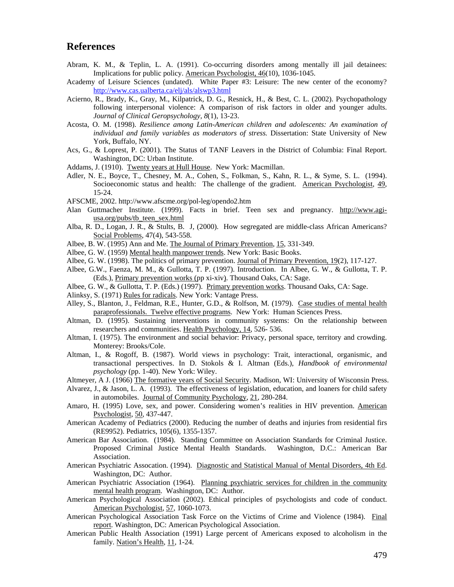# **References**

- Abram, K. M., & Teplin, L. A. (1991). Co-occurring disorders among mentally ill jail detainees: Implications for public policy. American Psychologist, 46(10), 1036-1045.
- Academy of Leisure Sciences (undated). White Paper #3: Leisure: The new center of the economy? <http://www.cas.ualberta.ca/elj/als/alswp3.html>
- Acierno, R., Brady, K., Gray, M., Kilpatrick, D. G., Resnick, H., & Best, C. L. (2002). Psychopathology following interpersonal violence: A comparison of risk factors in older and younger adults. *Journal of Clinical Geropsychology, 8*(1), 13-23.
- Acosta, O. M. (1998). *Resilience among Latin-American children and adolescents: An examination of individual and family variables as moderators of stress.* Dissertation: State University of New York, Buffalo, NY.
- Acs, G., & Loprest, P. (2001). The Status of TANF Leavers in the District of Columbia: Final Report. Washington, DC: Urban Institute.
- Addams, J. (1910). Twenty years at Hull House. New York: Macmillan.
- Adler, N. E., Boyce, T., Chesney, M. A., Cohen, S., Folkman, S., Kahn, R. L., & Syme, S. L. (1994). Socioeconomic status and health: The challenge of the gradient. American Psychologist, 49, 15-24.
- AFSCME, 2002. http://www.afscme.org/pol-leg/opendo2.htm
- Alan Guttmacher Institute. (1999). Facts in brief. Teen sex and pregnancy. http://www.agiusa.org/pubs/tb\_teen\_sex.html
- Alba, R. D., Logan, J. R., & Stults, B. J, (2000). How segregated are middle-class African Americans? Social Problems, 47(4), 543-558.
- Albee, B. W. (1995) Ann and Me. The Journal of Primary Prevention, 15, 331-349.
- Albee, G. W. (1959) Mental health manpower trends. New York: Basic Books.
- Albee, G. W. (1998). The politics of primary prevention. Journal of Primary Prevention, 19(2), 117-127.
- Albee, G.W., Faenza, M. M., & Gullotta, T. P. (1997). Introduction. In Albee, G. W., & Gullotta, T. P. (Eds.), Primary prevention works (pp xi-xiv). Thousand Oaks, CA: Sage.
- Albee, G. W., & Gullotta, T. P. (Eds.) (1997). Primary prevention works. Thousand Oaks, CA: Sage.
- Alinksy, S. (1971) Rules for radicals. New York: Vantage Press.
- Alley, S., Blanton, J., Feldman, R.E., Hunter, G.D., & Rolfson, M. (1979). Case studies of mental health paraprofessionals. Twelve effective programs. New York: Human Sciences Press.
- Altman, D. (1995). Sustaining interventions in community systems: On the relationship between researchers and communities. Health Psychology, 14, 526-536.
- Altman, I. (1975). The environment and social behavior: Privacy, personal space, territory and crowding. Monterey: Brooks/Cole.
- Altman, I., & Rogoff, B. (1987). World views in psychology: Trait, interactional, organismic, and transactional perspectives. In D. Stokols & I. Altman (Eds.), *Handbook of environmental psychology* (pp. 1-40). New York: Wiley.
- Altmeyer, A J. (1966) The formative years of Social Security. Madison, WI: University of Wisconsin Press.
- Alvarez, J., & Jason, L. A. (1993). The effectiveness of legislation, education, and loaners for child safety in automobiles. Journal of Community Psychology, 21, 280-284.
- Amaro, H. (1995) Love, sex, and power. Considering women's realities in HIV prevention. American Psychologist, 50, 437-447.
- American Academy of Pediatrics (2000). Reducing the number of deaths and injuries from residential firs (RE9952). Pediatrics, 105(6), 1355-1357.
- American Bar Association. (1984). Standing Committee on Association Standards for Criminal Justice. Proposed Criminal Justice Mental Health Standards. Washington, D.C.: American Bar Association.
- American Psychiatric Assocation. (1994). Diagnostic and Statistical Manual of Mental Disorders, 4th Ed. Washington, DC: Author.
- American Psychiatric Association (1964). Planning psychiatric services for children in the community mental health program. Washington, DC: Author.
- American Psychological Association (2002). Ethical principles of psychologists and code of conduct. American Psychologist, 57, 1060-1073.
- American Psychological Association Task Force on the Victims of Crime and Violence (1984). Final report. Washington, DC: American Psychological Association.
- American Public Health Association (1991) Large percent of Americans exposed to alcoholism in the family. Nation's Health, 11, 1-24.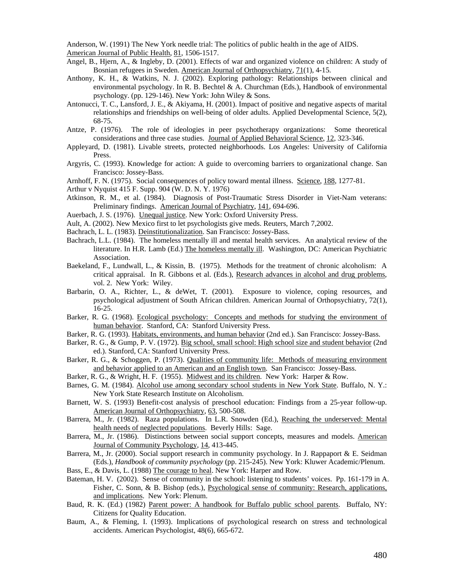Anderson, W. (1991) The New York needle trial: The politics of public health in the age of AIDS.

- American Journal of Public Health, 81, 1506-1517.
- Angel, B., Hjern, A., & Ingleby, D. (2001). Effects of war and organized violence on children: A study of Bosnian refugees in Sweden. American Journal of Orthopsychiatry, 71(1), 4-15.
- Anthony, K. H., & Watkins, N. J. (2002). Exploring pathology: Relationships between clinical and environmental psychology. In R. B. Bechtel & A. Churchman (Eds.), Handbook of environmental psychology. (pp. 129-146). New York: John Wiley & Sons.
- Antonucci, T. C., Lansford, J. E., & Akiyama, H. (2001). Impact of positive and negative aspects of marital relationships and friendships on well-being of older adults. Applied Developmental Science, 5(2), 68-75.
- Antze, P. (1976). The role of ideologies in peer psychotherapy organizations: Some theoretical considerations and three case studies. Journal of Applied Behavioral Science, 12, 323-346.
- Appleyard, D. (1981). Livable streets, protected neighborhoods. Los Angeles: University of California Press.
- Argyris, C. (1993). Knowledge for action: A guide to overcoming barriers to organizational change. San Francisco: Jossey-Bass.
- Arnhoff, F. N. (1975). Social consequences of policy toward mental illness. Science, 188, 1277-81.
- Arthur v Nyquist 415 F. Supp. 904 (W. D. N. Y. 1976)
- Atkinson, R. M., et al. (1984). Diagnosis of Post-Traumatic Stress Disorder in Viet-Nam veterans: Preliminary findings. American Journal of Psychiatry, 141, 694-696.
- Auerbach, J. S. (1976). Unequal justice. New York: Oxford University Press.
- Ault, A. (2002). New Mexico first to let psychologists give meds. Reuters, March 7,2002.
- Bachrach, L. L. (1983). Deinstitutionalization. San Francisco: Jossey-Bass.
- Bachrach, L.L. (1984). The homeless mentally ill and mental health services. An analytical review of the literature. In H.R. Lamb (Ed.) The homeless mentally ill. Washington, DC: American Psychiatric Association.
- Baekeland, F., Lundwall, L., & Kissin, B. (1975). Methods for the treatment of chronic alcoholism: A critical appraisal. In R. Gibbons et al. (Eds.), Research advances in alcohol and drug problems, vol. 2. New York: Wiley.
- Barbarin, O. A., Richter, L., & deWet, T. (2001). Exposure to violence, coping resources, and psychological adjustment of South African children. American Journal of Orthopsychiatry, 72(1), 16-25.
- Barker, R. G. (1968). Ecological psychology: Concepts and methods for studying the environment of human behavior. Stanford, CA: Stanford University Press.
- Barker, R. G. (1993). Habitats, environments, and human behavior (2nd ed.). San Francisco: Jossey-Bass.
- Barker, R. G., & Gump, P. V. (1972). Big school, small school: High school size and student behavior (2nd ed.). Stanford, CA: Stanford University Press.
- Barker, R. G., & Schoggen, P. (1973). Qualities of community life: Methods of measuring environment and behavior applied to an American and an English town. San Francisco: Jossey-Bass.
- Barker, R. G., & Wright, H. F. (1955). Midwest and its children. New York: Harper & Row.
- Barnes, G. M. (1984). Alcohol use among secondary school students in New York State. Buffalo, N. Y.: New York State Research Institute on Alcoholism.
- Barnett, W. S. (1993) Benefit-cost analysis of preschool education: Findings from a 25-year follow-up. American Journal of Orthopsychiatry, 63, 500-508.
- Barrera, M., Jr. (1982). Raza populations. In L.R. Snowden (Ed.), Reaching the underserved: Mental health needs of neglected populations. Beverly Hills: Sage.
- Barrera, M., Jr. (1986). Distinctions between social support concepts, measures and models. American Journal of Community Psychology, 14, 413-445.
- Barrera, M., Jr. (2000). Social support research in community psychology. In J. Rappaport & E. Seidman (Eds.), *Handbook of community psychology* (pp. 215-245). New York: Kluwer Academic/Plenum.
- Bass, E., & Davis, L. (1988) The courage to heal. New York: Harper and Row.
- Bateman, H. V. (2002). Sense of community in the school: listening to students' voices. Pp. 161-179 in A. Fisher, C. Sonn, & B. Bishop (eds.), *Psychological sense of community: Research, applications,* and implications. New York: Plenum.
- Baud, R. K. (Ed.) (1982) Parent power: A handbook for Buffalo public school parents. Buffalo, NY: Citizens for Quality Education.
- Baum, A., & Fleming, I. (1993). Implications of psychological research on stress and technological accidents. American Psychologist, 48(6), 665-672.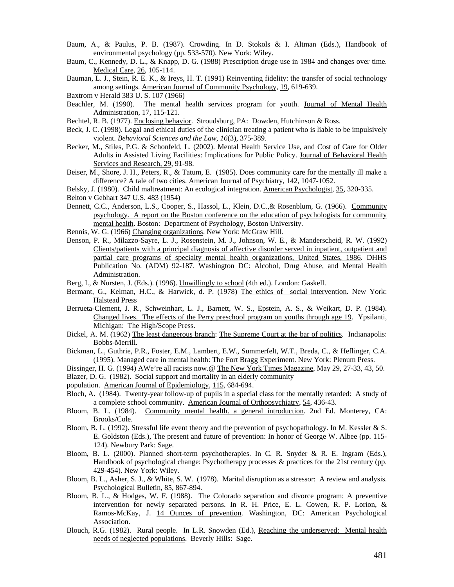- Baum, A., & Paulus, P. B. (1987). Crowding. In D. Stokols & I. Altman (Eds.), Handbook of environmental psychology (pp. 533-570). New York: Wiley.
- Baum, C., Kennedy, D. L., & Knapp, D. G. (1988) Prescription druge use in 1984 and changes over time. Medical Care, 26, 105-114.
- Bauman, L. J., Stein, R. E. K., & Ireys, H. T. (1991) Reinventing fidelity: the transfer of social technology among settings. American Journal of Community Psychology, 19, 619-639.

Baxtrom v Herald 383 U. S. 107 (1966)

- Beachler, M. (1990). The mental health services program for youth. Journal of Mental Health Administration, 17, 115-121.
- Bechtel, R. B. (1977). Enclosing behavior. Stroudsburg, PA: Dowden, Hutchinson & Ross.
- Beck, J. C. (1998). Legal and ethical duties of the clinician treating a patient who is liable to be impulsively violent. *Behavioral Sciences and the Law, 16*(3), 375-389.
- Becker, M., Stiles, P.G. & Schonfeld, L. (2002). Mental Health Service Use, and Cost of Care for Older Adults in Assisted Living Facilities: Implications for Public Policy. Journal of Behavioral Health Services and Research, 29, 91-98.
- Beiser, M., Shore, J. H., Peters, R., & Tatum, E. (1985). Does community care for the mentally ill make a difference? A tale of two cities. American Journal of Psychiatry, 142, 1047-1052.
- Belsky, J. (1980). Child maltreatment: An ecological integration. American Psychologist, 35, 320-335.

- Bennett, C.C., Anderson, L.S., Cooper, S., Hassol, L., Klein, D.C., & Rosenblum, G. (1966). Community psychology. A report on the Boston conference on the education of psychologists for community mental health. Boston: Department of Psychology, Boston University.
- Bennis, W. G. (1966) Changing organizations. New York: McGraw Hill.
- Benson, P. R., Milazzo-Sayre, L. J., Rosenstein, M. J., Johnson, W. E., & Manderscheid, R. W. (1992) Clients/patients with a principal diagnosis of affective disorder served in inpatient, outpatient and partial care programs of specialty mental health organizations, United States, 1986. DHHS Publication No. (ADM) 92-187. Washington DC: Alcohol, Drug Abuse, and Mental Health Administration.
- Berg, I., & Nursten, J. (Eds.). (1996). Unwillingly to school (4th ed.). London: Gaskell.
- Bermant, G., Kelman, H.C., & Harwick, d. P. (1978) The ethics of social intervention. New York: Halstead Press
- Berrueta-Clement, J. R., Schweinhart, L. J., Barnett, W. S., Epstein, A. S., & Weikart, D. P. (1984). Changed lives. The effects of the Perry preschool program on youths through age 19. Ypsilanti, Michigan: The High/Scope Press.
- Bickel, A. M. (1962) The least dangerous branch: The Supreme Court at the bar of politics. Indianapolis: Bobbs-Merrill.
- Bickman, L., Guthrie, P.R., Foster, E.M., Lambert, E.W., Summerfelt, W.T., Breda, C., & Heflinger, C.A. (1995). Managed care in mental health: The Fort Bragg Experiment. New York: Plenum Press.
- Bissinger, H. G. (1994) AWe're all racists now.@ The New York Times Magazine, May 29, 27-33, 43, 50. Blazer, D. G. (1982). Social support and mortality in an elderly community
- population. American Journal of Epidemiology, 115, 684-694.
- Bloch, A. (1984). Twenty-year follow-up of pupils in a special class for the mentally retarded: A study of a complete school community. American Journal of Orthopsychiatry, 54, 436-43.
- Bloom, B. L. (1984). Community mental health. a general introduction. 2nd Ed. Monterey, CA: Brooks/Cole.
- Bloom, B. L. (1992). Stressful life event theory and the prevention of psychopathology. In M. Kessler & S. E. Goldston (Eds.), The present and future of prevention: In honor of George W. Albee (pp. 115- 124). Newbury Park: Sage.
- Bloom, B. L. (2000). Planned short-term psychotherapies. In C. R. Snyder & R. E. Ingram (Eds.), Handbook of psychological change: Psychotherapy processes & practices for the 21st century (pp. 429-454). New York: Wiley.
- Bloom, B. L., Asher, S. J., & White, S. W. (1978). Marital disruption as a stressor: A review and analysis. Psychological Bulletin, 85, 867-894.
- Bloom, B. L., & Hodges, W. F. (1988). The Colorado separation and divorce program: A preventive intervention for newly separated persons. In R. H. Price, E. L. Cowen, R. P. Lorion, & Ramos-McKay, J. 14 Ounces of prevention. Washington, DC: American Psychological Association.
- Blouch, R.G. (1982). Rural people. In L.R. Snowden (Ed.), Reaching the underserved: Mental health needs of neglected populations. Beverly Hills: Sage.

Belton v Gebhart 347 U.S. 483 (1954)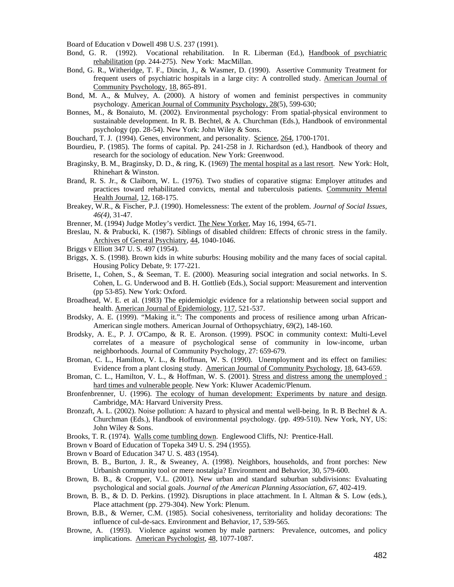Board of Education v Dowell 498 U.S. 237 (1991).

- Bond, G. R. (1992). Vocational rehabilitation. In R. Liberman (Ed.), Handbook of psychiatric rehabilitation (pp. 244-275). New York: MacMillan.
- Bond, G. R., Witheridge, T. F., Dincin, J., & Wasmer, D. (1990). Assertive Community Treatment for frequent users of psychiatric hospitals in a large city: A controlled study. American Journal of Community Psychology, 18, 865-891.
- Bond, M. A., & Mulvey, A. (2000). A history of women and feminist perspectives in community psychology. American Journal of Community Psychology, 28(5), 599-630;
- Bonnes, M., & Bonaiuto, M. (2002). Environmental psychology: From spatial-physical environment to sustainable development. In R. B. Bechtel, & A. Churchman (Eds.), Handbook of environmental psychology (pp. 28-54). New York: John Wiley & Sons.
- Bouchard, T. J. (1994). Genes, environment, and personality. Science, 264, 1700-1701.
- Bourdieu, P. (1985). The forms of capital. Pp. 241-258 in J. Richardson (ed.), Handbook of theory and research for the sociology of education. New York: Greenwood.
- Braginsky, B. M., Braginsky, D. D., & ring, K. (1969) The mental hospital as a last resort. New York: Holt, Rhinehart & Winston.
- Brand, R. S. Jr., & Claiborn, W. L. (1976). Two studies of coparative stigma: Employer attitudes and practices toward rehabilitated convicts, mental and tuberculosis patients. Community Mental Health Journal, 12, 168-175.
- Breakey, W.R., & Fischer, P.J. (1990). Homelessness: The extent of the problem. *Journal of Social Issues, 46(4)*, 31-47.
- Brenner, M. (1994) Judge Motley's verdict. The New Yorker, May 16, 1994, 65-71.
- Breslau, N. & Prabucki, K. (1987). Siblings of disabled children: Effects of chronic stress in the family. Archives of General Psychiatry, 44, 1040-1046.
- Briggs v Elliott 347 U. S. 497 (1954).
- Briggs, X. S. (1998). Brown kids in white suburbs: Housing mobility and the many faces of social capital. Housing Policy Debate, 9: 177-221.
- Brisette, I., Cohen, S., & Seeman, T. E. (2000). Measuring social integration and social networks. In S. Cohen, L. G. Underwood and B. H. Gottlieb (Eds.), Social support: Measurement and intervention (pp 53-85). New York: Oxford.
- Broadhead, W. E. et al. (1983) The epidemiolgic evidence for a relationship between social support and health. American Journal of Epidemiology, 117, 521-537.
- Brodsky, A. E. (1999). "Making it.": The components and process of resilience among urban African-American single mothers. American Journal of Orthopsychiatry, 69(2), 148-160.
- Brodsky, A. E., P. J. O'Campo, & R. E. Aronson. (1999). PSOC in community context: Multi-Level correlates of a measure of psychological sense of community in low-income, urban neighborhoods. Journal of Community Psychology, 27: 659-679.
- Broman, C. L., Hamilton, V. L., & Hoffman, W. S. (1990). Unemployment and its effect on families: Evidence from a plant closing study. American Journal of Community Psychology, 18, 643-659.
- Broman, C. L., Hamilton, V. L., & Hoffman, W. S. (2001). Stress and distress among the unemployed : hard times and vulnerable people. New York: Kluwer Academic/Plenum.
- Bronfenbrenner, U. (1996). The ecology of human development: Experiments by nature and design. Cambridge, MA: Harvard University Press.
- Bronzaft, A. L. (2002). Noise pollution: A hazard to physical and mental well-being. In R. B Bechtel & A. Churchman (Eds.), Handbook of environmental psychology. (pp. 499-510). New York, NY, US: John Wiley & Sons.
- Brooks, T. R. (1974). Walls come tumbling down. Englewood Cliffs, NJ: Prentice-Hall.
- Brown v Board of Education of Topeka 349 U. S. 294 (1955).
- Brown v Board of Education 347 U. S. 483 (1954).
- Brown, B. B., Burton, J. R., & Sweaney, A. (1998). Neighbors, households, and front porches: New Urbanish community tool or mere nostalgia? Environment and Behavior, 30, 579-600.
- Brown, B. B., & Cropper, V.L. (2001). New urban and standard suburban subdivisions: Evaluating psychological and social goals. *Journal of the American Planning Association, 67*, 402-419.
- Brown, B. B., & D. D. Perkins. (1992). Disruptions in place attachment. In I. Altman & S. Low (eds.), Place attachment (pp. 279-304). New York: Plenum.
- Brown, B.B., & Werner, C.M. (1985). Social cohesiveness, territoriality and holiday decorations: The influence of cul-de-sacs. Environment and Behavior, 17, 539-565.
- Browne, A. (1993). Violence against women by male partners: Prevalence, outcomes, and policy implications. American Psychologist, 48, 1077-1087.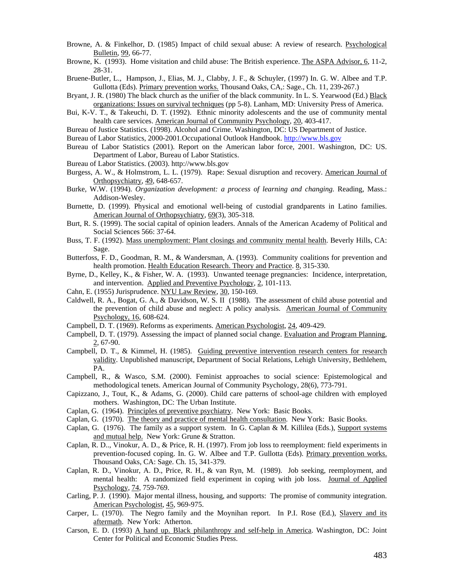- Browne, A. & Finkelhor, D. (1985) Impact of child sexual abuse: A review of research. Psychological Bulletin, 99, 66-77.
- Browne, K. (1993). Home visitation and child abuse: The British experience. The ASPA Advisor, 6, 11-2, 28-31.
- Bruene-Butler, L., Hampson, J., Elias, M. J., Clabby, J. F., & Schuyler, (1997) In. G. W. Albee and T.P. Gullotta (Eds). Primary prevention works. Thousand Oaks, CA,: Sage., Ch. 11, 239-267.)
- Bryant, J. R. (1980) The black church as the unifier of the black community. In L. S. Yearwood (Ed.) Black organizations: Issues on survival techniques (pp 5-8). Lanham, MD: University Press of America.
- Bui, K-V. T., & Takeuchi, D. T. (1992). Ethnic minority adolescents and the use of community mental health care services. American Journal of Community Psychology, 20, 403-417.
- Bureau of Justice Statistics. (1998). Alcohol and Crime. Washington, DC: US Department of Justice.
- Bureau of Labor Statistics, 2000-2001. Occupational Outlook Handbook. [http://www.bls.gov](http://www.bls.gov/)
- Bureau of Labor Statistics (2001). Report on the American labor force, 2001. Washington, DC: US. Department of Labor, Bureau of Labor Statistics.
- Bureau of Labor Statistics. (2003). http://www.bls.gov
- Burgess, A. W., & Holmstrom, L. L. (1979). Rape: Sexual disruption and recovery. American Journal of Orthopsychiatry, 49, 648-657.
- Burke, W.W. (1994). *Organization development: a process of learning and changing.* Reading, Mass.: Addison-Wesley.
- Burnette, D. (1999). Physical and emotional well-being of custodial grandparents in Latino families. American Journal of Orthopsychiatry, 69(3), 305-318.
- Burt, R. S. (1999). The social capital of opinion leaders. Annals of the American Academy of Political and Social Sciences 566: 37-64.
- Buss, T. F. (1992). Mass unemployment: Plant closings and community mental health. Beverly Hills, CA: Sage.
- Butterfoss, F. D., Goodman, R. M., & Wandersman, A. (1993). Community coalitions for prevention and health promotion. Health Education Research. Theory and Practice. 8, 315-330.
- Byrne, D., Kelley, K., & Fisher, W. A. (1993). Unwanted teenage pregnancies: Incidence, interpretation, and intervention. Applied and Preventive Psychology, 2, 101-113.
- Cahn, E. (1955) Jurisprudence. NYU Law Review, 30, 150-169.
- Caldwell, R. A., Bogat, G. A., & Davidson, W. S. II (1988). The assessment of child abuse potential and the prevention of child abuse and neglect: A policy analysis. American Journal of Community Psychology, 16, 608-624.
- Campbell, D. T. (1969). Reforms as experiments. American Psychologist, 24, 409-429.
- Campbell, D. T. (1979). Assessing the impact of planned social change. Evaluation and Program Planning, 2, 67-90.
- Campbell, D. T., & Kimmel, H. (1985). Guiding preventive intervention research centers for research validity. Unpublished manuscript, Department of Social Relations, Lehigh University, Bethlehem, PA.
- Campbell, R., & Wasco, S.M. (2000). Feminist approaches to social science: Epistemological and methodological tenets. American Journal of Community Psychology, 28(6), 773-791.
- Capizzano, J., Tout, K., & Adams, G. (2000). Child care patterns of school-age children with employed mothers. Washington, DC: The Urban Institute.
- Caplan, G. (1964). Principles of preventive psychiatry. New York: Basic Books.
- Caplan, G. (1970). The theory and practice of mental health consultation. New York: Basic Books.
- Caplan, G. (1976). The family as a support system. In G. Caplan & M. Killilea (Eds.), Support systems and mutual help. New York: Grune & Stratton.
- Caplan, R. D.., Vinokur, A. D., & Price, R. H. (1997). From job loss to reemployment: field experiments in prevention-focused coping. In. G. W. Albee and T.P. Gullotta (Eds). Primary prevention works. Thousand Oaks, CA: Sage. Ch. 15, 341-379.
- Caplan, R. D., Vinokur, A. D., Price, R. H., & van Ryn, M. (1989). Job seeking, reemployment, and mental health: A randomized field experiment in coping with job loss. Journal of Applied Psychology, 74, 759-769.
- Carling, P. J. (1990). Major mental illness, housing, and supports: The promise of community integration. American Psychologist, 45, 969-975.
- Carper, L. (1970). The Negro family and the Moynihan report. In P.I. Rose (Ed.), Slavery and its aftermath. New York: Atherton.
- Carson, E. D. (1993) A hand up. Black philanthropy and self-help in America. Washington, DC: Joint Center for Political and Economic Studies Press.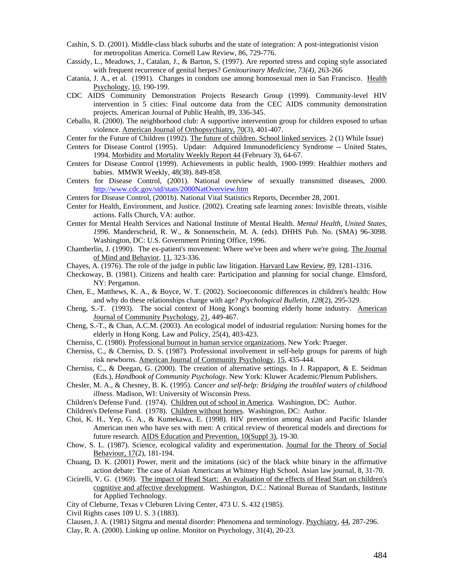- Cashin, S. D. (2001). Middle-class black suburbs and the state of integration: A post-integrationist vision for metropolitan America. Cornell Law Review, 86, 729-776.
- Cassidy, L., Meadows, J., Catalan, J., & Barton, S. (1997). Are reported stress and coping style associated with frequent recurrence of genital herpes? *Genitourinary Medicine, 73(4),* 263-266
- Catania, J. A., et al. (1991). Changes in condom use among homosexual men in San Francisco. Health Psychology, 10, 190-199.
- CDC AIDS Community Demonstration Projects Research Group (1999). Community-level HIV intervention in 5 cities: Final outcome data from the CEC AIDS community demonstration projects. American Journal of Public Health, 89, 336-345.
- Ceballo, R. (2000). The neighborhood club: A supportive intervention group for children exposed to urban violence. American Journal of Orthopsychiatry, 70(3), 401-407.

Center for the Future of Children (1992). The future of children. School linked services. 2 (1) While Issue)

- Centers for Disease Control (1995). Update: Adquired Immunodeficiency Syndrome -- United States, 1994. Morbidity and Mortality Weekly Report 44 (February 3), 64-67.
- Centers for Disease Control (1999). Achievements in public health, 1900-1999: Healthier mothers and babies. MMWR Weekly, 48(38). 849-858.
- Centers for Disease Control, (2001). National overview of sexually transmitted diseases, 2000. <http://www.cdc.gov/std/stats/2000NatOverview.htm>

Centers for Disease Control, (2001b). National Vital Statistics Reports, December 28, 2001.

- Center for Health, Environment, and Justice. (2002). Creating safe learning zones: Invisible threats, visible actions. Falls Church, VA: author.
- Center for Mental Health Services and National Institute of Mental Health. *Mental Health, United States, 1996.* Manderscheid, R. W., & Sonnenschein, M. A. (eds). DHHS Pub. No. (SMA) 96-3098. Washington, DC: U.S. Government Printing Office, 1996.
- Chamberlin, J. (1990). The ex-patient's movement: Where we've been and where we're going. The Journal of Mind and Behavior, 11, 323-336.
- Chayes, A. (1976). The role of the judge in public law litigation. Harvard Law Review, 89, 1281-1316.
- Checkoway, B. (1981). Citizens and health care: Participation and planning for social change. Elmsford, NY: Pergamon.
- Chen, E., Matthews, K. A., & Boyce, W. T. (2002). Socioeconomic differences in children's health: How and why do these relationships change with age? *Psychological Bulletin, 128*(2), 295-329.
- Cheng, S.-T. (1993). The social context of Hong Kong's booming elderly home industry. American Journal of Community Psychology, 21, 449-467.
- Cheng, S.-T., & Chan, A.C.M. (2003). An ecological model of industrial regulation: Nursing homes for the elderly in Hong Kong. Law and Policy, 25(4), 403-423.
- Cherniss, C. (1980). Professional burnout in human service organizations. New York: Praeger.
- Cherniss, C., & Cherniss, D. S. (1987). Professional involvement in self-help groups for parents of high risk newborns. American Journal of Community Psychology, 15, 435-444.
- Cherniss, C., & Deegan, G. (2000). The creation of alternative settings. In J. Rappaport, & E. Seidman (Eds.), *Handbook of Community Psychology.* New York: Kluwer Academic/Plenum Publishers.
- Chesler, M. A., & Chesney, B. K. (1995). *Cancer and self-help: Bridging the troubled waters of childhood illness*. Madison, WI: University of Wisconsin Press.
- Children's Defense Fund. (1974). Children out of school in America. Washington, DC: Author.
- Children's Defense Fund. (1978). Children without homes. Washington, DC: Author.
- Choi, K. H., Yep, G. A., & Kumekawa, E. (1998). HIV prevention among Asian and Pacific Islander American men who have sex with men: A critical review of theoretical models and directions for future research. AIDS Education and Prevention, 10(Suppl 3), 19-30.
- Chow, S. L. (1987). Science, ecological validity and experimentation. Journal for the Theory of Social Behaviour, 17(2), 181-194.
- Chuang, D. K. (2001) Power, merit and the imitations (sic) of the black white binary in the affirmative action debate: The case of Asian Americans at Whitney High School. Asian law journal, 8, 31-70.
- Cicirelli, V. G. (1969). The impact of Head Start: An evaluation of the effects of Head Start on children's cognitive and affective development. Washington, D.C.: National Bureau of Standards, Institute for Applied Technology.

City of Cleburne, Texas v Cleburen Living Center, 473 U. S. 432 (1985).

Civil Rights cases 109 U. S. 3 (1883).

Clausen, J. A. (1981) Sitgma and mental disorder: Phenomena and terminology. Psychiatry, 44, 287-296.

Clay, R. A. (2000). Linking up online. Monitor on Psychology, 31(4), 20-23.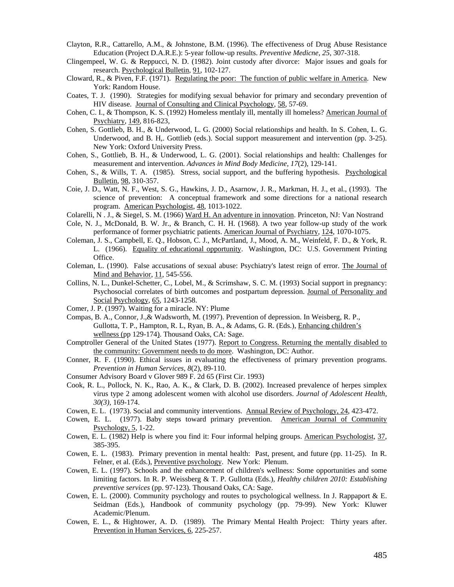- Clayton, R.R., Cattarello, A.M., & Johnstone, B.M. (1996). The effectiveness of Drug Abuse Resistance Education (Project D.A.R.E.): 5-year follow-up results. *Preventive Medicne, 25*, 307-318.
- Clingempeel, W. G. & Reppucci, N. D. (1982). Joint custody after divorce: Major issues and goals for research. Psychological Bulletin, 91, 102-127.
- Cloward, R., & Piven, F.F. (1971). Regulating the poor: The function of public welfare in America. New York: Random House.
- Coates, T. J. (1990). Strategies for modifying sexual behavior for primary and secondary prevention of HIV disease. Journal of Consulting and Clinical Psychology, 58, 57-69.
- Cohen, C. I., & Thompson, K. S. (1992) Homeless mentlaly ill, mentally ill homeless? American Journal of Psychiatry, 149, 816-823,
- Cohen, S. Gottlieb, B. H., & Underwood, L. G. (2000) Social relationships and health. In S. Cohen, L. G. Underwood, and B. H,. Gottlieb (eds.). Social support measurement and intervention (pp. 3-25). New York: Oxford University Press.
- Cohen, S., Gottlieb, B. H., & Underwood, L. G. (2001). Social relationships and health: Challenges for measurement and intervention. *Advances in Mind Body Medicine, 17*(2), 129-141.
- Cohen, S., & Wills, T. A. (1985). Stress, social support, and the buffering hypothesis. Psychological Bulletin, 98, 310-357.
- Coie, J. D., Watt, N. F., West, S. G., Hawkins, J. D., Asarnow, J. R., Markman, H. J., et al., (1993). The science of prevention: A conceptual framework and some directions for a national research program. American Psychologist, 48, 1013-1022.
- Colarelli, N . J., & Siegel, S. M. (1966) Ward H. An adventure in innovation. Princeton, NJ: Van Nostrand
- Cole, N. J., McDonald, B. W. Jr., & Branch, C. H. H. (1968). A two year follow-up study of the work performance of former psychiatric patients. American Journal of Psychiatry, 124, 1070-1075.
- Coleman, J. S., Campbell, E. Q., Hobson, C. J., McPartland, J., Mood, A. M., Weinfeld, F. D., & York, R. L. (1966). Equality of educational opportunity. Washington, DC: U.S. Government Printing Office.
- Coleman, L. (1990). False accusations of sexual abuse: Psychiatry's latest reign of error. The Journal of Mind and Behavior, 11, 545-556.
- Collins, N. L., Dunkel-Schetter, C., Lobel, M., & Scrimshaw, S. C. M. (1993) Social support in pregnancy: Psychosocial correlates of birth outcomes and postpartum depression. Journal of Personality and Social Psychology, 65, 1243-1258.
- Comer, J. P. (1997). Waiting for a miracle. NY: Plume
- Compas, B. A., Connor, J.,& Wadsworth, M. (1997). Prevention of depression. In Weisberg, R. P., Gullotta, T. P., Hampton, R. L, Ryan, B. A., & Adams, G. R. (Eds.), Enhancing children's wellness (pp 129-174). Thousand Oaks, CA: Sage.
- Comptroller General of the United States (1977). Report to Congress. Returning the mentally disabled to the community: Government needs to do more. Washington, DC: Author.
- Conner, R. F. (1990). Ethical issues in evaluating the effectiveness of primary prevention programs. *Prevention in Human Services, 8*(2), 89-110.
- Consumer Advisory Board v Glover 989 F. 2d 65 (First Cir. 1993)
- Cook, R. L., Pollock, N. K., Rao, A. K., & Clark, D. B. (2002). Increased prevalence of herpes simplex virus type 2 among adolescent women with alcohol use disorders. *Journal of Adolescent Health, 30(3),* 169-174.
- Cowen, E. L. (1973). Social and community interventions. Annual Review of Psychology, 24, 423-472.
- Cowen, E. L. (1977). Baby steps toward primary prevention. American Journal of Community Psychology, 5, 1-22.
- Cowen, E. L. (1982) Help is where you find it: Four informal helping groups. American Psychologist, 37, 385-395.
- Cowen, E. L. (1983). Primary prevention in mental health: Past, present, and future (pp. 11-25). In R. Felner, et al. (Eds.), Preventive psychology. New York: Plenum.
- Cowen, E. L. (1997). Schools and the enhancement of children's wellness: Some opportunities and some limiting factors. In R. P. Weissberg & T. P. Gullotta (Eds.), *Healthy children 2010: Establishing preventive services* (pp. 97-123). Thousand Oaks, CA: Sage.
- Cowen, E. L. (2000). Community psychology and routes to psychological wellness. In J. Rappaport & E. Seidman (Eds.), Handbook of community psychology (pp. 79-99). New York: Kluwer Academic/Plenum.
- Cowen, E. L., & Hightower, A. D. (1989). The Primary Mental Health Project: Thirty years after. Prevention in Human Services, 6, 225-257.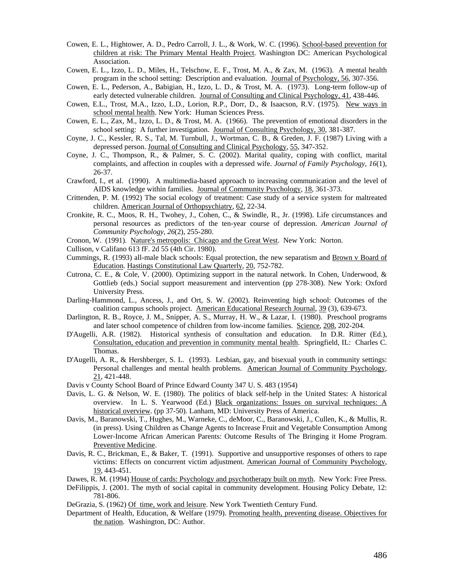- Cowen, E. L., Hightower, A. D., Pedro Carroll, J. L., & Work, W. C. (1996). School-based prevention for children at risk: The Primary Mental Health Project. Washington DC: American Psychological Association.
- Cowen, E. L., Izzo, L. D., Miles, H., Telschow, E. F., Trost, M. A., & Zax, M. (1963). A mental health program in the school setting: Description and evaluation. Journal of Psychology, 56, 307-356.
- Cowen, E. L., Pederson, A., Babigian, H., Izzo, L. D., & Trost, M. A. (1973). Long-term follow-up of early detected vulnerable children. Journal of Consulting and Clinical Psychology, 41, 438-446.
- Cowen, E.L., Trost, M.A., Izzo, L.D., Lorion, R.P., Dorr, D., & Isaacson, R.V. (1975). New ways in school mental health. New York: Human Sciences Press.
- Cowen, E. L., Zax, M., Izzo, L. D., & Trost, M. A. (1966). The prevention of emotional disorders in the school setting: A further investigation. Journal of Consulting Psychology, 30, 381-387.
- Coyne, J. C., Kessler, R. S., Tal, M. Turnbull, J., Wortman, C. B., & Greden, J. F. (1987) Living with a depressed person. Journal of Consulting and Clinical Psychology, 55, 347-352.
- Coyne, J. C., Thompson, R., & Palmer, S. C. (2002). Marital quality, coping with conflict, marital complaints, and affection in couples with a depressed wife. *Journal of Family Psychology, 16*(1), 26-37.
- Crawford, I., et al. (1990). A multimedia-based approach to increasing communication and the level of AIDS knowledge within families. Journal of Community Psychology, 18, 361-373.
- Crittenden, P. M. (1992) The social ecology of treatment: Case study of a service system for maltreated children. American Journal of Orthopsychiatry, 62, 22-34.
- Cronkite, R. C., Moos, R. H., Twohey, J., Cohen, C., & Swindle, R., Jr. (1998). Life circumstances and personal resources as predictors of the ten-year course of depression. *American Journal of Community Psychology, 26*(2), 255-280.
- Cronon, W. (1991). Nature's metropolis: Chicago and the Great West. New York: Norton.
- Cullison, v Califano 613 fF. 2d 55 (4th Cir. 1980).
- Cummings, R. (1993) all-male black schools: Equal protection, the new separatism and Brown v Board of Education. Hastings Constitutional Law Quarterly, 20, 752-782.
- Cutrona, C. E., & Cole, V. (2000). Optimizing support in the natural network. In Cohen, Underwood, & Gottlieb (eds.) Social support measurement and intervention (pp 278-308). New York: Oxford University Press.
- Darling-Hammond, L., Ancess, J., and Ort, S. W. (2002). Reinventing high school: Outcomes of the coalition campus schools project. American Educational Research Journal, 39 (3), 639-673.
- Darlington, R. B., Royce, J. M., Snipper, A. S., Murray, H. W., & Lazar, I. (1980). Preschool programs and later school competence of children from low-income families. Science, 208, 202-204.
- D'Augelli, A.R. (1982). Historical synthesis of consultation and education. In D.R. Ritter (Ed.), Consultation, education and prevention in community mental health. Springfield, IL: Charles C. Thomas.
- D'Augelli, A. R., & Hershberger, S. L. (1993). Lesbian, gay, and bisexual youth in community settings: Personal challenges and mental health problems. American Journal of Community Psychology, 21, 421-448.
- Davis v County School Board of Prince Edward County 347 U. S. 483 (1954)
- Davis, L. G. & Nelson, W. E. (1980). The politics of black self-help in the United States: A historical overview. In L. S. Yearwood (Ed.) Black organizations: Issues on survival techniques: A historical overview. (pp 37-50). Lanham, MD: University Press of America.
- Davis, M., Baranowski, T., Hughes, M., Warneke, C., deMoor, C., Baranowski, J., Cullen, K., & Mullis, R. (in press). Using Children as Change Agents to Increase Fruit and Vegetable Consumption Among Lower-Income African American Parents: Outcome Results of The Bringing it Home Program. Preventive Medicine.
- Davis, R. C., Brickman, E., & Baker, T. (1991). Supportive and unsupportive responses of others to rape victims: Effects on concurrent victim adjustment. American Journal of Community Psychology, 19, 443-451.
- Dawes, R. M. (1994) House of cards: Psychology and psychotherapy built on myth. New York: Free Press.
- DeFilippis, J. (2001. The myth of social capital in community development. Housing Policy Debate, 12: 781-806.
- DeGrazia, S. (1962) Of time, work and leisure. New York Twentieth Century Fund.
- Department of Health, Education, & Welfare (1979). Promoting health, preventing disease. Objectives for the nation. Washington, DC: Author.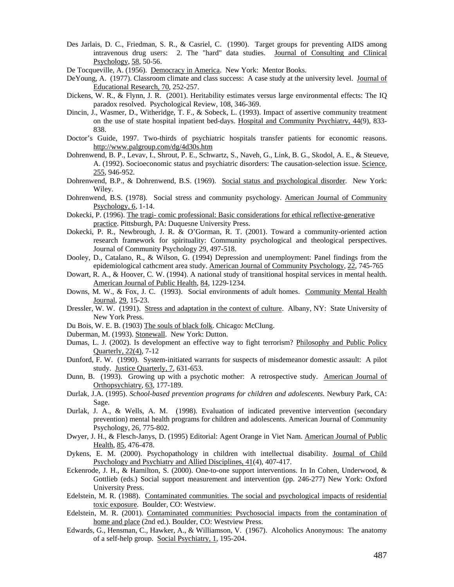- Des Jarlais, D. C., Friedman, S. R., & Casriel, C. (1990). Target groups for preventing AIDS among intravenous drug users: 2. The "hard" data studies. Journal of Consulting and Clinical Psychology, 58, 50-56.
- De Tocqueville, A. (1956). Democracy in America. New York: Mentor Books.
- DeYoung, A. (1977). Classroom climate and class success: A case study at the university level. Journal of Educational Research, 70, 252-257.
- Dickens, W. R., & Flynn, J. R. (2001). Heritability estimates versus large environmental effects: The IQ paradox resolved. Psychological Review, 108, 346-369.
- Dincin, J., Wasmer, D., Witheridge, T. F., & Sobeck, L. (1993). Impact of assertive community treatment on the use of state hospital inpatient bed-days. Hospital and Community Psychiatry, 44(9), 833- 838.
- Doctor's Guide, 1997. Two-thirds of psychiatric hospitals transfer patients for economic reasons. http://www.palgroup.com/dg/4d30s.htm
- Dohrenwend, B. P., Levav, I., Shrout, P. E., Schwartz, S., Naveh, G., Link, B. G., Skodol, A. E., & Steueve, A. (1992). Socioeconomic status and psychiatric disorders: The causation-selection issue. Science, 255, 946-952.
- Dohrenwend, B.P., & Dohrenwend, B.S. (1969). Social status and psychological disorder. New York: Wiley.
- Dohrenwend, B.S. (1978). Social stress and community psychology. American Journal of Community Psychology, 6, 1-14.
- Dokecki, P. (1996). The tragi- comic professional: Basic considerations for ethical reflective-generative practice. Pittsburgh, PA: Duquesne University Press.
- Dokecki, P. R., Newbrough, J. R. & O'Gorman, R. T. (2001). Toward a community-oriented action research framework for spirituality: Community psychological and theological perspectives. Journal of Community Psychology 29, 497-518.
- Dooley, D., Catalano, R., & Wilson, G. (1994) Depression and unemployment: Panel findings from the epidemiological cathcment area study. American Journal of Community Psychology, 22, 745-765
- Dowart, R. A., & Hoover, C. W. (1994). A national study of transitional hospital services in mental health. American Journal of Public Health, 84, 1229-1234.
- Downs, M. W., & Fox, J. C. (1993). Social environments of adult homes. Community Mental Health Journal, 29, 15-23.
- Dressler, W. W. (1991). Stress and adaptation in the context of culture. Albany, NY: State University of New York Press.
- Du Bois, W. E. B. (1903) The souls of black folk. Chicago: McClung.
- Duberman, M. (1993). Stonewall. New York: Dutton.
- Dumas, L. J. (2002). Is development an effective way to fight terrorism? Philosophy and Public Policy Quarterly, 22(4), 7-12
- Dunford, F. W. (1990). System-initiated warrants for suspects of misdemeanor domestic assault: A pilot study. Justice Quarterly, 7, 631-653.
- Dunn, B. (1993). Growing up with a psychotic mother: A retrospective study. American Journal of Orthopsychiatry, 63, 177-189.
- Durlak, J.A. (1995). *School-based prevention programs for children and adolescents.* Newbury Park, CA: Sage.
- Durlak, J. A., & Wells, A. M. (1998). Evaluation of indicated preventive intervention (secondary prevention) mental health programs for children and adolescents. American Journal of Community Psychology, 26, 775-802.
- Dwyer, J. H., & Flesch-Janys, D. (1995) Editorial: Agent Orange in Viet Nam. American Journal of Public Health, 85, 476-478.
- Dykens, E. M. (2000). Psychopathology in children with intellectual disability. Journal of Child Psychology and Psychiatry and Allied Disciplines, 41(4), 407-417.
- Eckenrode, J. H., & Hamilton, S. (2000). One-to-one support interventions. In In Cohen, Underwood, & Gottlieb (eds.) Social support measurement and intervention (pp. 246-277) New York: Oxford University Press.
- Edelstein, M. R. (1988). Contaminated communities. The social and psychological impacts of residential toxic exposure. Boulder, CO: Westview.
- Edelstein, M. R. (2001). Contaminated communities: Psychosocial impacts from the contamination of home and place (2nd ed.). Boulder, CO: Westview Press.
- Edwards, G., Hensman, C., Hawker, A., & Williamson, V. (1967). Alcoholics Anonymous: The anatomy of a self-help group. Social Psychiatry, 1, 195-204.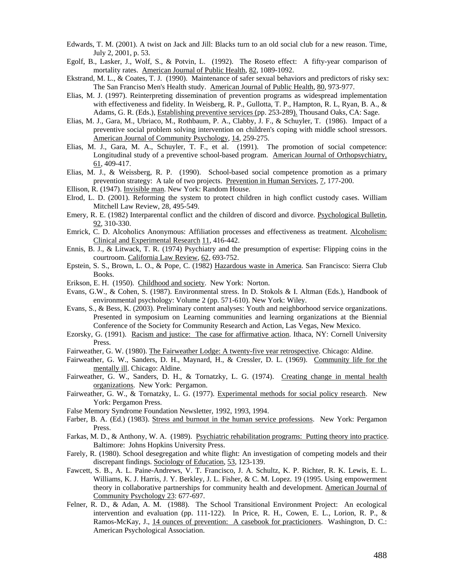- Edwards, T. M. (2001). A twist on Jack and Jill: Blacks turn to an old social club for a new reason. Time, July 2, 2001, p. 53.
- Egolf, B., Lasker, J., Wolf, S., & Potvin, L. (1992). The Roseto effect: A fifty-year comparison of mortality rates. American Journal of Public Health, 82, 1089-1092.
- Ekstrand, M. L., & Coates, T. J. (1990). Maintenance of safer sexual behaviors and predictors of risky sex: The San Franciso Men's Health study. American Journal of Public Health, 80, 973-977.
- Elias, M. J. (1997). Reinterpreting dissemination of prevention programs as widespread implementation with effectiveness and fidelity. In Weisberg, R. P., Gullotta, T. P., Hampton, R. L, Ryan, B. A., & Adams, G. R. (Eds.), *Establishing preventive services (pp. 253-289)*. Thousand Oaks, CA: Sage.
- Elias, M. J., Gara, M., Ubriaco, M., Rothbaum, P. A., Clabby, J. F., & Schuyler, T. (1986). Impact of a preventive social problem solving intervention on children's coping with middle school stressors. American Journal of Community Psychology, 14, 259-275.
- Elias, M. J., Gara, M. A., Schuyler, T. F., et al. (1991). The promotion of social competence: Longitudinal study of a preventive school-based program. American Journal of Orthopsychiatry, 61, 409-417.
- Elias, M. J., & Weissberg, R. P. (1990). School-based social competence promotion as a primary prevention strategy: A tale of two projects. Prevention in Human Services, 7, 177-200.
- Ellison, R. (1947). Invisible man. New York: Random House.
- Elrod, L. D. (2001). Reforming the system to protect children in high conflict custody cases. William Mitchell Law Review, 28, 495-549.
- Emery, R. E. (1982) Interparental conflict and the children of discord and divorce. Psychological Bulletin, 92, 310-330.
- Emrick, C. D. Alcoholics Anonymous: Affiliation processes and effectiveness as treatment. Alcoholism: Clinical and Experimental Research 11, 416-442.
- Ennis, B. J., & Litwack, T. R. (1974) Psychiatry and the presumption of expertise: Flipping coins in the courtroom. California Law Review, 62, 693-752.
- Epstein, S. S., Brown, L. O., & Pope, C. (1982) Hazardous waste in America. San Francisco: Sierra Club Books.
- Erikson, E. H. (1950). Childhood and society. New York: Norton.
- Evans, G.W., & Cohen, S. (1987). Environmental stress. In D. Stokols & I. Altman (Eds.), Handbook of environmental psychology: Volume 2 (pp. 571-610). New York: Wiley.
- Evans, S., & Bess, K. (2003). Preliminary content analyses: Youth and neighborhood service organizations. Presented in symposium on Learning communities and learning organizations at the Biennial Conference of the Society for Community Research and Action, Las Vegas, New Mexico.
- Ezorsky, G. (1991). Racism and justice: The case for affirmative action. Ithaca, NY: Cornell University Press.
- Fairweather, G. W. (1980). The Fairweather Lodge: A twenty-five year retrospective. Chicago: Aldine.
- Fairweather, G. W., Sanders, D. H., Maynard, H., & Cressler, D. L. (1969). Community life for the mentally ill. Chicago: Aldine.
- Fairweather, G. W., Sanders, D. H., & Tornatzky, L. G. (1974). Creating change in mental health organizations. New York: Pergamon.
- Fairweather, G. W., & Tornatzky, L. G. (1977). Experimental methods for social policy research. New York: Pergamon Press.
- False Memory Syndrome Foundation Newsletter, 1992, 1993, 1994.
- Farber, B. A. (Ed.) (1983). Stress and burnout in the human service professions. New York: Pergamon Press.
- Farkas, M. D., & Anthony, W. A. (1989). Psychiatric rehabilitation programs: Putting theory into practice. Baltimore: Johns Hopkins University Press.
- Farely, R. (1980). School desegregation and white flight: An investigation of competing models and their discrepant findings. Sociology of Education, 53, 123-139.
- Fawcett, S. B., A. L. Paine-Andrews, V. T. Francisco, J. A. Schultz, K. P. Richter, R. K. Lewis, E. L. Williams, K. J. Harris, J. Y. Berkley, J. L. Fisher, & C. M. Lopez. 19 (1995. Using empowerment theory in collaborative partnerships for community health and development. American Journal of Community Psychology 23: 677-697.
- Felner, R. D., & Adan, A. M. (1988). The School Transitional Environment Project: An ecological intervention and evaluation (pp. 111-122). In Price, R. H., Cowen, E. L., Lorion, R. P., & Ramos-McKay, J., 14 ounces of prevention: A casebook for practicioners. Washington, D. C.: American Psychological Association.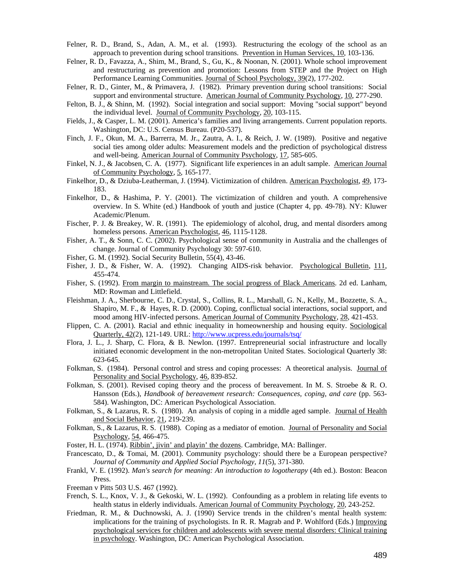- Felner, R. D., Brand, S., Adan, A. M., et al. (1993). Restructuring the ecology of the school as an approach to prevention during school transitions. Prevention in Human Services, 10, 103-136.
- Felner, R. D., Favazza, A., Shim, M., Brand, S., Gu, K., & Noonan, N. (2001). Whole school improvement and restructuring as prevention and promotion: Lessons from STEP and the Project on High Performance Learning Communities. Journal of School Psychology, 39(2), 177-202.
- Felner, R. D., Ginter, M., & Primavera, J. (1982). Primary prevention during school transitions: Social support and environmental structure. American Journal of Community Psychology, 10, 277-290.
- Felton, B. J., & Shinn, M. (1992). Social integration and social support: Moving "social support" beyond the individual level. Journal of Community Psychology, 20, 103-115.
- Fields, J., & Casper, L. M. (2001). America's families and living arrangements. Current population reports. Washington, DC: U.S. Census Bureau. (P20-537).
- Finch, J. F., Okun, M. A., Barrerra, M. Jr., Zautra, A. I., & Reich, J. W. (1989). Positive and negative social ties among older adults: Measurement models and the prediction of psychological distress and well-being. American Journal of Community Psychology, 17, 585-605.
- Finkel, N. J., & Jacobsen, C. A. (1977). Significant life experiences in an adult sample. American Journal of Community Psychology, 5, 165-177.
- Finkelhor, D., & Dziuba-Leatherman, J. (1994). Victimization of children. American Psychologist, 49, 173- 183.
- Finkelhor, D., & Hashima, P. Y. (2001). The victimization of children and youth. A comprehensive overview. In S. White (ed.) Handbook of youth and justice (Chapter 4, pp. 49-78). NY: Kluwer Academic/Plenum.
- Fischer, P. J. & Breakey, W. R. (1991). The epidemiology of alcohol, drug, and mental disorders among homeless persons. American Psychologist, 46, 1115-1128.
- Fisher, A. T., & Sonn, C. C. (2002). Psychological sense of community in Australia and the challenges of change. Journal of Community Psychology 30: 597-610.
- Fisher, G. M. (1992). Social Security Bulletin, 55(4), 43-46.
- Fisher, J. D., & Fisher, W. A. (1992). Changing AIDS-risk behavior. Psychological Bulletin, 111, 455-474.
- Fisher, S. (1992). From margin to mainstream. The social progress of Black Americans. 2d ed. Lanham, MD: Rowman and Littlefield.
- Fleishman, J. A., Sherbourne, C. D., Crystal, S., Collins, R. L., Marshall, G. N., Kelly, M., Bozzette, S. A., Shapiro, M. F., & Hayes, R. D. (2000). Coping, conflictual social interactions, social support, and mood among HIV-infected persons. American Journal of Community Psychology, 28, 421-453.
- Flippen, C. A. (2001). Racial and ethnic inequality in homeownership and housing equity. Sociological Quarterly, 42(2), 121-149. URL: <http://www.ucpress.edu/journals/tsq/>
- Flora, J. L., J. Sharp, C. Flora, & B. Newlon. (1997. Entrepreneurial social infrastructure and locally initiated economic development in the non-metropolitan United States. Sociological Quarterly 38: 623-645.
- Folkman, S. (1984). Personal control and stress and coping processes: A theoretical analysis. Journal of Personality and Social Psychology, 46, 839-852.
- Folkman, S. (2001). Revised coping theory and the process of bereavement. In M. S. Stroebe & R. O. Hansson (Eds.), *Handbook of bereavement research: Consequences, coping, and care* (pp. 563- 584). Washington, DC: American Psychological Association.
- Folkman, S., & Lazarus, R. S. (1980). An analysis of coping in a middle aged sample. Journal of Health and Social Behavior, 21, 219-239.
- Folkman, S., & Lazarus, R. S. (1988). Coping as a mediator of emotion. Journal of Personality and Social Psychology, 54, 466-475.
- Foster, H. L. (1974). Ribbin', jivin' and playin' the dozens. Cambridge, MA: Ballinger.
- Francescato, D., & Tomai, M. (2001). Community psychology: should there be a European perspective? *Journal of Community and Applied Social Psychology, 11*(5), 371-380.
- Frankl, V. E. (1992). *Man's search for meaning: An introduction to logotherapy* (4th ed.). Boston: Beacon Press.
- Freeman v Pitts 503 U.S. 467 (1992).
- French, S. L., Knox, V. J., & Gekoski, W. L. (1992). Confounding as a problem in relating life events to health status in elderly individuals. American Journal of Community Psychology, 20, 243-252.
- Friedman, R. M., & Duchnowski, A. J. (1990) Service trends in the children's mental health system: implications for the training of psychologists. In R. R. Magrab and P. Wohlford (Eds.) Improving psychological services for children and adolescents with severe mental disorders: Clinical training in psychology. Washington, DC: American Psychological Association.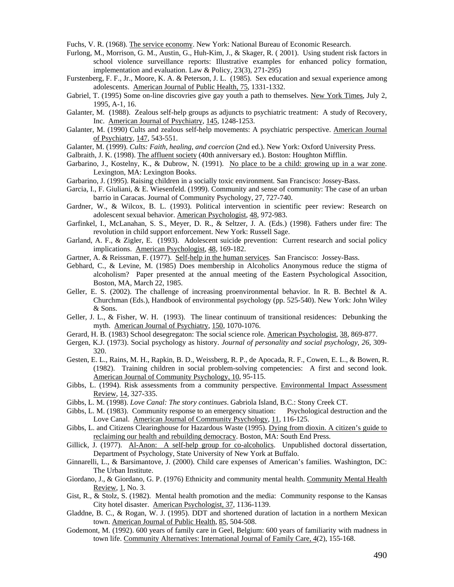Fuchs, V. R. (1968). The service economy. New York: National Bureau of Economic Research.

- Furlong, M., Morrison, G. M., Austin, G., Huh-Kim, J., & Skager, R. ( 2001). Using student risk factors in school violence surveillance reports: Illustrative examples for enhanced policy formation, implementation and evaluation. Law & Policy, 23(3), 271-295)
- Furstenberg, F. F., Jr., Moore, K. A. & Peterson, J. L. (1985). Sex education and sexual experience among adolescents. American Journal of Public Health, 75, 1331-1332.
- Gabriel, T. (1995) Some on-line discovries give gay youth a path to themselves. New York Times, July 2, 1995, A-1, 16.
- Galanter, M. (1988). Zealous self-help groups as adjuncts to psychiatric treatment: A study of Recovery, Inc. American Journal of Psychiatry, 145, 1248-1253.
- Galanter, M. (1990) Cults and zealous self-help movements: A psychiatric perspective. American Journal of Psychiatry, 147, 543-551.
- Galanter, M. (1999). *Cults: Faith, healing, and coercion* (2nd ed.). New York: Oxford University Press.
- Galbraith, J. K. (1998). The affluent society (40th anniversary ed.). Boston: Houghton Mifflin.
- Garbarino, J., Kostelny, K., & Dubrow, N. (1991). No place to be a child: growing up in a war zone. Lexington, MA: Lexington Books.
- Garbarino, J. (1995). Raising children in a socially toxic environment. San Francisco: Jossey-Bass.
- Garcia, I., F. Giuliani, & E. Wiesenfeld. (1999). Community and sense of community: The case of an urban barrio in Caracas. Journal of Community Psychology, 27, 727-740.
- Gardner, W., & Wilcox, B. L. (1993). Political intervention in scientific peer review: Research on adolescent sexual behavior. American Psychologist, 48, 972-983.
- Garfinkel, I., McLanahan, S. S., Meyer, D. R., & Seltzer, J. A. (Eds.) (1998). Fathers under fire: The revolution in child support enforcement. New York: Russell Sage.
- Garland, A. F., & Zigler, E. (1993). Adolescent suicide prevention: Current research and social policy implications. American Psychologist, 48, 169-182.
- Gartner, A. & Reissman, F. (1977). Self-help in the human services. San Francisco: Jossey-Bass.
- Gebhard, C., & Levine, M. (1985) Does membership in Alcoholics Anonymous reduce the stigma of alcoholism? Paper presented at the annual meeting of the Eastern Psychological Assocition, Boston, MA, March 22, 1985.
- Geller, E. S. (2002). The challenge of increasing proenvironmental behavior. In R. B. Bechtel & A. Churchman (Eds.), Handbook of environmental psychology (pp. 525-540). New York: John Wiley & Sons.
- Geller, J. L., & Fisher, W. H. (1993). The linear continuum of transitional residences: Debunking the myth. American Journal of Psychiatry, 150, 1070-1076.
- Gerard, H. B. (1983) School desegregaton: The social science role. American Psychologist, 38, 869-877.
- Gergen, K.J. (1973). Social psychology as history. *Journal of personality and social psychology*, *26*, 309- 320.
- Gesten, E. L., Rains, M. H., Rapkin, B. D., Weissberg, R. P., de Apocada, R. F., Cowen, E. L., & Bowen, R. (1982). Training children in social problem-solving competencies: A first and second look. American Journal of Community Psychology, 10, 95-115.
- Gibbs, L. (1994). Risk assessments from a community perspective. Environmental Impact Assessment Review, 14, 327-335.
- Gibbs, L. M. (1998). *Love Canal: The story continues*. Gabriola Island, B.C.: Stony Creek CT.
- Gibbs, L. M. (1983). Community response to an emergency situation: Psychological destruction and the Love Canal. American Journal of Community Psychology, 11, 116-125.
- Gibbs, L. and Citizens Clearinghouse for Hazardous Waste (1995). Dying from dioxin. A citizen's guide to reclaiming our health and rebuilding democracy. Boston, MA: South End Press.
- Gillick, J. (1977). Al-Anon: A self-help group for co-alcoholics. Unpublished doctoral dissertation, Department of Psychology, State University of New York at Buffalo.
- Ginnarelli, L., & Barsimantove, J. (2000). Child care expenses of American's families. Washington, DC: The Urban Institute.
- Giordano, J., & Giordano, G. P. (1976) Ethnicity and community mental health. Community Mental Health Review, 1, No. 3.
- Gist, R., & Stolz, S. (1982). Mental health promotion and the media: Community response to the Kansas City hotel disaster. American Psychologist, 37, 1136-1139.
- Gladdne, B. C., & Rogan, W. J. (1995). DDT and shortened duration of lactation in a northern Mexican town. American Journal of Public Health, 85, 504-508.
- Godemont, M. (1992). 600 years of family care in Geel, Belgium: 600 years of familiarity with madness in town life. Community Alternatives: International Journal of Family Care, 4(2), 155-168.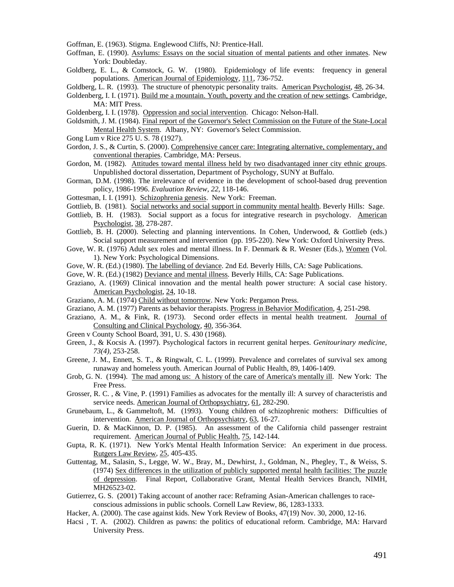Goffman, E. (1963). Stigma. Englewood Cliffs, NJ: Prentice-Hall.

- Goffman, E. (1990). Asylums: Essays on the social situation of mental patients and other inmates. New York: Doubleday.
- Goldberg, E. L., & Comstock, G. W. (1980). Epidemiology of life events: frequency in general populations. American Journal of Epidemiology, 111, 736-752.

Goldberg, L. R. (1993). The structure of phenotypic personality traits. American Psychologist, 48, 26-34.

- Goldenberg, I. I. (1971). Build me a mountain. Youth, poverty and the creation of new settings. Cambridge, MA: MIT Press.
- Goldenberg, I. I. (1978). Oppression and social intervention. Chicago: Nelson-Hall.
- Goldsmith, J. M. (1984). Final report of the Governor's Select Commission on the Future of the State-Local Mental Health System. Albany, NY: Governor's Select Commission.
- Gong Lum v Rice 275 U. S. 78 (1927).
- Gordon, J. S., & Curtin, S. (2000). Comprehensive cancer care: Integrating alternative, complementary, and conventional therapies. Cambridge, MA: Perseus.
- Gordon, M. (1982). Attitudes toward mental illness held by two disadvantaged inner city ethnic groups. Unpublished doctoral dissertation, Department of Psychology, SUNY at Buffalo.
- Gorman, D.M. (1998). The irrelevance of evidence in the development of school-based drug prevention policy, 1986-1996. *Evaluation Review, 22*, 118-146.
- Gottesman, I. I. (1991). Schizophrenia genesis. New York: Freeman.
- Gottlieb, B. (1981). Social networks and social support in community mental health. Beverly Hills: Sage.
- Gottlieb, B. H. (1983). Social support as a focus for integrative research in psychology. American Psychologist, 38, 278-287.
- Gottlieb, B. H. (2000). Selecting and planning interventions. In Cohen, Underwood, & Gottlieb (eds.) Social support measurement and intervention (pp. 195-220). New York: Oxford University Press.
- Gove, W. R. (1976) Adult sex roles and mental illness. In F. Denmark & R. Wesner (Eds.), Women (Vol. 1). New York: Psychological Dimensions.
- Gove, W. R. (Ed.) (1980). The labelling of deviance. 2nd Ed. Beverly Hills, CA: Sage Publications.
- Gove, W. R. (Ed.) (1982) Deviance and mental illness. Beverly Hills, CA: Sage Publications.
- Graziano, A. (1969) Clinical innovation and the mental health power structure: A social case history. American Psychologist, 24, 10-18.
- Graziano, A. M. (1974) Child without tomorrow. New York: Pergamon Press.
- Graziano, A. M. (1977) Parents as behavior therapists. Progress in Behavior Modification, 4, 251-298.
- Graziano, A. M., & Fink, R. (1973). Second order effects in mental health treatment. Journal of Consulting and Clinical Psychology, 40, 356-364.
- Green v County School Board, 391, U. S. 430 (1968).
- Green, J., & Kocsis A. (1997). Psychological factors in recurrent genital herpes. *Genitourinary medicine, 73(4),* 253-258.
- Greene, J. M., Ennett, S. T., & Ringwalt, C. L. (1999). Prevalence and correlates of survival sex among runaway and homeless youth. American Journal of Public Health, 89, 1406-1409.
- Grob, G. N. (1994). The mad among us: A history of the care of America's mentally ill. New York: The Free Press.
- Grosser, R. C., & Vine, P. (1991) Families as advocates for the mentally ill: A survey of characteristis and service needs. American Journal of Orthopsychiatry, 61, 282-290.
- Grunebaum, L., & Gammeltoft, M. (1993). Young children of schizophrenic mothers: Difficulties of intervention. American Journal of Orthopsychiatry, 63, 16-27.
- Guerin, D. & MacKinnon, D. P. (1985). An assessment of the California child passenger restraint requirement. American Journal of Public Health, 75, 142-144.
- Gupta, R. K. (1971). New York's Mental Health Information Service: An experiment in due process. Rutgers Law Review, 25, 405-435.
- Guttentag, M., Salasin, S., Legge, W. W., Bray, M., Dewhirst, J., Goldman, N., Phegley, T., & Weiss, S. (1974) Sex differences in the utilization of publicly supported mental health facilities: The puzzle of depression. Final Report, Collaborative Grant, Mental Health Services Branch, NIMH, MH26523-02.
- Gutierrez, G. S. (2001) Taking account of another race: Reframing Asian-American challenges to raceconscious admissions in public schools. Cornell Law Review, 86, 1283-1333.
- Hacker, A. (2000). The case against kids. New York Review of Books, 47(19) Nov. 30, 2000, 12-16.
- Hacsi , T. A. (2002). Children as pawns: the politics of educational reform. Cambridge, MA: Harvard University Press.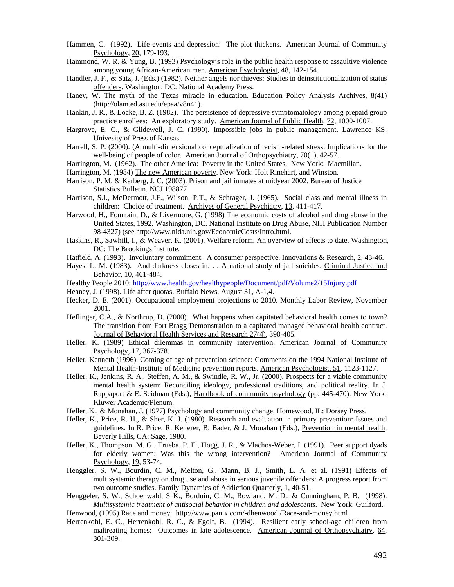- Hammen, C. (1992). Life events and depression: The plot thickens. American Journal of Community Psychology, 20, 179-193.
- Hammond, W. R. & Yung, B. (1993) Psychology's role in the public health response to assaultive violence among young African-American men. American Psychologist, 48, 142-154.
- Handler, J. F., & Satz, J. (Eds.) (1982). Neither angels nor thieves: Studies in deinstitutionalization of status offenders. Washington, DC: National Academy Press.
- Haney, W. The myth of the Texas miracle in education. Education Policy Analysis Archives, 8(41) (http://olam.ed.asu.edu/epaa/v8n41).
- Hankin, J. R., & Locke, B. Z. (1982). The persistence of depressive symptomatology among prepaid group practice enrollees: An exploratory study. American Journal of Public Health, 72, 1000-1007.
- Hargrove, E. C., & Glidewell, J. C. (1990). Impossible jobs in public management. Lawrence KS: Univesity of Press of Kansas.
- Harrell, S. P. (2000). (A multi-dimensional conceptualization of racism-related stress: Implications for the well-being of people of color. American Journal of Orthopsychiatry, 70(1), 42-57.
- Harrington, M. (1962). The other America: Poverty in the United States. New York: Macmillan.
- Harrington, M. (1984) The new American poverty. New York: Holt Rinehart, and Winston.
- Harrison, P. M. & Karberg, J. C. (2003). Prison and jail inmates at midyear 2002. Bureau of Justice Statistics Bulletin. NCJ 198877
- Harrison, S.I., McDermott, J.F., Wilson, P.T., & Schrager, J. (1965). Social class and mental illness in children: Choice of treatment. Archives of General Psychiatry, 13, 411-417.
- Harwood, H., Fountain, D., & Livermore, G. (1998) The economic costs of alcohol and drug abuse in the United States, 1992. Washington, DC. National Institute on Drug Abuse, NIH Publication Number 98-4327) (see http://www.nida.nih.gov/EconomicCosts/Intro.html.
- Haskins, R., Sawhill, I., & Weaver, K. (2001). Welfare reform. An overview of effects to date. Washington, DC: The Brookings Institute.
- Hatfield, A. (1993). Involuntary commiment: A consumer perspective. Innovations & Research, 2, 43-46.
- Hayes, L. M. (1983). And darkness closes in. . . A national study of jail suicides. Criminal Justice and Behavior, 10, 461-484.
- Healthy People 2010:<http://www.health.gov/healthypeople/Document/pdf/Volume2/15Injury.pdf>
- Heaney, J. (1998). Life after quotas. Buffalo News, August 31, A-1,4.
- Hecker, D. E. (2001). Occupational employment projections to 2010. Monthly Labor Review, November 2001.
- Heflinger, C.A., & Northrup, D. (2000). What happens when capitated behavioral health comes to town? The transition from Fort Bragg Demonstration to a capitated managed behavioral health contract. Journal of Behavioral Health Services and Research 27(4), 390-405.
- Heller, K. (1989) Ethical dilemmas in community intervention. American Journal of Community Psychology, 17, 367-378.
- Heller, Kenneth (1996). Coming of age of prevention science: Comments on the 1994 National Institute of Mental Health-Institute of Medicine prevention reports. American Psychologist, 51, 1123-1127.
- Heller, K., Jenkins, R. A., Steffen, A. M., & Swindle, R. W., Jr. (2000). Prospects for a viable community mental health system: Reconciling ideology, professional traditions, and political reality. In J. Rappaport & E. Seidman (Eds.), Handbook of community psychology (pp. 445-470). New York: Kluwer Academic/Plenum.
- Heller, K., & Monahan, J. (1977) Psychology and community change. Homewood, IL: Dorsey Press.
- Heller, K., Price, R. H., & Sher, K. J. (1980). Research and evaluation in primary prevention: Issues and guidelines. In R. Price, R. Ketterer, B. Bader, & J. Monahan (Eds.), Prevention in mental health. Beverly Hills, CA: Sage, 1980.
- Heller, K., Thompson, M. G., Trueba, P. E., Hogg, J. R., & Vlachos-Weber, I. (1991). Peer support dyads for elderly women: Was this the wrong intervention? American Journal of Community Psychology, 19, 53-74.
- Henggler, S. W., Bourdin, C. M., Melton, G., Mann, B. J., Smith, L. A. et al. (1991) Effects of multisystemic therapy on drug use and abuse in serious juvenile offenders: A progress report from two outcome studies. Family Dynamics of Addiction Quarterly, 1, 40-51.
- Henggeler, S. W., Schoenwald, S K., Borduin, C. M., Rowland, M. D., & Cunningham, P. B. (1998). *Multisystemic treatment of antisocial behavior in children and adolescents*. New York: Guilford.
- Henwood, (1995) Race and money. http://www.panix.com/-dhenwood /Race-and-money.html
- Herrenkohl, E. C., Herrenkohl, R. C., & Egolf, B. (1994). Resilient early school-age children from maltreating homes: Outcomes in late adolescence. American Journal of Orthopsychiatry, 64, 301-309.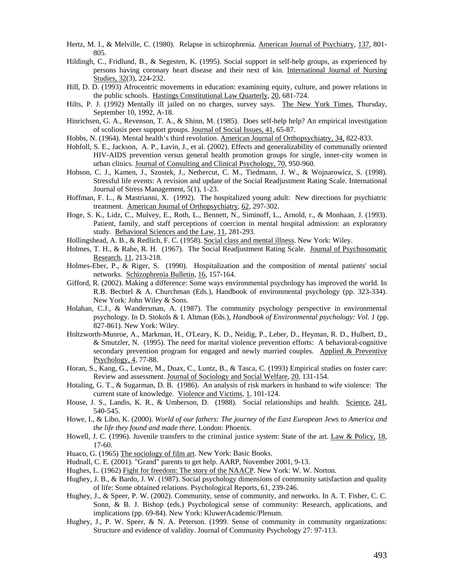- Hertz, M. I., & Melville, C. (1980). Relapse in schizophrenia. American Journal of Psychiatry, 137, 801- 805.
- Hildingh, C., Fridlund, B., & Segesten, K. (1995). Social support in self-help groups, as experienced by persons having coronary heart disease and their next of kin. International Journal of Nursing Studies, 32(3), 224-232.
- Hill, D. D. (1993) Afrocentric movements in education: examining equity, culture, and power relations in the public schools. Hastings Constitutional Law Quarterly, 20, 681-724.
- Hilts, P. J. (1992) Mentally ill jailed on no charges, survey says. The New York Times, Thursday, September 10, 1992, A-18.
- Hinrichsen, G. A., Revenson, T. A., & Shinn, M. (1985). Does self-help help? An empirical investigation of scoliosis peer support groups. Journal of Social Issues, 41, 65-87.
- Hobbs, N. (1964). Mental health's third revolution. American Journal of Orthopsychiatry, 34, 822-833.
- Hobfoll, S. E., Jackson, A. P., Lavin, J., et al. (2002). Effects and generalizability of communally oriented HIV-AIDS prevention versus general health promotion groups for single, inner-city women in urban clinics. Journal of Consulting and Clinical Psychology, 70, 950-960.
- Hobson, C. J., Kamen, J., Szostek, J., Nethercut, C. M., Tiedmann, J. W., & Wojnarowicz, S. (1998). Stressful life events: A revision and update of the Social Readjustment Rating Scale. International Journal of Stress Management, 5(1), 1-23.
- Hoffman, F. L., & Mastrianni, X. (1992). The hospitalized young adult: New directions for psychiatric treatment. American Journal of Orthopsychiatry, 62, 297-302.
- Hoge, S. K., Lidz, C., Mulvey, E., Roth, L., Bennett, N., Siminoff, L., Arnold, r., & Monhaan, J. (1993). Patient, family, and staff perceptions of coercion in mental hospital admission: an exploratory study. Behavioral Sciences and the Law, 11, 281-293.
- Hollingshead, A. B., & Redlich, F. C. (1958). Social class and mental illness. New York: Wiley.
- Holmes, T. H., & Rahe, R. H. (1967). The Social Readjustment Rating Scale. Journal of Psychosomatic Research, 11, 213-218.
- Holmes-Eber, P., & Riger, S. (1990). Hospitalization and the composition of mental patients' social networks. Schizophrenia Bulletin, 16, 157-164.
- Gifford, R. (2002). Making a difference: Some ways environmental psychology has improved the world. In R.B. Bechtel & A. Churchman (Eds.), Handbook of environmental psychology (pp. 323-334). New York: John Wiley & Sons.
- Holahan, C.J., & Wandersman, A. (1987). The community psychology perspective in environmental psychology. In D. Stokols & I. Altman (Eds.), *Handbook of Environmental psychology: Vol. 1* (pp. 827-861). New York: Wiley.
- Holtzworth-Munroe, A., Markman, H., O'Leary, K. D., Neidig, P., Leber, D., Heyman, R. D., Hulbert, D., & Smutzler, N. (1995). The need for marital violence prevention efforts: A behavioral-cognitive secondary prevention program for engaged and newly married couples. Applied & Preventive Psychology, 4, 77-88.
- Horan, S., Kang, G., Levine, M., Duax, C., Luntz, B., & Tasca, C. (1993) Empirical studies on foster care: Review and assessment. Journal of Sociology and Social Welfare, 20, 131-154.
- Hotaling, G. T., & Sugarman, D. B. (1986). An analysis of risk markers in husband to wife violence: The current state of knowledge. Violence and Victims, 1, 101-124.
- House, J. S., Landis, K. R., & Umberson, D. (1988). Social relationships and health. Science, 241, 540-545.
- Howe, I., & Libo, K. (2000). *World of our fathers: The journey of the East European Jews to America and the life they found and made there*. London: Phoenix.
- Howell, J. C. (1996). Juvenile transfers to the criminal justice system: State of the art. Law & Policy, 18, 17-60.
- Huaco, G. (1965) The sociology of film art. New York: Basic Books.
- Hudnall, C. E. (2001). "Grand" parents to get help. AARP, November 2001, 9-13.
- Hughes, L. (1962) Fight for freedom: The story of the NAACP. New York: W. W. Norton.
- Hughey, J. B., & Bardo, J. W. (1987). Social psychology dimensions of community satisfaction and quality of life: Some obtained relations. Psychological Reports, 61, 239-246.
- Hughey, J., & Speer, P. W. (2002). Community, sense of community, and networks. In A. T. Fisher, C. C. Sonn, & B. J. Bishop (eds.) Psychological sense of community: Research, applications, and implications (pp. 69-84). New York: KluwerAcademic/Plenum.
- Hughey, J., P. W. Speer, & N. A. Peterson. (1999. Sense of community in community organizations: Structure and evidence of validity. Journal of Community Psychology 27: 97-113.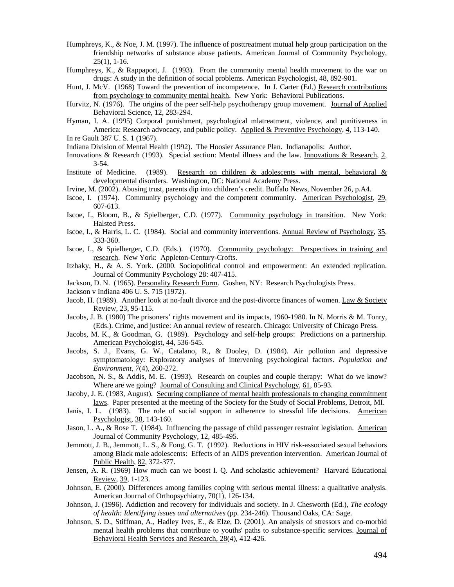- Humphreys, K., & Noe, J. M. (1997). The influence of posttreatment mutual help group participation on the friendship networks of substance abuse patients. American Journal of Community Psychology,  $25(1)$ , 1-16.
- Humphreys, K., & Rappaport, J. (1993). From the community mental health movement to the war on drugs: A study in the definition of social problems. American Psychologist, 48, 892-901.
- Hunt, J. McV. (1968) Toward the prevention of incompetence. In J. Carter (Ed.) Research contributions from psychology to community mental health. New York: Behavioral Publications.
- Hurvitz, N. (1976). The origins of the peer self-help psychotherapy group movement. Journal of Applied Behavioral Science, 12, 283-294.
- Hyman, I. A. (1995) Corporal punishment, psychological mlatreatment, violence, and punitiveness in America: Research advocacy, and public policy. Applied & Preventive Psychology, 4, 113-140.
- In re Gault 387 U. S. 1 (1967).
- Indiana Division of Mental Health (1992). The Hoosier Assurance Plan. Indianapolis: Author.
- Innovations & Research (1993). Special section: Mental illness and the law. Innovations & Research, 2, 3-54.
- Institute of Medicine. (1989). Research on children  $\&$  adolescents with mental, behavioral  $\&$ developmental disorders. Washington, DC: National Academy Press.
- Irvine, M. (2002). Abusing trust, parents dip into children's credit. Buffalo News, November 26, p.A4.
- Iscoe, I. (1974). Community psychology and the competent community. American Psychologist, 29, 607-613.
- Iscoe, I., Bloom, B., & Spielberger, C.D. (1977). Community psychology in transition. New York: Halsted Press.
- Iscoe, I., & Harris, L. C. (1984). Social and community interventions. Annual Review of Psychology, 35, 333-360.
- Iscoe, I., & Spielberger, C.D. (Eds.). (1970). Community psychology: Perspectives in training and research. New York: Appleton-Century-Crofts.
- Itzhaky, H., & A. S. York. (2000. Sociopolitical control and empowerment: An extended replication. Journal of Community Psychology 28: 407-415.
- Jackson, D. N. (1965). Personality Research Form. Goshen, NY: Research Psychologists Press.
- Jackson v Indiana 406 U. S. 715 (1972).
- Jacob, H. (1989). Another look at no-fault divorce and the post-divorce finances of women. Law & Society Review, 23, 95-115.
- Jacobs, J. B. (1980) The prisoners' rights movement and its impacts, 1960-1980. In N. Morris & M. Tonry, (Eds.). Crime, and justice: An annual review of research. Chicago: University of Chicago Press.
- Jacobs, M. K., & Goodman, G. (1989). Psychology and self-help groups: Predictions on a partnership. American Psychologist, 44, 536-545.
- Jacobs, S. J., Evans, G. W., Catalano, R., & Dooley, D. (1984). Air pollution and depressive symptomatology: Exploratory analyses of intervening psychological factors. *Population and Environment, 7*(4), 260-272.
- Jacobson, N. S., & Addis, M. E. (1993). Research on couples and couple therapy: What do we know? Where are we going? Journal of Consulting and Clinical Psychology, 61, 85-93.
- Jacoby, J. E. (1983, August). Securing compliance of mental health professionals to changing commitment laws. Paper presented at the meeting of the Society for the Study of Social Problems, Detroit, MI.
- Janis, I. L. (1983). The role of social support in adherence to stressful life decisions. American Psychologist, 38, 143-160.
- Jason, L. A., & Rose T. (1984). Influencing the passage of child passenger restraint legislation. American Journal of Community Psychology, 12, 485-495.
- Jemmott, J. B., Jemmott, L. S., & Fong, G. T. (1992). Reductions in HIV risk-associated sexual behaviors among Black male adolescents: Effects of an AIDS prevention intervention. American Journal of Public Health, 82, 372-377.
- Jensen, A. R. (1969) How much can we boost I. Q. And scholastic achievement? Harvard Educational Review, 39, 1-123.
- Johnson, E. (2000). Differences among families coping with serious mental illness: a qualitative analysis. American Journal of Orthopsychiatry, 70(1), 126-134.
- Johnson, J. (1996). Addiction and recovery for individuals and society. In J. Chesworth (Ed.), *The ecology of health: Identifying issues and alternatives* (pp. 234-246). Thousand Oaks, CA: Sage.
- Johnson, S. D., Stiffman, A., Hadley Ives, E., & Elze, D. (2001). An analysis of stressors and co-morbid mental health problems that contribute to youths' paths to substance-specific services. Journal of Behavioral Health Services and Research, 28(4), 412-426.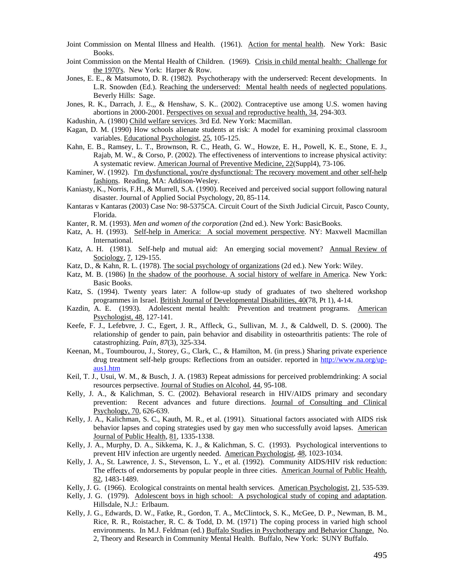- Joint Commission on Mental Illness and Health. (1961). Action for mental health. New York: Basic Books.
- Joint Commission on the Mental Health of Children. (1969). Crisis in child mental health: Challenge for the 1970's. New York: Harper & Row.
- Jones, E. E., & Matsumoto, D. R. (1982). Psychotherapy with the underserved: Recent developments. In L.R. Snowden (Ed.). <u>Reaching the underserved: Mental health needs of neglected populations</u>. Beverly Hills: Sage.
- Jones, R. K., Darrach, J. E.,, & Henshaw, S. K.. (2002). Contraceptive use among U.S. women having abortions in 2000-2001. Perspectives on sexual and reproductive health, 34, 294-303.
- Kadushin, A. (1980) Child welfare services. 3rd Ed. New York: Macmillan.
- Kagan, D. M. (1990) How schools alienate students at risk: A model for examining proximal classroom variables. Educational Psychologist, 25, 105-125.
- Kahn, E. B., Ramsey, L. T., Brownson, R. C., Heath, G. W., Howze, E. H., Powell, K. E., Stone, E. J., Rajab, M. W., & Corso, P. (2002). The effectiveness of interventions to increase physical activity: A systematic review. American Journal of Preventive Medicine, 22(Suppl4), 73-106.
- Kaminer, W. (1992). I'm dysfunctional, you're dysfunctional: The recovery movement and other self-help fashions. Reading, MA: Addison-Wesley.
- Kaniasty, K., Norris, F.H., & Murrell, S.A. (1990). Received and perceived social support following natural disaster. Journal of Applied Social Psychology, 20, 85-114.
- Kantaras v Kantaras (2003) Case No: 98-5375CA. Circuit Court of the Sixth Judicial Circuit, Pasco County, Florida.
- Kanter, R. M. (1993). *Men and women of the corporation* (2nd ed.). New York: BasicBooks.
- Katz, A. H. (1993). Self-help in America: A social movement perspective. NY: Maxwell Macmillan International.
- Katz, A. H. (1981). Self-help and mutual aid: An emerging social movement? Annual Review of Sociology, 7, 129-155.
- Katz, D., & Kahn, R. L. (1978). The social psychology of organizations (2d ed.). New York: Wiley.
- Katz, M. B. (1986) In the shadow of the poorhouse. A social history of welfare in America. New York: Basic Books.
- Katz, S. (1994). Twenty years later: A follow-up study of graduates of two sheltered workshop programmes in Israel. British Journal of Developmental Disabilities, 40(78, Pt 1), 4-14.
- Kazdin, A. E. (1993). Adolescent mental health: Prevention and treatment programs. American Psychologist, 48, 127-141.
- Keefe, F. J., Lefebvre, J. C., Egert, J. R., Affleck, G., Sullivan, M. J., & Caldwell, D. S. (2000). The relationship of gender to pain, pain behavior and disability in osteoarthritis patients: The role of catastrophizing. *Pain, 87*(3), 325-334.
- Keenan, M., Toumbourou, J., Storey, G., Clark, C., & Hamilton, M. (in press.) Sharing private experience drug treatment self-help groups: Reflections from an outsider. reported in [http://www.na.org/up](http://www.na.org/up-aus1.htm)[aus1.htm](http://www.na.org/up-aus1.htm)
- Keil, T. J., Usui, W. M., & Busch, J. A. (1983) Repeat admissions for perceived problemdrinking: A social resources perpsective. Journal of Studies on Alcohol, 44, 95-108.
- Kelly, J. A., & Kalichman, S. C. (2002). Behavioral research in HIV/AIDS primary and secondary prevention: Recent advances and future directions. Journal of Consulting and Clinical Psychology, 70, 626-639.
- Kelly, J. A., Kalichman, S. C., Kauth, M. R., et al. (1991). Situational factors associated with AIDS risk behavior lapses and coping strategies used by gay men who successfully avoid lapses. American Journal of Public Health, 81, 1335-1338.
- Kelly, J. A., Murphy, D. A., Sikkema, K. J., & Kalichman, S. C. (1993). Psychological interventions to prevent HIV infection are urgently needed. American Psychologist, 48, 1023-1034.
- Kelly, J. A., St. Lawrence, J. S., Stevenson, L. Y., et al. (1992). Community AIDS/HIV risk reduction: The effects of endorsements by popular people in three cities. American Journal of Public Health, 82, 1483-1489.
- Kelly, J. G. (1966). Ecological constraints on mental health services. American Psychologist, 21, 535-539.
- Kelly, J. G. (1979). Adolescent boys in high school: A psychological study of coping and adaptation. Hillsdale, N.J.: Erlbaum.
- Kelly, J. G., Edwards, D. W., Fatke, R., Gordon, T. A., McClintock, S. K., McGee, D. P., Newman, B. M., Rice, R. R., Roistacher, R. C. & Todd, D. M. (1971) The coping process in varied high school environments. In M.J. Feldman (ed.) Buffalo Studies in Psychotherapy and Behavior Change. No. 2, Theory and Research in Community Mental Health. Buffalo, New York: SUNY Buffalo.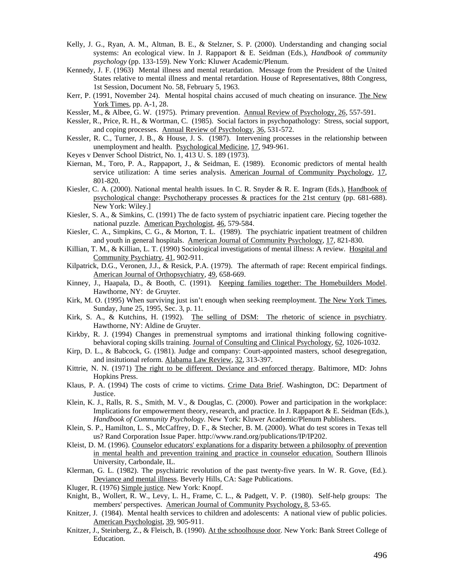- Kelly, J. G., Ryan, A. M., Altman, B. E., & Stelzner, S. P. (2000). Understanding and changing social systems: An ecological view. In J. Rappaport & E. Seidman (Eds.), *Handbook of community psychology* (pp. 133-159). New York: Kluwer Academic/Plenum.
- Kennedy, J. F. (1963) Mental illness and mental retardation. Message from the President of the United States relative to mental illness and mental retardation. House of Representatives, 88th Congress, 1st Session, Document No. 58, February 5, 1963.
- Kerr, P. (1991, November 24). Mental hospital chains accused of much cheating on insurance. The New York Times, pp. A-1, 28.
- Kessler, M., & Albee, G. W. (1975). Primary prevention. Annual Review of Psychology, 26, 557-591.
- Kessler, R., Price, R. H., & Wortman, C. (1985). Social factors in psychopathology: Stress, social support, and coping processes. Annual Review of Psychology, 36, 531-572.
- Kessler, R. C., Turner, J. B., & House, J. S. (1987). Intervening processes in the relationship between unemployment and health. Psychological Medicine, 17, 949-961.
- Keyes v Denver School District, No. 1, 413 U. S. 189 (1973).
- Kiernan, M., Toro, P. A., Rappaport, J., & Seidman, E. (1989). Economic predictors of mental health service utilization: A time series analysis. American Journal of Community Psychology, 17, 801-820.
- Kiesler, C. A. (2000). National mental health issues. In C. R. Snyder & R. E. Ingram (Eds.), Handbook of psychological change: Psychotherapy processes & practices for the 21st century (pp. 681-688). New York: Wiley.]
- Kiesler, S. A., & Simkins, C. (1991) The de facto system of psychiatric inpatient care. Piecing together the national puzzle. American Psychologist, 46, 579-584.
- Kiesler, C. A., Simpkins, C. G., & Morton, T. L. (1989). The psychiatric inpatient treatment of children and youth in general hospitals. American Journal of Community Psychology, 17, 821-830.
- Killian, T. M., & Killian, L. T. (1990) Sociological investigations of mental illness: A review. Hospital and Community Psychiatry, 41, 902-911.
- Kilpatrick, D.G., Veronen, J.J., & Resick, P.A. (1979). The aftermath of rape: Recent empirical findings. American Journal of Orthopsychiatry, 49, 658-669.
- Kinney, J., Haapala, D., & Booth, C. (1991). Keeping families together: The Homebuilders Model. Hawthorne, NY: de Gruyter.
- Kirk, M. O. (1995) When surviving just isn't enough when seeking reemployment. The New York Times, Sunday, June 25, 1995, Sec. 3, p. 11.
- Kirk, S. A., & Kutchins, H. (1992). The selling of DSM: The rhetoric of science in psychiatry. Hawthorne, NY: Aldine de Gruyter.
- Kirkby, R. J. (1994) Changes in premenstrual symptoms and irrational thinking following cognitivebehavioral coping skills training. Journal of Consulting and Clinical Psychology, 62, 1026-1032.
- Kirp, D. L., & Babcock, G. (1981). Judge and company: Court-appointed masters, school desegregation, and insitutional reform. Alabama Law Review, 32, 313-397.
- Kittrie, N. N. (1971) The right to be different. Deviance and enforced therapy. Baltimore, MD: Johns Hopkins Press.
- Klaus, P. A. (1994) The costs of crime to victims. Crime Data Brief. Washington, DC: Department of Justice.
- Klein, K. J., Ralls, R. S., Smith, M. V., & Douglas, C. (2000). Power and participation in the workplace: Implications for empowerment theory, research, and practice. In J. Rappaport & E. Seidman (Eds.), *Handbook of Community Psychology.* New York: Kluwer Academic/Plenum Publishers.
- Klein, S. P., Hamilton, L. S., McCaffrey, D. F., & Stecher, B. M. (2000). What do test scores in Texas tell us? Rand Corporation Issue Paper. http://www.rand.org/publications/IP/IP202.
- Kleist, D. M. (1996). Counselor educators' explanations for a disparity between a philosophy of prevention in mental health and prevention training and practice in counselor education. Southern Illinois University, Carbondale, IL.
- Klerman, G. L. (1982). The psychiatric revolution of the past twenty-five years. In W. R. Gove, (Ed.). Deviance and mental illness. Beverly Hills, CA: Sage Publications.
- Kluger, R. (1976) Simple justice. New York: Knopf.
- Knight, B., Wollert, R. W., Levy, L. H., Frame, C. L., & Padgett, V. P. (1980). Self-help groups: The members' perspectives. American Journal of Community Psychology, 8, 53-65.
- Knitzer, J. (1984). Mental health services to children and adolescents: A national view of public policies. American Psychologist, 39, 905-911.
- Knitzer, J., Steinberg, Z., & Fleisch, B. (1990). At the schoolhouse door. New York: Bank Street College of Education.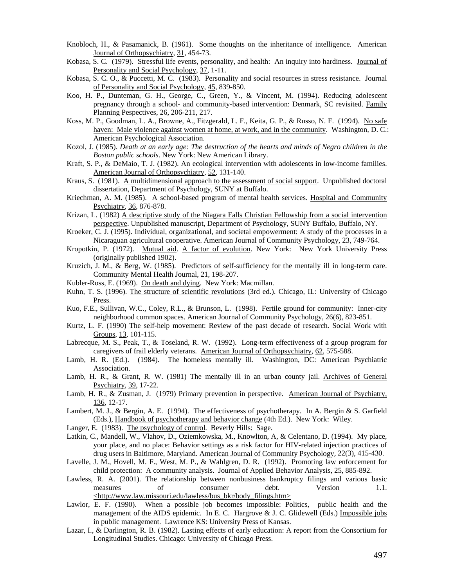- Knobloch, H., & Pasamanick, B. (1961). Some thoughts on the inheritance of intelligence. American Journal of Orthopsychiatry, 31, 454-73.
- Kobasa, S. C. (1979). Stressful life events, personality, and health: An inquiry into hardiness. Journal of Personality and Social Psychology, 37, 1-11.
- Kobasa, S. C. O., & Puccetti, M. C. (1983). Personality and social resources in stress resistance. Journal of Personality and Social Psychology, 45, 839-850.
- Koo, H. P., Dunteman, G. H., George, C., Green, Y., & Vincent, M. (1994). Reducing adolescent pregnancy through a school- and community-based intervention: Denmark, SC revisited. Family Planning Pespectives, 26, 206-211, 217.
- Koss, M. P., Goodman, L. A., Browne, A., Fitzgerald, L. F., Keita, G. P., & Russo, N. F. (1994). No safe haven: Male violence against women at home, at work, and in the community. Washington, D. C.: American Psychological Association.
- Kozol, J. (1985). *Death at an early age: The destruction of the hearts and minds of Negro children in the Boston public schools*. New York: New American Library.
- Kraft, S. P., & DeMaio, T. J. (1982). An ecological intervention with adolescents in low-income families. American Journal of Orthopsychiatry, 52, 131-140.
- Kraus, S. (1981). A multidimensional approach to the assessment of social support. Unpublished doctoral dissertation, Department of Psychology, SUNY at Buffalo.
- Kriechman, A. M. (1985). A school-based program of mental health services. Hospital and Community Psychiatry, 36, 876-878.
- Krizan, L. (1982) A descriptive study of the Niagara Falls Christian Fellowship from a social intervention perspective. Unpublished manuscript, Department of Psychology, SUNY Buffalo, Buffalo, NY.
- Kroeker, C. J. (1995). Individual, organizational, and societal empowerment: A study of the processes in a Nicaraguan agricultural cooperative. American Journal of Community Psychology, 23, 749-764.
- Kropotkin, P. (1972). Mutual aid. A factor of evolution. New York: New York University Press (originally published 1902).
- Kruzich, J. M., & Berg, W. (1985). Predictors of self-sufficiency for the mentally ill in long-term care. Community Mental Health Journal, 21, 198-207.
- Kubler-Ross, E. (1969). On death and dying. New York: Macmillan.
- Kuhn, T. S. (1996). The structure of scientific revolutions (3rd ed.). Chicago, IL: University of Chicago Press.
- Kuo, F.E., Sullivan, W.C., Coley, R.L., & Brunson, L. (1998). Fertile ground for community: Inner-city neighborhood common spaces. American Journal of Community Psychology, 26(6), 823-851.
- Kurtz, L. F. (1990) The self-help movement: Review of the past decade of research. Social Work with Groups, 13, 101-115.
- Labrecque, M. S., Peak, T., & Toseland, R. W. (1992). Long-term effectiveness of a group program for caregivers of frail elderly veterans. American Journal of Orthopsychiatry, 62, 575-588.
- Lamb, H. R. (Ed.). (1984). The homeless mentally ill. Washington, DC: American Psychiatric Association.
- Lamb, H. R., & Grant, R. W. (1981) The mentally ill in an urban county jail. Archives of General Psychiatry, 39, 17-22.
- Lamb, H. R., & Zusman, J. (1979) Primary prevention in perspective. American Journal of Psychiatry, 136, 12-17.
- Lambert, M. J., & Bergin, A. E. (1994). The effectiveness of psychotherapy. In A. Bergin & S. Garfield (Eds.), Handbook of psychotherapy and behavior change (4th Ed.). New York: Wiley.
- Langer, E. (1983). The psychology of control. Beverly Hills: Sage.
- Latkin, C., Mandell, W., Vlahov, D., Oziemkowska, M., Knowlton, A, & Celentano, D. (1994). My place, your place, and no place: Behavior settings as a risk factor for HIV-related injection practices of drug users in Baltimore, Maryland. American Journal of Community Psychology, 22(3), 415-430.
- Lavelle, J. M., Hovell, M. F., West, M. P., & Wahlgren, D. R. (1992). Promoting law enforcement for child protection: A community analysis. Journal of Applied Behavior Analysis, 25, 885-892.
- Lawless, R. A. (2001). The relationship between nonbusiness bankruptcy filings and various basic measures of consumer debt. Version 1.1. <http://www.law.missouri.edu/lawless/bus\_bkr/body\_filings.htm>
- Lawlor, E. F. (1990). When a possible job becomes impossible: Politics, public health and the management of the AIDS epidemic. In E. C. Hargrove & J. C. Glidewell (Eds.) Impossible jobs in public management. Lawrence KS: University Press of Kansas.
- Lazar, I., & Darlington, R. B. (1982). Lasting effects of early education: A report from the Consortium for Longitudinal Studies. Chicago: University of Chicago Press.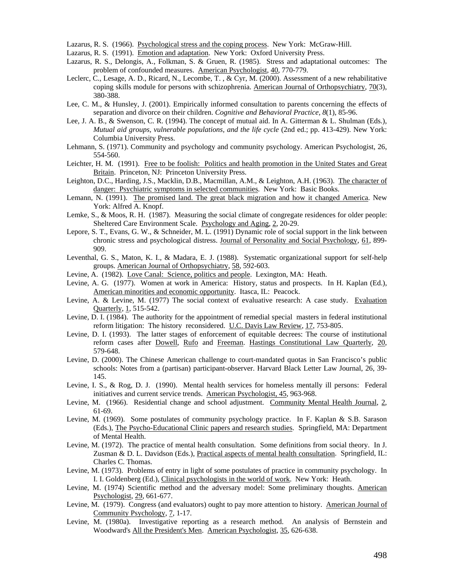Lazarus, R. S. (1966). Psychological stress and the coping process. New York: McGraw-Hill.

- Lazarus, R. S. (1991). Emotion and adaptation. New York: Oxford University Press.
- Lazarus, R. S., Delongis, A., Folkman, S. & Gruen, R. (1985). Stress and adaptational outcomes: The problem of confounded measures. American Psychologist, 40, 770-779.
- Leclerc, C., Lesage, A. D., Ricard, N., Lecombe, T. , & Cyr, M. (2000). Assessment of a new rehabilitative coping skills module for persons with schizophrenia. American Journal of Orthopsychiatry, 70(3), 380-388.
- Lee, C. M., & Hunsley, J. (2001). Empirically informed consultation to parents concerning the effects of separation and divorce on their children. *Cognitive and Behavioral Practice, 8*(1), 85-96.
- Lee, J. A. B., & Swenson, C. R. (1994). The concept of mutual aid. In A. Gitterman & L. Shulman (Eds.), *Mutual aid groups, vulnerable populations, and the life cycle* (2nd ed.; pp. 413-429). New York: Columbia University Press.
- Lehmann, S. (1971). Community and psychology and community psychology. American Psychologist, 26, 554-560.
- Leichter, H. M. (1991). Free to be foolish: Politics and health promotion in the United States and Great Britain. Princeton, NJ: Princeton University Press.
- Leighton, D.C., Harding, J.S., Macklin, D.B., Macmillan, A.M., & Leighton, A.H. (1963). The character of danger: Psychiatric symptoms in selected communities. New York: Basic Books.
- Lemann, N. (1991). The promised land. The great black migration and how it changed America. New York: Alfred A. Knopf.
- Lemke, S., & Moos, R. H. (1987). Measuring the social climate of congregate residences for older people: Sheltered Care Environment Scale. Psychology and Aging, 2, 20-29.
- Lepore, S. T., Evans, G. W., & Schneider, M. L. (1991) Dynamic role of social support in the link between chronic stress and psychological distress. Journal of Personality and Social Psychology, 61, 899- 909.
- Leventhal, G. S., Maton, K. I., & Madara, E. J. (1988). Systematic organizational support for self-help groups. American Journal of Orthopsychiatry, 58, 592-603.
- Levine, A. (1982). Love Canal: Science, politics and people. Lexington, MA: Heath.
- Levine, A. G. (1977). Women at work in America: History, status and prospects. In H. Kaplan (Ed.), American minorities and economic opportunity. Itasca, IL: Peacock.
- Levine, A. & Levine, M. (1977) The social context of evaluative research: A case study. Evaluation Quarterly, 1, 515-542.
- Levine, D. I. (1984). The authority for the appointment of remedial special masters in federal institutional reform litigation: The history reconsidered. U.C. Davis Law Review, 17, 753-805.
- Levine, D. I. (1993). The latter stages of enforcement of equitable decrees: The course of institutional reform cases after Dowell, Rufo and Freeman. Hastings Constitutional Law Quarterly, 20, 579-648.
- Levine, D. (2000). The Chinese American challenge to court-mandated quotas in San Francisco's public schools: Notes from a (partisan) participant-observer. Harvard Black Letter Law Journal, 26, 39- 145.
- Levine, I. S., & Rog, D. J. (1990). Mental health services for homeless mentally ill persons: Federal initiatives and current service trends. American Psychologist, 45, 963-968.
- Levine, M. (1966). Residential change and school adjustment. Community Mental Health Journal, 2, 61-69.
- Levine, M. (1969). Some postulates of community psychology practice. In F. Kaplan & S.B. Sarason (Eds.), The Psycho-Educational Clinic papers and research studies. Springfield, MA: Department of Mental Health.
- Levine, M. (1972). The practice of mental health consultation. Some definitions from social theory. In J. Zusman & D. L. Davidson (Eds.), Practical aspects of mental health consultation. Springfield, IL: Charles C. Thomas.
- Levine, M. (1973). Problems of entry in light of some postulates of practice in community psychology. In I. I. Goldenberg (Ed.), Clinical psychologists in the world of work. New York: Heath.
- Levine, M. (1974) Scientific method and the adversary model: Some preliminary thoughts. American Psychologist, 29, 661-677.
- Levine, M. (1979). Congress (and evaluators) ought to pay more attention to history. American Journal of Community Psychology, 7, 1-17.
- Levine, M. (1980a). Investigative reporting as a research method. An analysis of Bernstein and Woodward's All the President's Men. American Psychologist, 35, 626-638.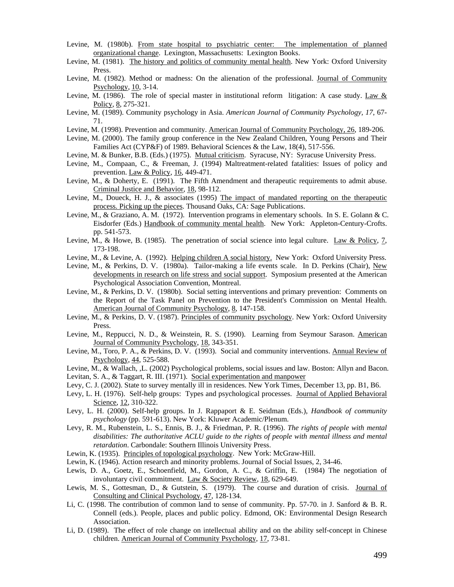- Levine, M. (1980b). From state hospital to psychiatric center: The implementation of planned organizational change. Lexington, Massachusetts: Lexington Books.
- Levine, M. (1981). The history and politics of community mental health. New York: Oxford University Press.
- Levine, M. (1982). Method or madness: On the alienation of the professional. Journal of Community Psychology, 10, 3-14.
- Levine, M. (1986). The role of special master in institutional reform litigation: A case study. Law & Policy, 8, 275-321.
- Levine, M. (1989). Community psychology in Asia. *American Journal of Community Psychology, 17*, 67- 71.
- Levine, M. (1998). Prevention and community. American Journal of Community Psychology, 26, 189-206.
- Levine, M. (2000). The family group conference in the New Zealand Children, Young Persons and Their Families Act (CYP&F) of 1989. Behavioral Sciences & the Law, 18(4), 517-556.
- Levine, M. & Bunker, B.B. (Eds.) (1975). Mutual criticism. Syracuse, NY: Syracuse University Press.
- Levine, M., Compaan, C., & Freeman, J. (1994) Maltreatment-related fatalities: Issues of policy and prevention. Law & Policy, 16, 449-471.
- Levine, M., & Doherty, E. (1991). The Fifth Amendment and therapeutic requirements to admit abuse. Criminal Justice and Behavior, 18, 98-112.
- Levine, M., Doueck, H. J., & associates (1995) The impact of mandated reporting on the therapeutic process. Picking up the pieces. Thousand Oaks, CA: Sage Publications.
- Levine, M., & Graziano, A. M. (1972). Intervention programs in elementary schools. In S. E. Golann & C. Eisdorfer (Eds.) Handbook of community mental health. New York: Appleton-Century-Crofts. pp. 541-573.
- Levine, M., & Howe, B. (1985). The penetration of social science into legal culture. Law & Policy, 7, 173-198.
- Levine, M., & Levine, A. (1992). Helping children A social history. New York: Oxford University Press.
- Levine, M., & Perkins, D. V. (1980a). Tailor-making a life events scale. In D. Perkins (Chair), New developments in research on life stress and social support. Symposium presented at the American Psychological Association Convention, Montreal.
- Levine, M., & Perkins, D. V. (1980b). Social setting interventions and primary prevention: Comments on the Report of the Task Panel on Prevention to the President's Commission on Mental Health. American Journal of Community Psychology, 8, 147-158.
- Levine, M., & Perkins, D. V. (1987). Principles of community psychology. New York: Oxford University Press.
- Levine, M., Reppucci, N. D., & Weinstein, R. S. (1990). Learning from Seymour Sarason. American Journal of Community Psychology, 18, 343-351.
- Levine, M., Toro, P. A., & Perkins, D. V. (1993). Social and community interventions. Annual Review of Psychology, 44, 525-588.
- Levine, M., & Wallach, ,L. (2002) Psychological problems, social issues and law. Boston: Allyn and Bacon.
- Levitan, S. A., & Taggart, R. III. (1971). Social experimentation and manpower
- Levy, C. J. (2002). State to survey mentally ill in residences. New York Times, December 13, pp. B1, B6.
- Levy, L. H. (1976). Self-help groups: Types and psychological processes. Journal of Applied Behavioral Science, 12, 310-322.
- Levy, L. H. (2000). Self-help groups. In J. Rappaport & E. Seidman (Eds.), *Handbook of community psychology* (pp. 591-613). New York: Kluwer Academic/Plenum.
- Levy, R. M., Rubenstein, L. S., Ennis, B. J., & Friedman, P. R. (1996). *The rights of people with mental disabilities: The authoritative ACLU guide to the rights of people with mental illness and mental retardation*. Carbondale: Southern Illinois University Press.
- Lewin, K. (1935). Principles of topological psychology. New York: McGraw-Hill.
- Lewin, K. (1946). Action research and minority problems. Journal of Social Issues, 2, 34-46.
- Lewis, D. A., Goetz, E., Schoenfield, M., Gordon, A. C., & Griffin, E. (1984) The negotiation of involuntary civil commitment. Law & Society Review, 18, 629-649.
- Lewis, M. S., Gottesman, D., & Gutstein, S. (1979). The course and duration of crisis. Journal of Consulting and Clinical Psychology, 47, 128-134.
- Li, C. (1998. The contribution of common land to sense of community. Pp. 57-70. in J. Sanford & B. R. Connell (eds.). People, places and public policy. Edmond, OK: Environmental Design Research Association.
- Li, D. (1989). The effect of role change on intellectual ability and on the ability self-concept in Chinese children. American Journal of Community Psychology, 17, 73-81.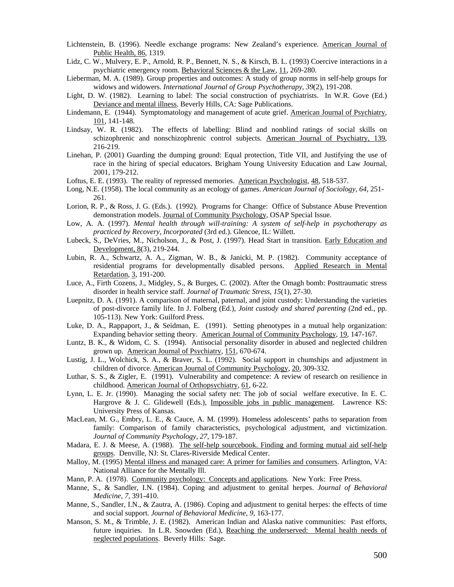- Lichtenstein, B. (1996). Needle exchange programs: New Zealand's experience. American Journal of Public Health, 86, 1319.
- Lidz, C. W., Mulvery, E. P., Arnold, R. P., Bennett, N. S., & Kirsch, B. L. (1993) Coercive interactions in a psychiatric emergency room. Behavioral Sciences & the Law, 11, 269-280.
- Lieberman, M. A. (1989). Group properties and outcomes: A study of group norms in self-help groups for widows and widowers. *International Journal of Group Psychotherapy, 39*(2), 191-208.
- Light, D. W. (1982). Learning to label: The social construction of psychiatrists. In W.R. Gove (Ed.) Deviance and mental illness. Beverly Hills, CA: Sage Publications.
- Lindemann, E. (1944). Symptomatology and management of acute grief. American Journal of Psychiatry, 101, 141-148.
- Lindsay, W. R. (1982). The effects of labelling: Blind and nonblind ratings of social skills on schizophrenic and nonschizophrenic control subjects. American Journal of Psychiatry, 139, 216-219.
- Linehan, P. (2001) Guarding the dumping ground: Equal protection, Title VII, and Justifying the use of race in the hiring of special educators. Brigham Young University Education and Law Journal, 2001, 179-212.
- Loftus, E. E. (1993). The reality of repressed memories. American Psychologist, 48, 518-537.
- Long, N.E. (1958). The local community as an ecology of games. *American Journal of Sociology, 64*, 251- 261.
- Lorion, R. P., & Ross, J. G. (Eds.). (1992). Programs for Change: Office of Substance Abuse Prevention demonstration models. Journal of Community Psychology, OSAP Special Issue.
- Low, A. A. (1997). *Mental health through will-training: A system of self-help in psychotherapy as practiced by Recovery, Incorporated* (3rd ed.). Glencoe, IL: Willett.
- Lubeck, S., DeVries, M., Nicholson, J., & Post, J. (1997). Head Start in transition. Early Education and Development, 8(3), 219-244.
- Lubin, R. A., Schwartz, A. A., Zigman, W. B., & Janicki, M. P. (1982). Community acceptance of residential programs for developmentally disabled persons. Applied Research in Mental Retardation, 3, 191-200.
- Luce, A., Firth Cozens, J., Midgley, S., & Burges, C. (2002). After the Omagh bomb: Posttraumatic stress disorder in health service staff. *Journal of Traumatic Stress, 15*(1), 27-30.
- Luepnitz, D. A. (1991). A comparison of maternal, paternal, and joint custody: Understanding the varieties of post-divorce family life. In J. Folberg (Ed.), *Joint custody and shared parenting* (2nd ed., pp. 105-113). New York: Guilford Press.
- Luke, D. A., Rappaport, J., & Seidman, E. (1991). Setting phenotypes in a mutual help organization: Expanding behavior setting theory. American Journal of Community Psychology, 19, 147-167.
- Luntz, B. K., & Widom, C. S. (1994). Antisocial personality disorder in abused and neglected children grown up. American Journal of Psychiatry, 151, 670-674.
- Lustig, J. L., Wolchick, S. A., & Braver, S. L. (1992). Social support in chumships and adjustment in children of divorce. American Journal of Community Psychology, 20, 309-332.
- Luthar, S. S., & Zigler, E. (1991). Vulnerability and competence: A review of research on resilience in childhood. American Journal of Orthopsychiatry, 61, 6-22.
- Lynn, L. E. Jr. (1990). Managing the social safety net: The job of social welfare executive. In E. C. Hargrove & J. C. Glidewell (Eds.), Impossible jobs in public management. Lawrence KS: University Press of Kansas.
- MacLean, M. G., Embry, L. E., & Cauce, A. M. (1999). Homeless adolescents' paths to separation from family: Comparison of family characteristics, psychological adjustment, and victimization. *Journal of Community Psychology, 27*, 179-187.
- Madara, E. J. & Meese, A. (1988). The self-help sourcebook. Finding and forming mutual aid self-help groups. Denville, NJ: St. Clares-Riverside Medical Center.
- Malloy, M. (1995) Mental illness and managed care: A primer for families and consumers. Arlington, VA: National Alliance for the Mentally Ill.
- Mann, P. A. (1978). Community psychology: Concepts and applications. New York: Free Press.
- Manne, S., & Sandler, I.N. (1984). Coping and adjustment to genital herpes. *Journal of Behavioral Medicine, 7*, 391-410.
- Manne, S., Sandler, I.N., & Zautra, A. (1986). Coping and adjustment to genital herpes: the effects of time and social support. *Journal of Behavioral Medicine, 9*, 163-177.
- Manson, S. M., & Trimble, J. E. (1982). American Indian and Alaska native communities: Past efforts, future inquiries. In L.R. Snowden (Ed.), Reaching the underserved: Mental health needs of neglected populations. Beverly Hills: Sage.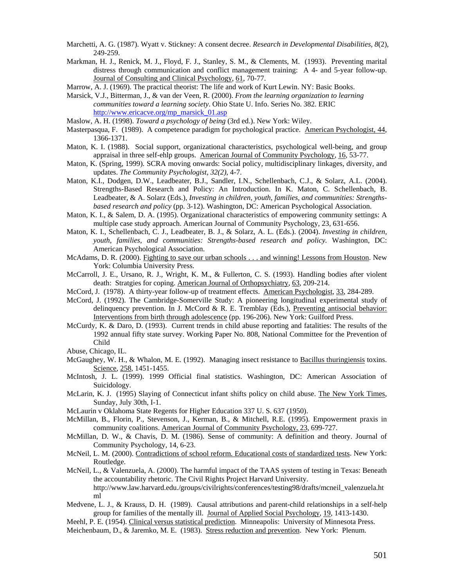- Marchetti, A. G. (1987). Wyatt v. Stickney: A consent decree. *Research in Developmental Disabilities, 8*(2), 249-259.
- Markman, H. J., Renick, M. J., Floyd, F. J., Stanley, S. M., & Clements, M. (1993). Preventing marital distress through communication and conflict management training: A 4- and 5-year follow-up. Journal of Consulting and Clinical Psychology, 61, 70-77.
- Marrow, A. J. (1969). The practical theorist: The life and work of Kurt Lewin. NY: Basic Books.
- Marsick, V.J., Bitterman, J., & van der Veen, R. (2000). *From the learning organization to learning communities toward a learning society*. Ohio State U. Info. Series No. 382. ERIC [http://www.ericacve.org/mp\\_marsick\\_01.asp](http://www.ericacve.org/mp_marsick_01.asp)
- Maslow, A. H. (1998). *Toward a psychology of being* (3rd ed.). New York: Wiley.
- Masterpasqua, F. (1989). A competence paradigm for psychological practice. American Psychologist, 44, 1366-1371.
- Maton, K. I. (1988). Social support, organizational characteristics, psychological well-being, and group appraisal in three self-ehlp groups. American Journal of Community Psychology, 16, 53-77.
- Maton, K. (Spring, 1999). SCRA moving onwards: Social policy, multidisciplinary linkages, diversity, and updates. *The Community Psychologist*, *32(2)*, 4-7.
- Maton, K.I., Dodgen, D.W., Leadbeater, B.J., Sandler, I.N., Schellenbach, C.J., & Solarz, A.L. (2004). Strengths-Based Research and Policy: An Introduction. In K. Maton, C. Schellenbach, B. Leadbeater, & A. Solarz (Eds.), *Investing in children, youth, families, and communities: Strengthsbased research and policy* (pp. 3-12). Washington, DC: American Psychological Association.
- Maton, K. I., & Salem, D. A. (1995). Organizational characteristics of empowering community settings: A multiple case study approach. American Journal of Community Psychology, 23, 631-656.
- Maton, K. I., Schellenbach, C. J., Leadbeater, B. J., & Solarz, A. L. (Eds.). (2004). *Investing in children, youth, families, and communities: Strengths-based research and policy.* Washington, DC: American Psychological Association.
- McAdams, D. R. (2000). Fighting to save our urban schools . . . and winning! Lessons from Houston. New York: Columbia University Press.
- McCarroll, J. E., Ursano, R. J., Wright, K. M., & Fullerton, C. S. (1993). Handling bodies after violent death: Stratgies for coping. American Journal of Orthopsychiatry, 63, 209-214.
- McCord, J. (1978). A thirty-year follow-up of treatment effects. American Psychologist, 33, 284-289.
- McCord, J. (1992). The Cambridge-Somerville Study: A pioneering longitudinal experimental study of delinquency prevention. In J. McCord & R. E. Tremblay (Eds.), Preventing antisocial behavior: Interventions from birth through adolescence (pp. 196-206). New York: Guilford Press.
- McCurdy, K. & Daro, D. (1993). Current trends in child abuse reporting and fatalities: The results of the 1992 annual fifty state survey. Working Paper No. 808, National Committee for the Prevention of Child
- Abuse, Chicago, IL.
- McGaughey, W. H., & Whalon, M. E. (1992). Managing insect resistance to Bacillus thuringiensis toxins. Science, 258, 1451-1455.
- McIntosh, J. L. (1999). 1999 Official final statistics. Washington, DC: American Association of Suicidology.
- McLarin, K. J. (1995) Slaying of Connecticut infant shifts policy on child abuse. The New York Times, Sunday, July 30th, I-1.
- McLaurin v Oklahoma State Regents for Higher Education 337 U. S. 637 (1950).
- McMillan, B., Florin, P., Stevenson, J., Kerman, B., & Mitchell, R.E. (1995). Empowerment praxis in community coalitions. American Journal of Community Psychology, 23, 699-727.
- McMillan, D. W., & Chavis, D. M. (1986). Sense of community: A definition and theory. Journal of Community Psychology, 14, 6-23.
- McNeil, L. M. (2000). Contradictions of school reform. Educational costs of standardized tests. New York: Routledge.
- McNeil, L., & Valenzuela, A. (2000). The harmful impact of the TAAS system of testing in Texas: Beneath the accountability rhetoric. The Civil Rights Project Harvard University. http://www.law.harvard.edu./groups/civilrights/conferences/testing98/drafts/mcneil\_valenzuela.ht ml
- Medvene, L. J., & Krauss, D. H. (1989). Causal attributions and parent-child relationships in a self-help group for families of the mentally ill. Journal of Applied Social Psychology, 19, 1413-1430.
- Meehl, P. E. (1954). Clinical versus statistical prediction. Minneapolis: University of Minnesota Press.
- Meichenbaum, D., & Jaremko, M. E. (1983). Stress reduction and prevention. New York: Plenum.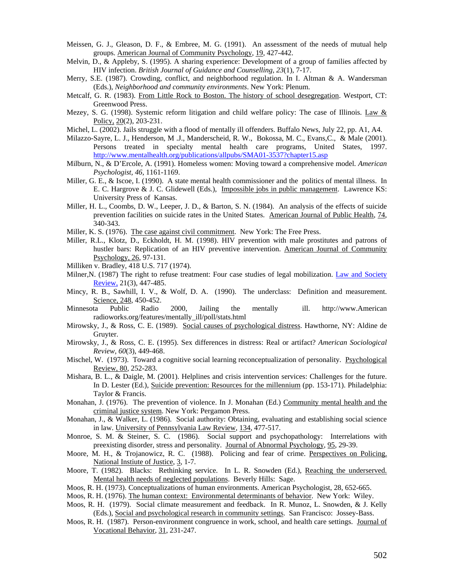- Meissen, G. J., Gleason, D. F., & Embree, M. G. (1991). An assessment of the needs of mutual help groups. American Journal of Community Psychology, 19, 427-442.
- Melvin, D., & Appleby, S. (1995). A sharing experience: Development of a group of families affected by HIV infection. *British Journal of Guidance and Counselling, 23*(1), 7-17.
- Merry, S.E. (1987). Crowding, conflict, and neighborhood regulation. In I. Altman & A. Wandersman (Eds.), *Neighborhood and community environments*. New York: Plenum.
- Metcalf, G. R. (1983). From Little Rock to Boston. The history of school desegregation. Westport, CT: Greenwood Press.
- Mezey, S. G. (1998). Systemic reform litigation and child welfare policy: The case of Illinois. Law & Policy, 20(2), 203-231.
- Michel, L. (2002). Jails struggle with a flood of mentally ill offenders. Buffalo News, July 22, pp. A1, A4.
- Milazzo-Sayre, L. J., Henderson, M .J., Manderscheid, R. W., Bokossa, M. C., Evans,C., & Male (2001). Persons treated in specialty mental health care programs, United States, 1997. <http://www.mentalhealth.org/publications/allpubs/SMA01-3537?chapter15.asp>
- Milburn, N., & D'Ercole, A. (1991). Homeless women: Moving toward a comprehensive model. *American Psychologist, 46*, 1161-1169.
- Miller, G. E., & Iscoe, I. (1990). A state mental health commissioner and the politics of mental illness. In E. C. Hargrove & J. C. Glidewell (Eds.), Impossible jobs in public management. Lawrence KS: University Press of Kansas.
- Miller, H. L., Coombs, D. W., Leeper, J. D., & Barton, S. N. (1984). An analysis of the effects of suicide prevention facilities on suicide rates in the United States. American Journal of Public Health, 74, 340-343.
- Miller, K. S. (1976). The case against civil commitment. New York: The Free Press.
- Miller, R.L., Klotz, D., Eckholdt, H. M. (1998). HIV prevention with male prostitutes and patrons of hustler bars: Replication of an HIV preventive intervention. American Journal of Community Psychology, 26, 97-131.
- Milliken v. Bradley, 418 U.S. 717 (1974).
- Milner, N. (1987) The right to refuse treatment: Four case studies of legal mobilization. Law and Society [Review,](javascript:s() 21(3), 447-485.
- Mincy, R. B., Sawhill, I. V., & Wolf, D. A. (1990). The underclass: Definition and measurement. Science, 248, 450-452.
- Minnesota Public Radio 2000, Jailing the mentally ill. http://www.American radioworks.org/features/mentally\_ill/poll/stats.html
- Mirowsky, J., & Ross, C. E. (1989). Social causes of psychological distress. Hawthorne, NY: Aldine de Gruyter.
- Mirowsky, J., & Ross, C. E. (1995). Sex differences in distress: Real or artifact? *American Sociological Review, 60*(3), 449-468.
- Mischel, W. (1973). Toward a cognitive social learning reconceptualization of personality. Psychological Review, 80, 252-283.
- Mishara, B. L., & Daigle, M. (2001). Helplines and crisis intervention services: Challenges for the future. In D. Lester (Ed.), Suicide prevention: Resources for the millennium (pp. 153-171). Philadelphia: Taylor & Francis.
- Monahan, J. (1976). The prevention of violence. In J. Monahan (Ed.) Community mental health and the criminal justice system. New York: Pergamon Press.
- Monahan, J., & Walker, L. (1986). Social authority: Obtaining, evaluating and establishing social science in law. University of Pennsylvania Law Review, 134, 477-517.
- Monroe, S. M. & Steiner, S. C. (1986). Social support and psychopathology: Interrelations with preexisting disorder, stress and personality. Journal of Abnormal Psychology, 95, 29-39.
- Moore, M. H., & Trojanowicz, R. C. (1988). Policing and fear of crime. Perspectives on Policing. National Instiute of Justice, 3, 1-7.
- Moore, T. (1982). Blacks: Rethinking service. In L. R. Snowden (Ed.), Reaching the underserved. Mental health needs of neglected populations. Beverly Hills: Sage.
- Moos, R. H. (1973). Conceptualizations of human environments. American Psychologist, 28, 652-665.
- Moos, R. H. (1976). The human context: Environmental determinants of behavior. New York: Wiley.
- Moos, R. H. (1979). Social climate measurement and feedback. In R. Munoz, L. Snowden, & J. Kelly (Eds.), Social and psychological research in community settings. San Francisco: Jossey-Bass.
- Moos, R. H. (1987). Person-environment congruence in work, school, and health care settings. Journal of Vocational Behavior, 31, 231-247.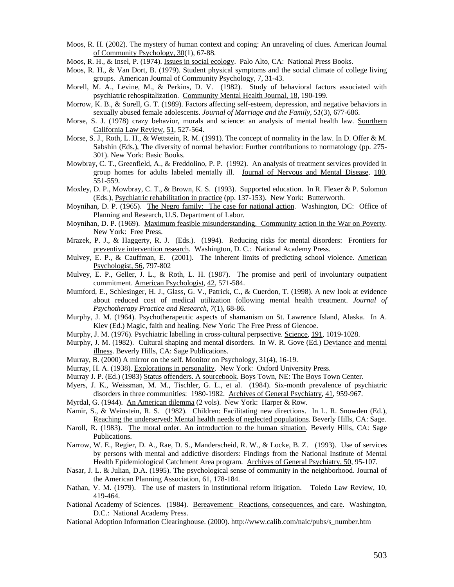- Moos, R. H. (2002). The mystery of human context and coping: An unraveling of clues. American Journal of Community Psychology, 30(1), 67-88.
- Moos, R. H., & Insel, P. (1974). Issues in social ecology. Palo Alto, CA: National Press Books.
- Moos, R. H., & Van Dort, B. (1979). Student physical symptoms and the social climate of college living groups. American Journal of Community Psychology, 7, 31-43.
- Morell, M. A., Levine, M., & Perkins, D. V. (1982). Study of behavioral factors associated with psychiatric rehospitalization. Community Mental Health Journal, 18, 190-199.
- Morrow, K. B., & Sorell, G. T. (1989). Factors affecting self-esteem, depression, and negative behaviors in sexually abused female adolescents. *Journal of Marriage and the Family, 51*(3), 677-686.
- Morse, S. J. (1978) crazy behavior, morals and science: an analysis of mental health law. Sourthern California Law Review, 51, 527-564.
- Morse, S. J., Roth, L. H., & Wettstein, R. M. (1991). The concept of normality in the law. In D. Offer & M. Sabshin (Eds.), The diversity of normal behavior: Further contributions to normatology (pp. 275- 301). New York: Basic Books.
- Mowbray, C. T., Greenfield, A., & Freddolino, P. P. (1992). An analysis of treatment services provided in group homes for adults labeled mentally ill. Journal of Nervous and Mental Disease, 180, 551-559.
- Moxley, D. P., Mowbray, C. T., & Brown, K. S. (1993). Supported education. In R. Flexer & P. Solomon (Eds.), Psychiatric rehabilitation in practice (pp. 137-153). New York: Butterworth.
- Moynihan, D. P. (1965). The Negro family: The case for national action. Washington, DC: Office of Planning and Research, U.S. Department of Labor.
- Moynihan, D. P. (1969). Maximum feasible misunderstanding. Community action in the War on Poverty. New York: Free Press.
- Mrazek, P. J., & Haggerty, R. J. (Eds.). (1994). Reducing risks for mental disorders: Frontiers for preventive intervention research. Washington, D. C.: National Academy Press.
- Mulvey, E. P., & Cauffman, E. (2001). The inherent limits of predicting school violence. American Psychologist, 56, 797-802
- Mulvey, E. P., Geller, J. L., & Roth, L. H. (1987). The promise and peril of involuntary outpatient commitment. American Psychologist, 42, 571-584.
- Mumford, E., Schlesinger, H. J., Glass, G. V., Patrick, C., & Cuerdon, T. (1998). A new look at evidence about reduced cost of medical utilization following mental health treatment. *Journal of Psychotherapy Practice and Research, 7*(1), 68-86.
- Murphy, J. M. (1964). Psychotherapeutic aspects of shamanism on St. Lawrence Island, Alaska. In A. Kiev (Ed.) Magic, faith and healing. New York: The Free Press of Glencoe.
- Murphy, J. M. (1976). Psychiatric labelling in cross-cultural perpsective. Science, 191, 1019-1028.
- Murphy, J. M. (1982). Cultural shaping and mental disorders. In W. R. Gove (Ed.) Deviance and mental illness. Beverly Hills, CA: Sage Publications.
- Murray, B. (2000) A mirror on the self. Monitor on Psychology, 31(4), 16-19.
- Murray, H. A. (1938). Explorations in personality. New York: Oxford University Press.
- Murray J. P. (Ed.) (1983) Status offenders. A sourcebook. Boys Town, NE: The Boys Town Center.
- Myers, J. K., Weissman, M. M., Tischler, G. L., et al. (1984). Six-month prevalence of psychiatric disorders in three communities: 1980-1982. Archives of General Psychiatry, 41, 959-967.
- Myrdal, G. (1944). An American dilemma (2 vols). New York: Harper & Row.
- Namir, S., & Weinstein, R. S. (1982). Children: Facilitating new directions. In L. R. Snowden (Ed.), Reaching the underserved: Mental health needs of neglected populations. Beverly Hills, CA: Sage.
- Naroll, R. (1983). The moral order. An introduction to the human situation. Beverly Hills, CA: Sage Publications.
- Narrow, W. E., Regier, D. A., Rae, D. S., Manderscheid, R. W., & Locke, B. Z. (1993). Use of services by persons with mental and addictive disorders: Findings from the National Institute of Mental Health Epidemiological Catchment Area program. Archives of General Psychiatry, 50, 95-107.
- Nasar, J. L. & Julian, D.A. (1995). The psychological sense of community in the neighborhood. Journal of the American Planning Association, 61, 178-184.
- Nathan, V. M. (1979). The use of masters in institutional reform litigation. Toledo Law Review, 10, 419-464.
- National Academy of Sciences. (1984). Bereavement: Reactions, consequences, and care. Washington, D.C.: National Academy Press.
- National Adoption Information Clearinghouse. (2000). http://www.calib.com/naic/pubs/s\_number.htm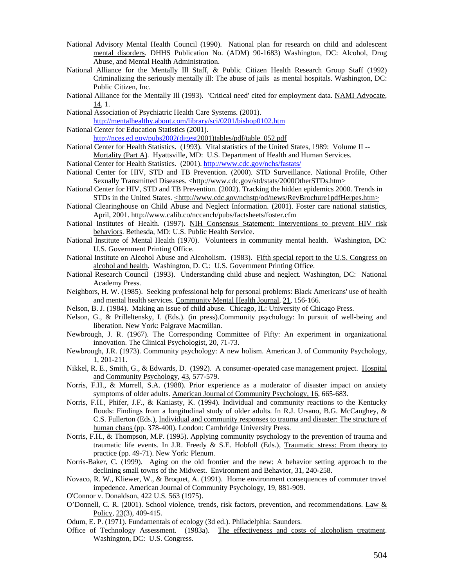- National Advisory Mental Health Council (1990). National plan for research on child and adolescent mental disorders. DHHS Publication No. (ADM) 90-1683) Washington, DC: Alcohol, Drug Abuse, and Mental Health Administration.
- National Alliance for the Mentally Ill Staff, & Public Citizen Health Research Group Staff (1992) Criminalizing the seriously mentally ill: The abuse of jails as mental hospitals. Washington, DC: Public Citizen, Inc.
- National Alliance for the Mentally Ill (1993). 'Critical need' cited for employment data. NAMI Advocate, 14, 1.
- National Association of Psychiatric Health Care Systems. (2001). <http://mentalhealthy.about.com/library/sci/0201/bishop0102.htm>
- National Center for Education Statistics (2001). [http://nces.ed.gov/pubs2002\(digest2](http://nces.ed.gov/pubs2002(digest)001)tables/pdf/table\_052.pdf
- National Center for Health Statistics. (1993). Vital statistics of the United States, 1989: Volume II --Mortality (Part A). Hyattsville, MD: U.S. Department of Health and Human Services.
- National Center for Health Statistics. (2001). <http://www.cdc.gov/nchs/fastats/>
- National Center for HIV, STD and TB Prevention. (2000). STD Surveillance. National Profile, Other Sexually Transmitted Diseases. <http://www.cdc.gov/std/stats/2000OtherSTDs.htm>
- National Center for HIV, STD and TB Prevention. (2002). Tracking the hidden epidemics 2000. Trends in STDs in the United States. <http://www.cdc.gov/nchstp/od/news/RevBrochure1pdfHerpes.htm>
- National Clearinghouse on Child Abuse and Neglect Information. (2001). Foster care national statistics, April, 2001. http://www.calib.co/nccanch/pubs/factsheets/foster.cfm
- National Institutes of Health. (1997). NIH Consensus Statement: Interventions to prevent HIV risk behaviors. Bethesda, MD: U.S. Public Health Service.
- National Institute of Mental Health (1970). Volunteers in community mental health. Washington, DC: U.S. Government Printing Office.
- National Institute on Alcohol Abuse and Alcoholism. (1983). Fifth special report to the U.S. Congress on alcohol and health. Washington, D. C.: U.S. Government Printing Office.
- National Research Council (1993). Understanding child abuse and neglect. Washington, DC: National Academy Press.
- Neighbors, H. W. (1985). Seeking professional help for personal problems: Black Americans' use of health and mental health services. Community Mental Health Journal, 21, 156-166.
- Nelson, B. J. (1984). Making an issue of child abuse. Chicago, IL: University of Chicago Press.
- Nelson, G., & Prilleltensky, I. (Eds.). (in press).Community psychology: In pursuit of well-being and liberation. New York: Palgrave Macmillan.
- Newbrough, J. R. (1967). The Corresponding Committee of Fifty: An experiment in organizational innovation. The Clinical Psychologist, 20, 71-73.
- Newbrough, J.R. (1973). Community psychology: A new holism. American J. of Community Psychology, 1, 201-211.
- Nikkel, R. E., Smith, G., & Edwards, D. (1992). A consumer-operated case management project. Hospital and Community Psychology, 43, 577-579.
- Norris, F.H., & Murrell, S.A. (1988). Prior experience as a moderator of disaster impact on anxiety symptoms of older adults. American Journal of Community Psychology, 16, 665-683.
- Norris, F.H., Phifer, J.F., & Kaniasty, K. (1994). Individual and community reactions to the Kentucky floods: Findings from a longitudinal study of older adults. In R.J. Ursano, B.G. McCaughey, & C.S. Fullerton (Eds.), Individual and community responses to trauma and disaster: The structure of human chaos (pp. 378-400). London: Cambridge University Press.
- Norris, F.H., & Thompson, M.P. (1995). Applying community psychology to the prevention of trauma and traumatic life events. In J.R. Freedy & S.E. Hobfoll (Eds.), Traumatic stress: From theory to practice (pp. 49-71). New York: Plenum.
- Norris-Baker, C. (1999). Aging on the old frontier and the new: A behavior setting approach to the declining small towns of the Midwest. Environment and Behavior, 31, 240-258.
- Novaco, R. W., Kliewer, W., & Broquet, A. (1991). Home environment consequences of commuter travel impedence. American Journal of Community Psychology, 19, 881-909.
- O'Connor v. Donaldson, 422 U.S. 563 (1975).
- O'Donnell, C. R. (2001). School violence, trends, risk factors, prevention, and recommendations. Law & Policy, 23(3), 409-415.
- Odum, E. P. (1971). Fundamentals of ecology (3d ed.). Philadelphia: Saunders.
- Office of Technology Assessment. (1983a). The effectiveness and costs of alcoholism treatment. Washington, DC: U.S. Congress.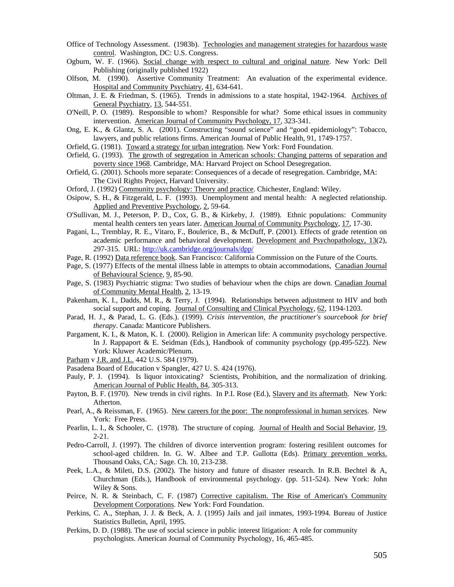- Office of Technology Assessment. (1983b). Technologies and management strategies for hazardous waste control. Washington, DC: U.S. Congress.
- Ogburn, W. F. (1966). Social change with respect to cultural and original nature. New York: Dell Publishing (originally published 1922)
- Olfson, M. (1990). Assertive Community Treatment: An evaluation of the experimental evidence. Hospital and Community Psychiatry, 41, 634-641.
- Oltman, J. E. & Friedman, S. (1965). Trends in admissions to a state hospital, 1942-1964. Archives of General Psychiatry, 13, 544-551.
- O'Neill, P. O. (1989). Responsible to whom? Responsible for what? Some ethical issues in community intervention. American Journal of Community Psychology, 17, 323-341.
- Ong, E. K., & Glantz, S. A. (2001). Constructing "sound science" and "good epidemiology": Tobacco, lawyers, and public relations firms. American Journal of Public Health, 91, 1749-1757.
- Orfield, G. (1981). Toward a strategy for urban integration. New York: Ford Foundation.
- Orfield, G. (1993). The growth of segregation in American schools: Changing patterns of separation and poverty since 1968. Cambridge, MA: Harvard Project on School Desegregation.
- Orfield, G. (2001). Schools more separate: Consequences of a decade of resegregation. Cambridge, MA: The Civil Rights Project, Harvard University.
- Orford, J. (1992) Community psychology: Theory and practice. Chichester, England: Wiley.
- Osipow, S. H., & Fitzgerald, L. F. (1993). Unemployment and mental health: A neglected relationship. Applied and Preventive Psychology, 2, 59-64.
- O'Sullivan, M. J., Peterson, P. D., Cox, G. B., & Kirkeby, J. (1989). Ethnic populations: Community mental health centers ten years later. American Journal of Community Psychology, 17, 17-30.
- Pagani, L., Tremblay, R. E., Vitaro, F., Boulerice, B., & McDuff, P. (2001). Effects of grade retention on academic performance and behavioral development. Development and Psychopathology, 13(2), 297-315. URL:<http://uk.cambridge.org/journals/dpp/>
- Page, R. (1992) Data reference book. San Francisco: California Commission on the Future of the Courts.
- Page, S. (1977) Effects of the mental illness lable in attempts to obtain accommodations, Canadian Journal of Behavioural Science, 9, 85-90.
- Page, S. (1983) Psychiatric stigma: Two studies of behaviour when the chips are down. Canadian Journal of Community Mental Health, 2, 13-19.
- Pakenham, K. I., Dadds, M. R., & Terry, J. (1994). Relationships between adjustment to HIV and both social support and coping. Journal of Consulting and Clinical Psychology, 62, 1194-1203.
- Parad, H. J., & Parad, L. G. (Eds.). (1999). *Crisis intervention, the practitioner's sourcebook for brief therapy*. Canada: Manticore Publishers.
- Pargament, K. I., & Maton, K. I. (2000). Religion in American life: A community psychology perspective. In J. Rappaport & E. Seidman (Eds.), Handbook of community psychology (pp.495-522). New York: Kluwer Academic/Plenum.
- Parham v J.R. and J.L. 442 U.S. 584 (1979).
- Pasadena Board of Education v Spangler, 427 U. S. 424 (1976).
- Pauly, P. J. (1994). Is liquor intoxicating? Scientists, Prohibition, and the normalization of drinking. American Journal of Public Health, 84, 305-313.
- Payton, B. F. (1970). New trends in civil rights. In P.I. Rose (Ed.), Slavery and its aftermath. New York: Atherton.
- Pearl, A., & Reissman, F. (1965). New careers for the poor: The nonprofessional in human services. New York: Free Press.
- Pearlin, L. I., & Schooler, C. (1978). The structure of coping. Journal of Health and Social Behavior, 19, 2-21.
- Pedro-Carroll, J. (1997). The children of divorce intervention program: fostering resililent outcomes for school-aged children. In. G. W. Albee and T.P. Gullotta (Eds). Primary prevention works. Thousand Oaks, CA,: Sage. Ch. 10, 213-238.
- Peek, L.A., & Mileti, D.S. (2002). The history and future of disaster research. In R.B. Bechtel & A, Churchman (Eds.), Handbook of environmental psychology. (pp. 511-524). New York: John Wiley & Sons.
- Peirce, N. R. & Steinbach, C. F. (1987) Corrective capitalism. The Rise of American's Community Development Corporations. New York: Ford Foundation.
- Perkins, C. A., Stephan, J. J. & Beck, A. J. (1995) Jails and jail inmates, 1993-1994. Bureau of Justice Statistics Bulletin, April, 1995.
- Perkins, D. D. (1988). The use of social science in public interest litigation: A role for community psychologists. American Journal of Community Psychology, 16, 465-485.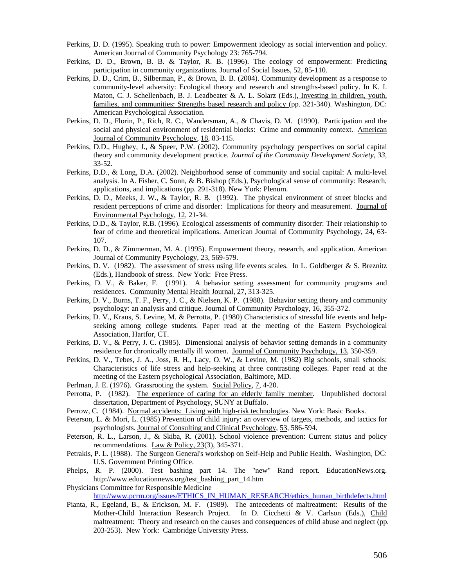- Perkins, D. D. (1995). Speaking truth to power: Empowerment ideology as social intervention and policy. American Journal of Community Psychology 23: 765-794.
- Perkins, D. D., Brown, B. B. & Taylor, R. B. (1996). The ecology of empowerment: Predicting participation in community organizations. Journal of Social Issues, 52, 85-110.
- Perkins, D. D., Crim, B., Silberman, P., & Brown, B. B. (2004). Community development as a response to community-level adversity: Ecological theory and research and strengths-based policy. In K. I. Maton, C. J. Schellenbach, B. J. Leadbeater & A. L. Solarz (Eds.), Investing in children, youth, families, and communities: Strengths based research and policy (pp. 321-340). Washington, DC: American Psychological Association.
- Perkins, D. D., Florin, P., Rich, R. C., Wandersman, A., & Chavis, D. M. (1990). Participation and the social and physical environment of residential blocks: Crime and community context. American Journal of Community Psychology, 18, 83-115.
- Perkins, D.D., Hughey, J., & Speer, P.W. (2002). Community psychology perspectives on social capital theory and community development practice. *Journal of the Community Development Society, 33*, 33-52.
- Perkins, D.D., & Long, D.A. (2002). Neighborhood sense of community and social capital: A multi-level analysis. In A. Fisher, C. Sonn, & B. Bishop (Eds.), Psychological sense of community: Research, applications, and implications (pp. 291-318). New York: Plenum.
- Perkins, D. D., Meeks, J. W., & Taylor, R. B. (1992). The physical environment of street blocks and resident perceptions of crime and disorder: Implications for theory and measurement. Journal of Environmental Psychology, 12, 21-34.
- Perkins, D.D., & Taylor, R.B. (1996). Ecological assessments of community disorder: Their relationship to fear of crime and theoretical implications. American Journal of Community Psychology, 24, 63- 107.
- Perkins, D. D., & Zimmerman, M. A. (1995). Empowerment theory, research, and application. American Journal of Community Psychology, 23, 569-579.
- Perkins, D. V. (1982). The assessment of stress using life events scales. In L. Goldberger & S. Breznitz (Eds.), Handbook of stress. New York: Free Press.
- Perkins, D. V., & Baker, F. (1991). A behavior setting assessment for community programs and residences. Community Mental Health Journal, 27, 313-325.
- Perkins, D. V., Burns, T. F., Perry, J. C., & Nielsen, K. P. (1988). Behavior setting theory and community psychology: an analysis and critique. Journal of Community Psychology, 16, 355-372.
- Perkins, D. V., Kraus, S. Levine, M. & Perrotta, P. (1980) Characteristics of stressful life events and helpseeking among college students. Paper read at the meeting of the Eastern Psychological Association, Hartfor, CT.
- Perkins, D. V., & Perry, J. C. (1985). Dimensional analysis of behavior setting demands in a community residence for chronically mentally ill women. Journal of Community Psychology, 13, 350-359.
- Perkins, D. V., Tebes, J. A., Joss, R. H., Lacy, O. W., & Levine, M. (1982) Big schools, small schools: Characteristics of life stress and help-seeking at three contrasting colleges. Paper read at the meeting of the Eastern psychological Association, Baltimore, MD.
- Perlman, J. E. (1976). Grassrooting the system. Social Policy, 7, 4-20.
- Perrotta, P. (1982). The experience of caring for an elderly family member. Unpublished doctoral dissertation, Department of Psychology, SUNY at Buffalo.
- Perrow, C. (1984). Normal accidents: Living with high-risk technologies. New York: Basic Books.
- Peterson, L. & Mori, L. (1985) Prevention of child injury: an overview of targets, methods, and tactics for psychologists. Journal of Consulting and Clinical Psychology, 53, 586-594.
- Peterson, R. L., Larson, J., & Skiba, R. (2001). School violence prevention: Current status and policy recommendations. Law & Policy,  $23(3)$ , 345-371.
- Petrakis, P. L. (1988). The Surgeon General's workshop on Self-Help and Public Health. Washington, DC: U.S. Government Printing Office.
- Phelps, R. P. (2000). Test bashing part 14. The "new" Rand report. EducationNews.org. http://www.educationnews.org/test\_bashing\_part\_14.htm
- Physicians Committee for Responsible Medicine http://www.pcrm.org/issues/ETHICS\_IN\_HUMAN\_RESEARCH/ethics\_human\_birthdefects.html
- Pianta, R., Egeland, B., & Erickson, M. F. (1989). The antecedents of maltreatment: Results of the Mother-Child Interaction Research Project. In D. Cicchetti & V. Carlson (Eds.), Child maltreatment: Theory and research on the causes and consequences of child abuse and neglect (pp. 203-253). New York: Cambridge University Press.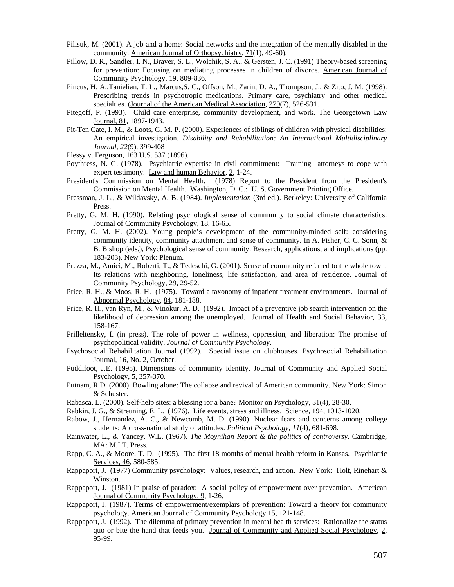- Pilisuk, M. (2001). A job and a home: Social networks and the integration of the mentally disabled in the community. American Journal of Orthopsychiatry, 71(1), 49-60).
- Pillow, D. R., Sandler, I. N., Braver, S. L., Wolchik, S. A., & Gersten, J. C. (1991) Theory-based screening for prevention: Focusing on mediating processes in children of divorce. American Journal of Community Psychology, 19, 809-836.
- Pincus, H. A.,Tanielian, T. L., Marcus,S. C., Offson, M., Zarin, D. A., Thompson, J., & Zito, J. M. (1998). Prescribing trends in psychotropic medications. Primary care, psychiatry and other medical specialties. (Journal of the American Medical Association, 279(7), 526-531.
- Pitegoff, P. (1993). Child care enterprise, community development, and work. The Georgetown Law Journal, 81, 1897-1943.
- Pit-Ten Cate, I. M., & Loots, G. M. P. (2000). Experiences of siblings of children with physical disabilities: An empirical investigation. *Disability and Rehabilitation: An International Multidisciplinary Journal, 22*(9), 399-408
- Plessy v. Ferguson, 163 U.S. 537 (1896).
- Poythress, N. G. (1978). Psychiatric expertise in civil commitment: Training attorneys to cope with expert testimony. Law and human Behavior, 2, 1-24.
- President's Commission on Mental Health. (1978) Report to the President from the President's Commission on Mental Health. Washington, D. C.: U. S. Government Printing Office.
- Pressman, J. L., & Wildavsky, A. B. (1984). *Implementation* (3rd ed.). Berkeley: University of California Press.
- Pretty, G. M. H. (1990). Relating psychological sense of community to social climate characteristics. Journal of Community Psychology, 18, 16-65.
- Pretty, G. M. H. (2002). Young people's development of the community-minded self: considering community identity, community attachment and sense of community. In A. Fisher, C. C. Sonn, & B. Bishop (eds.), Psychological sense of community: Research, applications, and implications (pp. 183-203). New York: Plenum.
- Prezza, M., Amici, M., Roberti, T., & Tedeschi, G. (2001). Sense of community referred to the whole town: Its relations with neighboring, loneliness, life satisfaction, and area of residence. Journal of Community Psychology, 29, 29-52.
- Price, R. H., & Moos, R. H. (1975). Toward a taxonomy of inpatient treatment environments. Journal of Abnormal Psychology, 84, 181-188.
- Price, R. H., van Ryn, M., & Vinokur, A. D. (1992). Impact of a preventive job search intervention on the likelihood of depression among the unemployed. Journal of Health and Social Behavior, 33, 158-167.
- Prilleltensky, I. (in press). The role of power in wellness, oppression, and liberation: The promise of psychopolitical validity. *Journal of Community Psychology*.
- Psychosocial Rehabilitation Journal (1992). Special issue on clubhouses. Psychosocial Rehabilitation Journal, 16, No. 2, October.
- Puddifoot, J.E. (1995). Dimensions of community identity. Journal of Community and Applied Social Psychology, 5, 357-370.
- Putnam, R.D. (2000). Bowling alone: The collapse and revival of American community. New York: Simon & Schuster.
- Rabasca, L. (2000). Self-help sites: a blessing ior a bane? Monitor on Psychology, 31(4), 28-30.
- Rabkin, J. G., & Streuning, E. L. (1976). Life events, stress and illness. Science, 194, 1013-1020.
- Rabow, J., Hernandez, A. C., & Newcomb, M. D. (1990). Nuclear fears and concerns among college students: A cross-national study of attitudes. *Political Psychology, 11*(4), 681-698.
- Rainwater, L., & Yancey, W.L. (1967). *The Moynihan Report & the politics of controversy*. Cambridge, MA: M.I.T. Press.
- Rapp, C. A., & Moore, T. D. (1995). The first 18 months of mental health reform in Kansas. Psychiatric Services, 46, 580-585.
- Rappaport, J. (1977) Community psychology: Values, research, and action. New York: Holt, Rinehart & Winston.
- Rappaport, J. (1981) In praise of paradox: A social policy of empowerment over prevention. American Journal of Community Psychology, 9, 1-26.
- Rappaport, J. (1987). Terms of empowerment/exemplars of prevention: Toward a theory for community psychology. American Journal of Community Psychology 15, 121-148.
- Rappaport, J. (1992). The dilemma of primary prevention in mental health services: Rationalize the status quo or bite the hand that feeds you. Journal of Community and Applied Social Psychology, 2, 95-99.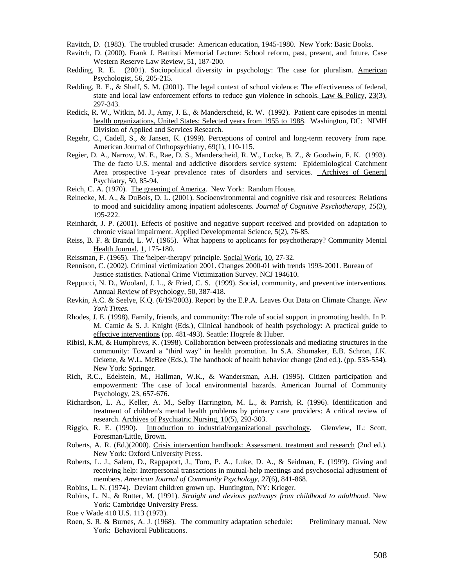Ravitch, D. (1983). The troubled crusade: American education, 1945-1980. New York: Basic Books.

- Ravitch, D. (2000). Frank J. Battitsti Memorial Lecture: School reform, past, present, and future. Case Western Reserve Law Review, 51, 187-200.
- Redding, R. E. (2001). Sociopolitical diversity in psychology: The case for pluralism. American Psychologist, 56, 205-215.
- Redding, R. E., & Shalf, S. M. (2001). The legal context of school violence: The effectiveness of federal, state and local law enforcement efforts to reduce gun violence in schools. Law & Policy, 23(3), 297-343.
- Redick, R. W., Witkin, M. J., Amy, J. E., & Manderscheid, R. W. (1992). Patient care episodes in mental health organizations, United States: Selected years from 1955 to 1988. Washington, DC: NIMH Division of Applied and Services Research.
- Regehr, C., Cadell, S., & Jansen, K. (1999). Perceptions of control and long-term recovery from rape. American Journal of Orthopsychiatry, 69(1), 110-115.
- Regier, D. A., Narrow, W. E., Rae, D. S., Manderscheid, R. W., Locke, B. Z., & Goodwin, F. K. (1993). The de facto U.S. mental and addictive disorders service system: Epidemiological Catchment Area prospective 1-year prevalence rates of disorders and services. Archives of General Psychiatry, 50, 85-94.
- Reich, C. A. (1970). The greening of America. New York: Random House.
- Reinecke, M. A., & DuBois, D. L. (2001). Socioenvironmental and cognitive risk and resources: Relations to mood and suicidality among inpatient adolescents. *Journal of Cognitive Psychotherapy, 15*(3), 195-222.
- Reinhardt, J. P. (2001). Effects of positive and negative support received and provided on adaptation to chronic visual impairment. Applied Developmental Science, 5(2), 76-85.
- Reiss, B. F. & Brandt, L. W. (1965). What happens to applicants for psychotherapy? Community Mental Health Journal, 1, 175-180.
- Reissman, F. (1965). The 'helper-therapy' principle. Social Work, 10, 27-32.
- Rennison, C. (2002). Criminal victimization 2001. Changes 2000-01 with trends 1993-2001. Bureau of Justice statistics. National Crime Victimization Survey. NCJ 194610.
- Reppucci, N. D., Woolard, J. L., & Fried, C. S. (1999). Social, community, and preventive interventions. Annual Review of Psychology, 50, 387-418.
- Revkin, A.C. & Seelye, K.Q. (6/19/2003). Report by the E.P.A. Leaves Out Data on Climate Change. *New York Times.*
- Rhodes, J. E. (1998). Family, friends, and community: The role of social support in promoting health. In P. M. Camic & S. J. Knight (Eds.), Clinical handbook of health psychology: A practical guide to effective interventions (pp. 481-493). Seattle: Hogrefe & Huber.
- Ribisl, K.M, & Humphreys, K. (1998). Collaboration between professionals and mediating structures in the community: Toward a "third way" in health promotion. In S.A. Shumaker, E.B. Schron, J.K. Ockene, & W.L. McBee (Eds.), The handbook of health behavior change (2nd ed.). (pp. 535-554). New York: Springer.
- Rich, R.C., Edelstein, M., Hallman, W.K., & Wandersman, A.H. (1995). Citizen participation and empowerment: The case of local environmental hazards. American Journal of Community Psychology, 23, 657-676.
- Richardson, L. A., Keller, A. M., Selby Harrington, M. L., & Parrish, R. (1996). Identification and treatment of children's mental health problems by primary care providers: A critical review of research. Archives of Psychiatric Nursing, 10(5), 293-303.
- Riggio, R. E. (1990). Introduction to industrial/organizational psychology. Glenview, IL: Scott, Foresman/Little, Brown.
- Roberts, A. R. (Ed.)(2000). Crisis intervention handbook: Assessment, treatment and research (2nd ed.). New York: Oxford University Press.
- Roberts, L. J., Salem, D., Rappaport, J., Toro, P. A., Luke, D. A., & Seidman, E. (1999). Giving and receiving help: Interpersonal transactions in mutual-help meetings and psychosocial adjustment of members. *American Journal of Community Psychology, 27*(6), 841-868.
- Robins, L. N. (1974). Deviant children grown up. Huntington, NY: Krieger.
- Robins, L. N., & Rutter, M. (1991). *Straight and devious pathways from childhood to adulthood*. New York: Cambridge University Press.
- Roe v Wade 410 U.S. 113 (1973).
- Roen, S. R. & Burnes, A. J. (1968). The community adaptation schedule: Preliminary manual. New York: Behavioral Publications.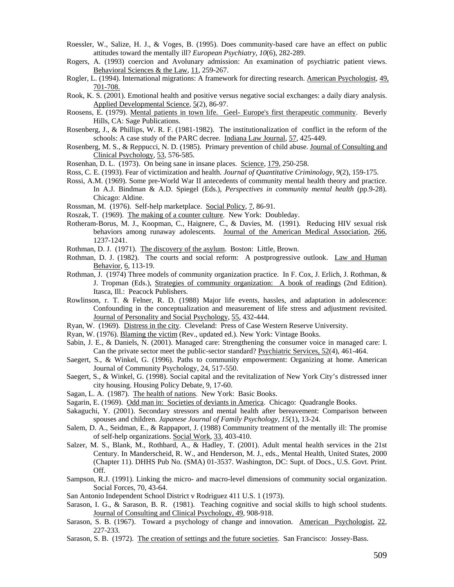- Roessler, W., Salize, H. J., & Voges, B. (1995). Does community-based care have an effect on public attitudes toward the mentally ill? *European Psychiatry, 10*(6), 282-289.
- Rogers, A. (1993) coercion and Avolunary admission: An examination of psychiatric patient views. Behavioral Sciences & the Law, 11, 259-267.
- Rogler, L. (1994). International migrations: A framework for directing research. American Psychologist, 49, 701-708.
- Rook, K. S. (2001). Emotional health and positive versus negative social exchanges: a daily diary analysis. Applied Developmental Science, 5(2), 86-97.
- Roosens, E. (1979). Mental patients in town life. Geel- Europe's first therapeutic community. Beverly Hills, CA: Sage Publications.
- Rosenberg, J., & Phillips, W. R. F. (1981-1982). The institutionalization of conflict in the reform of the schools: A case study of the PARC decree. Indiana Law Journal, 57, 425-449.
- Rosenberg, M. S., & Reppucci, N. D. (1985). Primary prevention of child abuse. Journal of Consulting and Clinical Psychology, 53, 576-585.
- Rosenhan, D. L. (1973). On being sane in insane places. Science, 179, 250-258.
- Ross, C. E. (1993). Fear of victimization and health. *Journal of Quantitative Criminology, 9*(2), 159-175.
- Rossi, A.M. (1969). Some pre-World War II antecedents of community mental health theory and practice. In A.J. Bindman & A.D. Spiegel (Eds.), *Perspectives in community mental health* (pp.9-28). Chicago: Aldine.
- Rossman, M. (1976). Self-help marketplace. Social Policy, 7, 86-91.
- Roszak, T. (1969). The making of a counter culture. New York: Doubleday.
- Rotheram-Borus, M. J., Koopman, C., Haignere, C., & Davies, M. (1991). Reducing HIV sexual risk behaviors among runaway adolescents. Journal of the American Medical Association, 266, 1237-1241.
- Rothman, D. J. (1971). The discovery of the asylum. Boston: Little, Brown.
- Rothman, D. J. (1982). The courts and social reform: A postprogressive outlook. Law and Human Behavior, 6, 113-19.
- Rothman, J. (1974) Three models of community organization practice. In F. Cox, J. Erlich, J. Rothman, & J. Tropman (Eds.), Strategies of community organization: A book of readings (2nd Edition). Itasca, Ill.: Peacock Publishers.
- Rowlinson, r. T. & Felner, R. D. (1988) Major life events, hassles, and adaptation in adolescence: Confounding in the conceptualization and measurement of life stress and adjustment revisited. Journal of Personality and Social Psychology, 55, 432-444.
- Ryan, W. (1969). Distress in the city. Cleveland: Press of Case Western Reserve University.
- Ryan, W. (1976). Blaming the victim (Rev., updated ed.). New York: Vintage Books.
- Sabin, J. E., & Daniels, N. (2001). Managed care: Strengthening the consumer voice in managed care: I. Can the private sector meet the public-sector standard? Psychiatric Services, 52(4), 461-464.
- Saegert, S., & Winkel, G. (1996). Paths to community empowerment: Organizing at home. American Journal of Community Psychology, 24, 517-550.
- Saegert, S., & Winkel, G. (1998). Social capital and the revitalization of New York City's distressed inner city housing. Housing Policy Debate, 9, 17-60.
- Sagan, L. A. (1987). The health of nations. New York: Basic Books.
- Sagarin, E. (1969). Odd man in: Societies of deviants in America. Chicago: Quadrangle Books.
- Sakaguchi, Y. (2001). Secondary stressors and mental health after bereavement: Comparison between spouses and children. *Japanese Journal of Family Psychology, 15*(1), 13-24.
- Salem, D. A., Seidman, E., & Rappaport, J. (1988) Community treatment of the mentally ill: The promise of self-help organizations. Social Work, 33, 403-410.
- Salzer, M. S., Blank, M., Rothbard, A., & Hadley, T. (2001). Adult mental health services in the 21st Century. In Manderscheid, R. W., and Henderson, M. J., eds., Mental Health, United States, 2000 (Chapter 11). DHHS Pub No. (SMA) 01-3537. Washington, DC: Supt. of Docs., U.S. Govt. Print. Off.
- Sampson, R.J. (1991). Linking the micro- and macro-level dimensions of community social organization. Social Forces, 70, 43-64.
- San Antonio Independent School District v Rodriguez 411 U.S. 1 (1973).
- Sarason, I. G., & Sarason, B. R. (1981). Teaching cognitive and social skills to high school students. Journal of Consulting and Clinical Psychology, 49, 908-918.
- Sarason, S. B. (1967). Toward a psychology of change and innovation. American Psychologist, 22, 227-233.
- Sarason, S. B. (1972). The creation of settings and the future societies. San Francisco: Jossey-Bass.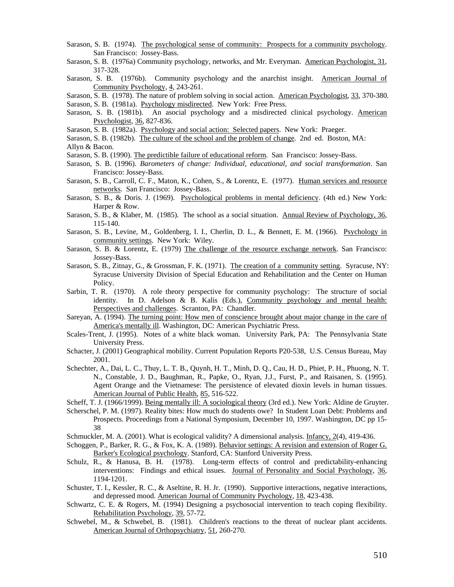- Sarason, S. B. (1974). The psychological sense of community: Prospects for a community psychology. San Francisco: Jossey-Bass.
- Sarason, S. B. (1976a) Community psychology, networks, and Mr. Everyman. American Psychologist, 31, 317-328.
- Sarason, S. B. (1976b). Community psychology and the anarchist insight. American Journal of Community Psychology, 4, 243-261.

Sarason, S. B. (1978). The nature of problem solving in social action. American Psychologist, 33, 370-380. Sarason, S. B. (1981a). Psychology misdirected. New York: Free Press.

- Sarason, S. B. (1981b). An asocial psychology and a misdirected clinical psychology. American Psychologist, 36, 827-836.
- Sarason, S. B. (1982a). Psychology and social action: Selected papers. New York: Praeger.
- Sarason, S. B. (1982b). The culture of the school and the problem of change. 2nd ed. Boston, MA:
- Allyn & Bacon.
- Sarason, S. B. (1990). The predictible failure of educational reform. San Francisco: Jossey-Bass.
- Sarason, S. B. (1996). *Barometers of change: Individual, educational, and social transformation*. San Francisco: Jossey-Bass.
- Sarason, S. B., Carroll, C. F., Maton, K., Cohen, S., & Lorentz, E. (1977). Human services and resource networks. San Francisco: Jossey-Bass.
- Sarason, S. B., & Doris. J. (1969). Psychological problems in mental deficiency. (4th ed.) New York: Harper & Row.
- Sarason, S. B., & Klaber, M. (1985). The school as a social situation. Annual Review of Psychology, 36, 115-140.
- Sarason, S. B., Levine, M., Goldenberg, I. I., Cherlin, D. L., & Bennett, E. M. (1966). Psychology in community settings. New York: Wiley.
- Sarason, S. B. & Lorentz, E. (1979) The challenge of the resource exchange network. San Francisco: Jossey-Bass.
- Sarason, S. B., Zitnay, G., & Grossman, F. K. (1971). The creation of a community setting. Syracuse, NY: Syracuse University Division of Special Education and Rehabilitation and the Center on Human Policy.
- Sarbin, T. R. (1970). A role theory perspective for community psychology: The structure of social identity. In D. Adelson & B. Kalis (Eds.), Community psychology and mental health: Perspectives and challenges. Scranton, PA: Chandler.
- Sareyan, A. (1994). The turning point: How men of conscience brought about major change in the care of America's mentally ill. Washington, DC: American Psychiatric Press.
- Scales-Trent, J. (1995). Notes of a white black woman. University Park, PA: The Pennsylvania State University Press.
- Schacter, J. (2001) Geographical mobility. Current Population Reports P20-538, U.S. Census Bureau, May 2001.
- Schechter, A., Dai, L. C., Thuy, L. T. B., Quynh, H. T., Minh, D. Q., Cau, H. D., Phiet, P. H., Phuong, N. T. N., Constable, J. D., Baughman, R., Papke, O., Ryan, J.J., Furst, P., and Raisanen, S. (1995). Agent Orange and the Vietnamese: The persistence of elevated dioxin levels in human tissues. American Journal of Public Health, 85, 516-522.
- Scheff, T. J. (1966/1999). Being mentally ill: A sociological theory (3rd ed.). New York: Aldine de Gruyter.
- Scherschel, P. M. (1997). Reality bites: How much do students owe? In Student Loan Debt: Problems and Prospects. Proceedings from a National Symposium, December 10, 1997. Washington, DC pp 15- 38
- Schmuckler, M. A. (2001). What is ecological validity? A dimensional analysis. Infancy, 2(4), 419-436.
- Schoggen, P., Barker, R. G., & Fox, K. A. (1989). Behavior settings: A revision and extension of Roger G. Barker's Ecological psychology. Stanford, CA: Stanford University Press.
- Schulz, R., & Hanusa, B. H. (1978). Long-term effects of control and predictability-enhancing interventions: Findings and ethical issues. Journal of Personality and Social Psychology, 36, 1194-1201.
- Schuster, T. I., Kessler, R. C., & Aseltine, R. H. Jr. (1990). Supportive interactions, negative interactions, and depressed mood. American Journal of Community Psychology, 18, 423-438.
- Schwartz, C. E. & Rogers, M. (1994) Designing a psychosocial intervention to teach coping flexibility. Rehabilitation Psychology, 39, 57-72.
- Schwebel, M., & Schwebel, B. (1981). Children's reactions to the threat of nuclear plant accidents. American Journal of Orthopsychiatry, 51, 260-270.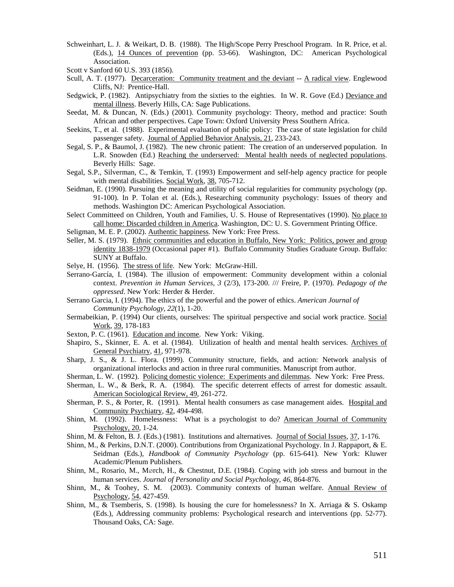- Schweinhart, L. J. & Weikart, D. B. (1988). The High/Scope Perry Preschool Program. In R. Price, et al. (Eds.), 14 Ounces of prevention (pp. 53-66). Washington, DC: American Psychological Association.
- Scott v Sanford 60 U.S. 393 (1856).
- Scull, A. T. (1977). Decarceration: Community treatment and the deviant -- A radical view. Englewood Cliffs, NJ: Prentice-Hall.
- Sedgwick, P. (1982). Antipsychiatry from the sixties to the eighties. In W. R. Gove (Ed.) Deviance and mental illness. Beverly Hills, CA: Sage Publications.
- Seedat, M. & Duncan, N. (Eds.) (2001). Community psychology: Theory, method and practice: South African and other perspectives. Cape Town: Oxford University Press Southern Africa.
- Seekins, T., et al. (1988). Experimental evaluation of public policy: The case of state legislation for child passenger safety. Journal of Applied Behavior Analysis, 21, 233-243.
- Segal, S. P., & Baumol, J. (1982). The new chronic patient: The creation of an underserved population. In L.R. Snowden (Ed.) Reaching the underserved: Mental health needs of neglected populations. Beverly Hills: Sage.
- Segal, S.P., Silverman, C., & Temkin, T. (1993) Empowerment and self-help agency practice for people with mental disabilities. Social Work, 38, 705-712.
- Seidman, E. (1990). Pursuing the meaning and utility of social regularities for community psychology (pp. 91-100). In P. Tolan et al. (Eds.), Researching community psychology: Issues of theory and methods. Washington DC: American Psychological Association.
- Select Committeed on Children, Youth and Families, U. S. House of Representatives (1990). No place to call home: Discarded children in America. Washington, DC: U. S. Government Printing Office.
- Seligman, M. E. P. (2002). Authentic happiness. New York: Free Press.
- Seller, M. S. (1979). Ethnic communities and education in Buffalo, New York: Politics, power and group identity 1838-1979 (Occasional paper #1). Buffalo Community Studies Graduate Group. Buffalo: SUNY at Buffalo.
- Selye, H. (1956). The stress of life. New York: McGraw-Hill.
- Serrano-García, I. (1984). The illusion of empowerment: Community development within a colonial context. *Prevention in Human Services, 3* (2/3), 173-200. /// Freire, P. (1970). *Pedagogy of the oppressed*. New York: Herder & Herder.
- Serrano Garcia, I. (1994). The ethics of the powerful and the power of ethics. *American Journal of Community Psychology, 22*(1), 1-20.
- Sermabeikian, P. (1994) Our clients, ourselves: The spiritual perspective and social work practice. Social Work, 39, 178-183
- Sexton, P. C. (1961). Education and income. New York: Viking.
- Shapiro, S., Skinner, E. A. et al. (1984). Utilization of health and mental health services. Archives of General Psychiatry, 41, 971-978.
- Sharp, J. S., & J. L. Flora. (1999). Community structure, fields, and action: Network analysis of organizational interlocks and action in three rural communities. Manuscript from author.
- Sherman, L. W. (1992). Policing domestic violence: Experiments and dilemmas. New York: Free Press.
- Sherman, L. W., & Berk, R. A. (1984). The specific deterrent effects of arrest for domestic assault. American Sociological Review, 49, 261-272.
- Sherman, P. S., & Porter, R. (1991). Mental health consumers as case management aides. Hospital and Community Psychiatry, 42, 494-498.
- Shinn, M. (1992). Homelessness: What is a psychologist to do? American Journal of Community Psychology, 20, 1-24.
- Shinn, M. & Felton, B. J. (Eds.) (1981). Institutions and alternatives. Journal of Social Issues, 37, 1-176.
- Shinn, M., & Perkins, D.N.T. (2000). Contributions from Organizational Psychology. In J. Rappaport, & E. Seidman (Eds.), *Handbook of Community Psychology* (pp. 615-641). New York: Kluwer Academic/Plenum Publishers.
- Shinn, M., Rosario, M., Mørch, H., & Chestnut, D.E. (1984). Coping with job stress and burnout in the human services. *Journal of Personality and Social Psychology, 46*, 864-876.
- Shinn, M., & Toohey, S. M. (2003). Community contexts of human welfare. Annual Review of Psychology, 54, 427-459.
- Shinn, M., & Tsemberis, S. (1998). Is housing the cure for homelessness? In X. Arriaga & S. Oskamp (Eds.), Addressing community problems: Psychological research and interventions (pp. 52-77). Thousand Oaks, CA: Sage.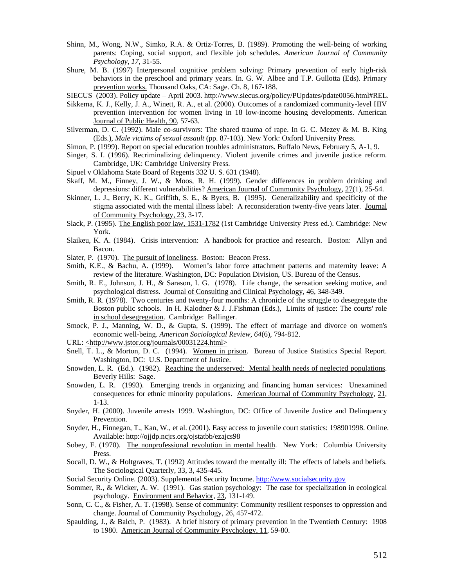- Shinn, M., Wong, N.W., Simko, R.A. & Ortiz-Torres, B. (1989). Promoting the well-being of working parents: Coping, social support, and flexible job schedules. *American Journal of Community Psychology*, *17*, 31-55.
- Shure, M. B. (1997) Interpersonal cognitive problem solving: Primary prevention of early high-risk behaviors in the preschool and primary years. In. G. W. Albee and T.P. Gullotta (Eds). Primary prevention works. Thousand Oaks, CA: Sage. Ch. 8, 167-188.

SIECUS (2003). Policy update – April 2003. http://www.siecus.org/policy/PUpdates/pdate0056.html#REL.

- Sikkema, K. J., Kelly, J. A., Winett, R. A., et al. (2000). Outcomes of a randomized community-level HIV prevention intervention for women living in 18 low-income housing developments. American Journal of Public Health, 90, 57-63.
- Silverman, D. C. (1992). Male co-survivors: The shared trauma of rape. In G. C. Mezey & M. B. King (Eds.), *Male victims of sexual assault* (pp. 87-103). New York: Oxford University Press.
- Simon, P. (1999). Report on special education troubles administrators. Buffalo News, February 5, A-1, 9.
- Singer, S. I. (1996). Recriminalizing delinquency. Violent juvenile crimes and juvenile justice reform. Cambridge, UK: Cambridge University Press.
- Sipuel v Oklahoma State Board of Regents 332 U. S. 631 (1948).
- Skaff, M. M., Finney, J. W., & Moos, R. H. (1999). Gender differences in problem drinking and depressions: different vulnerabilities? American Journal of Community Psychology, 27(1), 25-54.
- Skinner, L. J., Berry, K. K., Griffith, S. E., & Byers, B. (1995). Generalizability and specificity of the stigma associated with the mental illness label: A reconsideration twenty-five years later. Journal of Community Psychology, 23, 3-17.
- Slack, P. (1995). The English poor law, 1531-1782 (1st Cambridge University Press ed.). Cambridge: New York.
- Slaikeu, K. A. (1984). Crisis intervention: A handbook for practice and research. Boston: Allyn and Bacon.
- Slater, P. (1970). The pursuit of loneliness. Boston: Beacon Press.
- Smith, K.E., & Bachu, A. (1999). Women's labor force attachment patterns and maternity leave: A review of the literature. Washington, DC: Population Division, US. Bureau of the Census.
- Smith, R. E., Johnson, J. H., & Sarason, I. G. (1978). Life change, the sensation seeking motive, and psychological distress. Journal of Consulting and Clinical Psychology, 46, 348-349.
- Smith, R. R. (1978). Two centuries and twenty-four months: A chronicle of the struggle to desegregate the Boston public schools. In H. Kalodner & J. J.Fishman (Eds.), Limits of justice: The courts' role in school desegregation. Cambridge: Ballinger.
- Smock, P. J., Manning, W. D., & Gupta, S. (1999). The effect of marriage and divorce on women's economic well-being. *American Sociological Review, 64*(6), 794-812.
- URL: <http://www.jstor.org/journals/00031224.html>
- Snell, T. L., & Morton, D. C. (1994). Women in prison. Bureau of Justice Statistics Special Report. Washington, DC: U.S. Department of Justice.
- Snowden, L. R. (Ed.). (1982). Reaching the underserved: Mental health needs of neglected populations. Beverly Hills: Sage.
- Snowden, L. R. (1993). Emerging trends in organizing and financing human services: Unexamined consequences for ethnic minority populations. American Journal of Community Psychology, 21, 1-13.
- Snyder, H. (2000). Juvenile arrests 1999. Washington, DC: Office of Juvenile Justice and Delinquency Prevention.
- Snyder, H., Finnegan, T., Kan, W., et al. (2001). Easy access to juvenile court statistics: 198901998. Online. Available: http://ojjdp.ncjrs.org/ojstatbb/ezajcs98
- Sobey, F. (1970). The nonprofessional revolution in mental health. New York: Columbia University Press.
- Socall, D. W., & Holtgraves, T. (1992) Attitudes toward the mentally ill: The effects of labels and beliefs. The Sociological Quarterly, 33, 3, 435-445.
- Social Security Online. (2003). Supplemental Security Income. [http://www.socialsecurity.gov](http://www.socialsecurity.gov/)
- Sommer, R., & Wicker, A. W. (1991). Gas station psychology: The case for specialization in ecological psychology. Environment and Behavior, 23, 131-149.
- Sonn, C. C., & Fisher, A. T. (1998). Sense of community: Community resilient responses to oppression and change. Journal of Community Psychology, 26, 457-472.
- Spaulding, J., & Balch, P. (1983). A brief history of primary prevention in the Twentieth Century: 1908 to 1980. American Journal of Community Psychology, 11, 59-80.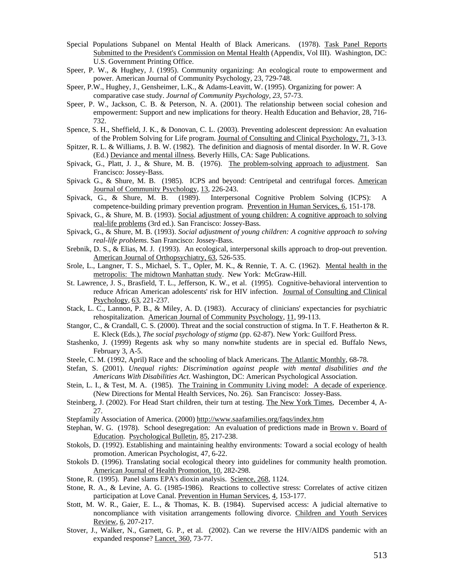- Special Populations Subpanel on Mental Health of Black Americans. (1978). Task Panel Reports Submitted to the President's Commission on Mental Health (Appendix, Vol III). Washington, DC: U.S. Government Printing Office.
- Speer, P. W., & Hughey, J. (1995). Community organizing: An ecological route to empowerment and power. American Journal of Community Psychology, 23, 729-748.
- Speer, P.W., Hughey, J., Gensheimer, L.K., & Adams-Leavitt, W. (1995). Organizing for power: A comparative case study. *Journal of Community Psychology, 23*, 57-73.
- Speer, P. W., Jackson, C. B. & Peterson, N. A. (2001). The relationship between social cohesion and empowerment: Support and new implications for theory. Health Education and Behavior, 28, 716- 732.
- Spence, S. H., Sheffield, J. K., & Donovan, C. L. (2003). Preventing adolescent depression: An evaluation of the Problem Solving for Life program. Journal of Consulting and Clinical Psychology, 71, 3-13.
- Spitzer, R. L. & Williams, J. B. W. (1982). The definition and diagnosis of mental disorder. In W. R. Gove (Ed.) Deviance and mental illness. Beverly Hills, CA: Sage Publications.
- Spivack, G., Platt, J. J., & Shure, M. B. (1976). The problem-solving approach to adjustment. San Francisco: Jossey-Bass.
- Spivack G., & Shure, M. B. (1985). ICPS and beyond: Centripetal and centrifugal forces. American Journal of Community Psychology, 13, 226-243.
- Spivack, G., & Shure, M. B. (1989). Interpersonal Cognitive Problem Solving (ICPS): A competence-building primary prevention program. Prevention in Human Services, 6, 151-178.
- Spivack, G., & Shure, M. B. (1993). Social adjustment of young children: A cognitive approach to solving real-life problems (3rd ed.). San Francisco: Jossey-Bass.
- Spivack, G., & Shure, M. B. (1993). *Social adjustment of young children: A cognitive approach to solving real-life problems*. San Francisco: Jossey-Bass.
- Srebnik, D. S., & Elias, M. J. (1993). An ecological, interpersonal skills approach to drop-out prevention. American Journal of Orthopsychiatry, 63, 526-535.
- Srole, L., Langner, T. S., Michael, S. T., Opler, M. K., & Rennie, T. A. C. (1962). Mental health in the metropolis: The midtown Manhattan study. New York: McGraw-Hill.
- St. Lawrence, J. S., Brasfield, T. L., Jefferson, K. W., et al. (1995). Cognitive-behavioral intervention to reduce African American adolescents' risk for HIV infection. Journal of Consulting and Clinical Psychology, 63, 221-237.
- Stack, L. C., Lannon, P. B., & Miley, A. D. (1983). Accuracy of clinicians' expectancies for psychiatric rehospitalization. American Journal of Community Psychology, 11, 99-113.
- Stangor, C., & Crandall, C. S. (2000). Threat and the social construction of stigma. In T. F. Heatherton & R. E. Kleck (Eds.), *The social psychology of stigma* (pp. 62-87). New York: Guilford Press.
- Stashenko, J. (1999) Regents ask why so many nonwhite students are in special ed. Buffalo News, February 3, A-5.
- Steele, C. M. (1992, April) Race and the schooling of black Americans. The Atlantic Monthly, 68-78.
- Stefan, S. (2001). *Unequal rights: Discrimination against people with mental disabilities and the Americans With Disabilities Act*. Washington, DC: American Psychological Association.
- Stein, L. I., & Test, M. A. (1985). The Training in Community Living model: A decade of experience. (New Directions for Mental Health Services, No. 26). San Francisco: Jossey-Bass.
- Steinberg, J. (2002). For Head Start children, their turn at testing. The New York Times, December 4, A-27.
- Stepfamily Association of America. (2000) http://www.saafamilies.org/faqs/index.htm
- Stephan, W. G. (1978). School desegregation: An evaluation of predictions made in Brown v. Board of Education. Psychological Bulletin, 85, 217-238.
- Stokols, D. (1992). Establishing and maintaining healthy environments: Toward a social ecology of health promotion. American Psychologist, 47, 6-22.
- Stokols D. (1996). Translating social ecological theory into guidelines for community health promotion. American Journal of Health Promotion, 10, 282-298.
- Stone, R. (1995). Panel slams EPA's dioxin analysis. Science, 268, 1124.
- Stone, R. A., & Levine, A. G. (1985-1986). Reactions to collective stress: Correlates of active citizen participation at Love Canal. Prevention in Human Services, 4, 153-177.
- Stott, M. W. R., Gaier, E. L., & Thomas, K. B. (1984). Supervised access: A judicial alternative to noncompliance with visitation arrangements following divorce. Children and Youth Services Review, 6, 207-217.
- Stover, J., Walker, N., Garnett, G. P., et al. (2002). Can we reverse the HIV/AIDS pandemic with an expanded response? Lancet, 360, 73-77.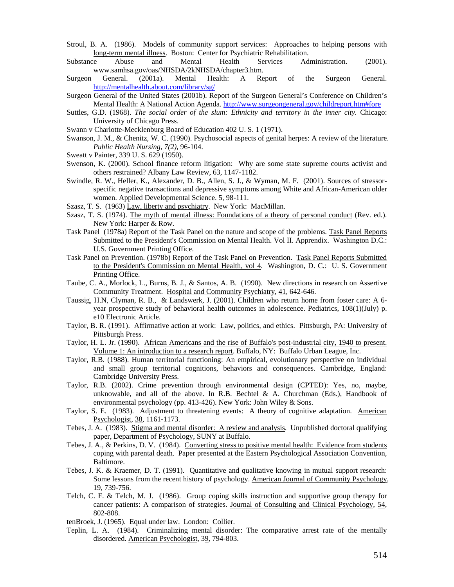- Stroul, B. A. (1986). Models of community support services: Approaches to helping persons with long-term mental illness. Boston: Center for Psychiatric Rehabilitation.
- Substance Abuse and Mental Health Services Administration. (2001). www.samhsa.gov/oas/NHSDA/2kNHSDA/chapter3.htm.
- Surgeon General. (2001a). Mental Health: A Report of the Surgeon General. <http://mentalhealth.about.com/library/sg/>
- Surgeon General of the United States (2001b). Report of the Surgeon General's Conference on Children's Mental Health: A National Action Agenda.<http://www.surgeongeneral.gov/childreport.htm#fore>
- Suttles, G.D. (1968). *The social order of the slum: Ethnicity and territory in the inner city.* Chicago: University of Chicago Press.
- Swann v Charlotte-Mecklenburg Board of Education 402 U. S. 1 (1971).
- Swanson, J. M., & Chenitz, W. C. (1990). Psychosocial aspects of genital herpes: A review of the literature. *Public Health Nursing, 7(2),* 96-104.
- Sweatt v Painter, 339 U. S. 629 (1950).
- Swenson, K. (2000). School finance reform litigation: Why are some state supreme courts activist and others restrained? Albany Law Review, 63, 1147-1182.
- Swindle, R. W., Heller, K., Alexander, D. B., Allen, S. J., & Wyman, M. F. (2001). Sources of stressorspecific negative transactions and depressive symptoms among White and African-American older women. Applied Developmental Science. 5, 98-111.
- Szasz, T. S. (1963) Law, liberty and psychiatry. New York: MacMillan.
- Szasz, T. S. (1974). The myth of mental illness: Foundations of a theory of personal conduct (Rev. ed.). New York: Harper & Row.
- Task Panel (1978a) Report of the Task Panel on the nature and scope of the problems. Task Panel Reports Submitted to the President's Commission on Mental Health. Vol II. Apprendix. Washington D.C.: U.S. Government Printing Office.
- Task Panel on Prevention. (1978b) Report of the Task Panel on Prevention. Task Panel Reports Submitted to the President's Commission on Mental Health, vol 4. Washington, D. C.: U. S. Government Printing Office.
- Taube, C. A., Morlock, L., Burns, B. J., & Santos, A. B. (1990). New directions in research on Assertive Community Treatment. Hospital and Community Psychiatry, 41, 642-646.
- Taussig, H.N, Clyman, R. B., & Landswerk, J. (2001). Children who return home from foster care: A 6 year prospective study of behavioral health outcomes in adolescence. Pediatrics, 108(1)(July) p. e10 Electronic Article.
- Taylor, B. R. (1991). Affirmative action at work: Law, politics, and ethics. Pittsburgh, PA: University of Pittsburgh Press.
- Taylor, H. L. Jr. (1990). African Americans and the rise of Buffalo's post-industrial city, 1940 to present. Volume 1: An introduction to a research report. Buffalo, NY: Buffalo Urban League, Inc.
- Taylor, R.B. (1988). Human territorial functioning: An empirical, evolutionary perspective on individual and small group territorial cognitions, behaviors and consequences. Cambridge, England: Cambridge University Press.
- Taylor, R.B. (2002). Crime prevention through environmental design (CPTED): Yes, no, maybe, unknowable, and all of the above. In R.B. Bechtel & A. Churchman (Eds.), Handbook of environmental psychology (pp. 413-426). New York: John Wiley & Sons.
- Taylor, S. E. (1983). Adjustment to threatening events: A theory of cognitive adaptation. American Psychologist, 38, 1161-1173.
- Tebes, J. A. (1983). Stigma and mental disorder: A review and analysis. Unpublished doctoral qualifying paper, Department of Psychology, SUNY at Buffalo.
- Tebes, J. A., & Perkins, D. V. (1984). Converting stress to positive mental health: Evidence from students coping with parental death. Paper presented at the Eastern Psychological Association Convention, Baltimore.
- Tebes, J. K. & Kraemer, D. T. (1991). Quantitative and qualitative knowing in mutual support research: Some lessons from the recent history of psychology. American Journal of Community Psychology, 19, 739-756.
- Telch, C. F. & Telch, M. J. (1986). Group coping skills instruction and supportive group therapy for cancer patients: A comparison of strategies. Journal of Consulting and Clinical Psychology, 54, 802-808.
- tenBroek, J. (1965). Equal under law. London: Collier.
- Teplin, L. A. (1984). Criminalizing mental disorder: The comparative arrest rate of the mentally disordered. American Psychologist, 39, 794-803.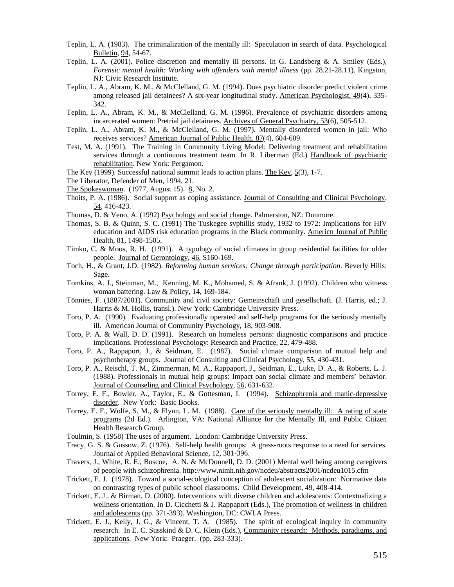- Teplin, L. A. (1983). The criminalization of the mentally ill: Speculation in search of data. Psychological Bulletin, 94, 54-67.
- Teplin, L. A. (2001). Police discretion and mentally ill persons. In G. Landsberg & A. Smiley (Eds.), *Forensic mental health: Working with offenders with mental illness* (pp. 28.21-28.11). Kingston, NJ: Civic Research Institute.
- Teplin, L. A., Abram, K. M., & McClelland, G. M. (1994). Does psychiatric disorder predict violent crime among released jail detainees? A six-year longitudinal study. American Psychologist, 49(4), 335- 342.
- Teplin, L. A., Abram, K. M., & McClelland, G. M. (1996). Prevalence of psychiatric disorders among incarcerated women: Pretrial jail detainees. Archives of General Psychiatry, 53(6), 505-512.
- Teplin, L. A., Abram, K. M., & McClelland, G. M. (1997). Mentally disordered women in jail: Who receives services? American Journal of Public Health, 87(4), 604-609.
- Test, M. A. (1991). The Training in Community Living Model: Delivering treatment and rehabilitation services through a continuous treatment team. In R. Liberman (Ed.) Handbook of psychiatric rehabilitation. New York: Pergamon.
- The Key (1999). Successful national summit leads to action plans. The Key, 5(3), 1-7.

The Liberator, Defender of Men, 1994, 21.

- The Spokeswoman. (1977, August 15). 8, No. 2.
- Thoits, P. A. (1986). Social support as coping assistance. Journal of Consulting and Clinical Psychology, 54, 416-423.
- Thomas, D. & Veno, A. (1992) Psychology and social change. Palmerston, NZ: Dunmore.
- Thomas, S. B. & Quinn, S. C. (1991) The Tuskegee syphillis study, 1932 to 1972: Implications for HIV education and AIDS risk education programs in the Black community. Americn Journal of Public Health, 81, 1498-1505.
- Timko, C. & Moos, R. H. (1991). A typology of social climates in group residential facilities for older people. Journal of Gerontology, 46, S160-169.
- Toch, H., & Grant, J.D. (1982). *Reforming human services: Change through participation*. Beverly Hills: Sage.
- Tomkins, A. J., Steinman, M., Kenning, M. K., Mohamed, S. & Afrank, J. (1992). Children who witness woman battering. Law & Policy, 14, 169-184.
- Tönnies, F. (1887/2001). Community and civil society: Gemeinschaft und gesellschaft. (J. Harris, ed.; J. Harris & M. Hollis, transl.). New York: Cambridge University Press.
- Toro, P. A. (1990). Evaluating professionally operated and self-help programs for the seriously mentally ill. American Journal of Community Psychology, 18, 903-908.
- Toro, P. A. & Wall, D. D. (1991). Research on homeless persons: diagnostic comparisons and practice implications. Professional Psychology: Research and Practice, 22, 479-488.
- Toro, P. A., Rappaport, J., & Seidman, E. (1987). Social climate comparison of mutual help and psychotherapy groups. Journal of Consulting and Clinical Psychology, 55, 430-431.
- Toro, P. A., Reischl, T. M., Zimmerman, M. A., Rappaport, J., Seidman, E., Luke, D. A., & Roberts, L. J. (1988). Professionals in mutual help groups: Impact oan social climate and members' behavior. Journal of Counseling and Clinical Psychology, 56, 631-632.
- Torrey, E. F., Bowler, A., Taylor, E., & Gottesman, I. (1994). Schizophrenia and manic-depressive disorder. New York: Basic Books.
- Torrey, E. F., Wolfe, S. M., & Flynn, L. M. (1988). Care of the seriously mentally ill: A rating of state programs (2d Ed.). Arlington, VA: National Alliance for the Mentally Ill, and Public Citizen Health Research Group.
- Toulmin, S. (1958) The uses of argument. London: Cambridge University Press.
- Tracy, G. S. & Gussow, Z. (1976). Self-help health groups: A grass-roots response to a need for services. Journal of Applied Behavioral Science, 12, 381-396.
- Travers, J., White, R. E., Boscoe, A. N. & McDonnell, D. D. (2001) Mental well being among caregivers of people with schizophrenia. http://www.nimh.nih.gov/ncdeu/abstracts2001/ncdeu1015.cfm
- Trickett, E. J. (1978). Toward a social-ecological conception of adolescent socialization: Normative data on contrasting types of public school classrooms. Child Development, 49, 408-414.
- Trickett, E. J., & Birman, D. (2000). Interventions with diverse children and adolescents: Contextualizing a wellness orientation. In D. Cicchetti & J. Rappaport (Eds.), The promotion of wellness in children and adolescents (pp. 371-393). Washington, DC: CWLA Press.
- Trickett, E. J., Kelly, J. G., & Vincent, T. A. (1985). The spirit of ecological inquiry in community research. In E. C. Susskind & D. C. Klein (Eds.), Community research: Methods, paradigms, and applications. New York: Praeger. (pp. 283-333).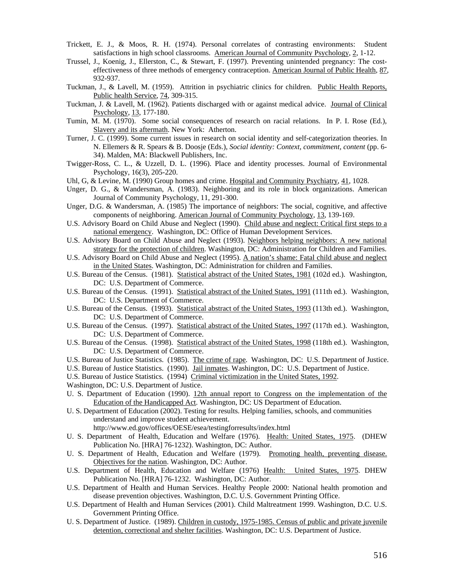- Trickett, E. J., & Moos, R. H. (1974). Personal correlates of contrasting environments: Student satisfactions in high school classrooms. American Journal of Community Psychology, 2, 1-12.
- Trussel, J., Koenig, J., Ellerston, C., & Stewart, F. (1997). Preventing unintended pregnancy: The costeffectiveness of three methods of emergency contraception. American Journal of Public Health, 87, 932-937.
- Tuckman, J., & Lavell, M. (1959). Attrition in psychiatric clinics for children. Public Health Reports, Public health Service, 74, 309-315.
- Tuckman, J. & Lavell, M. (1962). Patients discharged with or against medical advice. Journal of Clinical Psychology, 13, 177-180.
- Tumin, M. M. (1970). Some social consequences of research on racial relations. In P. I. Rose (Ed.), Slavery and its aftermath. New York: Atherton.
- Turner, J. C. (1999). Some current issues in research on social identity and self-categorization theories. In N. Ellemers & R. Spears & B. Doosje (Eds.), *Social identity: Context, commitment, content* (pp. 6- 34). Malden, MA: Blackwell Publishers, Inc.
- Twigger-Ross, C. L., & Uzzell, D. L. (1996). Place and identity processes. Journal of Environmental Psychology, 16(3), 205-220.
- Uhl, G, & Levine, M. (1990) Group homes and crime. Hospital and Community Psychiatry, 41, 1028.
- Unger, D. G., & Wandersman, A. (1983). Neighboring and its role in block organizations. American Journal of Community Psychology, 11, 291-300.
- Unger, D.G. & Wandersman, A. (1985) The importance of neighbors: The social, cognitive, and affective components of neighboring. American Journal of Community Psychology, 13, 139-169.
- U.S. Advisory Board on Child Abuse and Neglect (1990). Child abuse and neglect: Critical first steps to a national emergency. Washington, DC: Office of Human Development Services.
- U.S. Advisory Board on Child Abuse and Neglect (1993). Neighbors helping neighbors: A new national strategy for the protection of children. Washington, DC: Administration for Children and Families.
- U.S. Advisory Board on Child Abuse and Neglect (1995). A nation's shame: Fatal child abuse and neglect in the United States. Washington, DC: Administration for children and Families.
- U.S. Bureau of the Census. (1981). Statistical abstract of the United States, 1981 (102d ed.). Washington, DC: U.S. Department of Commerce.
- U.S. Bureau of the Census. (1991). Statistical abstract of the United States, 1991 (111th ed.). Washington, DC: U.S. Department of Commerce.
- U.S. Bureau of the Census. (1993). Statistical abstract of the United States, 1993 (113th ed.). Washington, DC: U.S. Department of Commerce.
- U.S. Bureau of the Census. (1997). Statistical abstract of the United States, 1997 (117th ed.). Washington, DC: U.S. Department of Commerce.
- U.S. Bureau of the Census. (1998). Statistical abstract of the United States, 1998 (118th ed.). Washington, DC: U.S. Department of Commerce.
- U.S. Bureau of Justice Statistics. (1985). The crime of rape. Washington, DC: U.S. Department of Justice.
- U.S. Bureau of Justice Statistics. (1990). Jail inmates. Washington, DC: U.S. Department of Justice.
- U.S. Bureau of Justice Statistics. (1994) Criminal victimization in the United States, 1992.
- Washington, DC: U.S. Department of Justice.
- U. S. Department of Education (1990). 12th annual report to Congress on the implementation of the Education of the Handicapped Act. Washington, DC: US Department of Education.
- U. S. Department of Education (2002). Testing for results. Helping families, schools, and communities understand and improve student achievement. http://www.ed.gov/offices/OESE/esea/testingforresults/index.html
- U. S. Department of Health, Education and Welfare (1976). Health: United States, 1975. (DHEW Publication No. [HRA] 76-1232). Washington, DC: Author.
- U. S. Department of Health, Education and Welfare (1979). Promoting health, preventing disease. Objectives for the nation. Washington, DC: Author.
- U.S. Department of Health, Education and Welfare (1976) Health: United States, 1975. DHEW Publication No. [HRA] 76-1232. Washington, DC: Author.
- U.S. Department of Health and Human Services. Healthy People 2000: National health promotion and disease prevention objectives. Washington, D.C. U.S. Government Printing Office.
- U.S. Department of Health and Human Services (2001). Child Maltreatment 1999. Washington, D.C. U.S. Government Printing Office.
- U. S. Department of Justice. (1989). Children in custody, 1975-1985. Census of public and private juvenile detention, correctional and shelter facilities. Washington, DC: U.S. Department of Justice.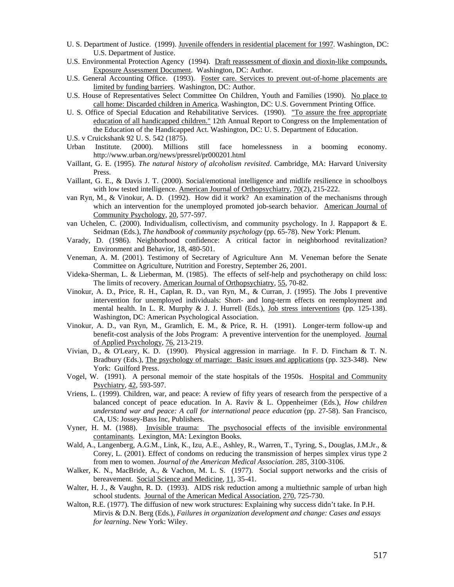- U. S. Department of Justice. (1999). Juvenile offenders in residential placement for 1997. Washington, DC: U.S. Department of Justice.
- U.S. Environmental Protection Agency (1994). Draft reassessment of dioxin and dioxin-like compounds, Exposure Assessment Document. Washington, DC: Author.
- U.S. General Accounting Office. (1993). Foster care. Services to prevent out-of-home placements are limited by funding barriers. Washington, DC: Author.
- U.S. House of Representatives Select Committee On Children, Youth and Families (1990). No place to call home: Discarded children in America. Washington, DC: U.S. Government Printing Office.
- U. S. Office of Special Education and Rehabilitative Services. (1990). "To assure the free appropriate education of all handicapped children." 12th Annual Report to Congress on the Implementation of the Education of the Handicapped Act. Washington, DC: U. S. Department of Education.
- U.S. v Cruickshank 92 U. S. 542 (1875).
- Urban Institute. (2000). Millions still face homelessness in a booming economy. http://www.urban.org/news/pressrel/pr000201.html
- Vaillant, G. E. (1995). *The natural history of alcoholism revisited*. Cambridge, MA: Harvard University Press.
- Vaillant, G. E., & Davis J. T. (2000). Social/emotional intelligence and midlife resilience in schoolboys with low tested intelligence. American Journal of Orthopsychiatry, 70(2), 215-222.
- van Ryn, M., & Vinokur, A. D. (1992). How did it work? An examination of the mechanisms through which an intervention for the unemployed promoted job-search behavior. American Journal of Community Psychology, 20, 577-597.
- van Uchelen, C. (2000). Individualism, collectivism, and community psychology. In J. Rappaport & E. Seidman (Eds.), *The handbook of community psychology* (pp. 65-78). New York: Plenum.
- Varady, D. (1986). Neighborhood confidence: A critical factor in neighborhood revitalization? Environment and Behavior, 18, 480-501.
- Veneman, A. M. (2001). Testimony of Secretary of Agriculture Ann M. Veneman before the Senate Committee on Agriculture, Nutrition and Forestry, September 26, 2001.
- Videka-Sherman, L. & Lieberman, M. (1985). The effects of self-help and psychotherapy on child loss: The limits of recovery. American Journal of Orthopsychiatry, 55, 70-82.
- Vinokur, A. D., Price, R. H., Caplan, R. D., van Ryn, M., & Curran, J. (1995). The Jobs I preventive intervention for unemployed individuals: Short- and long-term effects on reemployment and mental health. In L. R. Murphy & J. J. Hurrell (Eds.), Job stress interventions (pp. 125-138). Washington, DC: American Psychological Association.
- Vinokur, A. D., van Ryn, M., Gramlich, E. M., & Price, R. H. (1991). Longer-term follow-up and benefit-cost analysis of the Jobs Program: A preventive intervention for the unemployed. Journal of Applied Psychology, 76, 213-219.
- Vivian, D., & O'Leary, K. D. (1990). Physical aggression in marriage. In F. D. Fincham & T. N. Bradbury (Eds.), The psychology of marriage: Basic issues and applications (pp. 323-348). New York: Guilford Press.
- Vogel, W. (1991). A personal memoir of the state hospitals of the 1950s. Hospital and Community Psychiatry, 42, 593-597.
- Vriens, L. (1999). Children, war, and peace: A review of fifty years of research from the perspective of a balanced concept of peace education. In A. Raviv & L. Oppenheimer (Eds.), *How children understand war and peace: A call for international peace education* (pp. 27-58). San Francisco, CA, US: Jossey-Bass Inc, Publishers.
- Vyner, H. M. (1988). Invisible trauma: The psychosocial effects of the invisible environmental contaminants. Lexington, MA: Lexington Books.
- Wald, A., Langenberg, A.G.M., Link, K., Izu, A.E., Ashley, R., Warren, T., Tyring, S., Douglas, J.M.Jr., & Corey, L. (2001). Effect of condoms on reducing the transmission of herpes simplex virus type 2 from men to women. *Journal of the American Medical Association. 285*, 3100-3106.
- Walker, K. N., MacBride, A., & Vachon, M. L. S. (1977). Social support networks and the crisis of bereavement. Social Science and Medicine, 11, 35-41.
- Walter, H. J., & Vaughn, R. D. (1993). AIDS risk reduction among a multiethnic sample of urban high school students. Journal of the American Medical Association, 270, 725-730.
- Walton, R.E. (1977). The diffusion of new work structures: Explaining why success didn't take. In P.H. Mirvis & D.N. Berg (Eds.), *Failures in organization development and change: Cases and essays for learning*. New York: Wiley.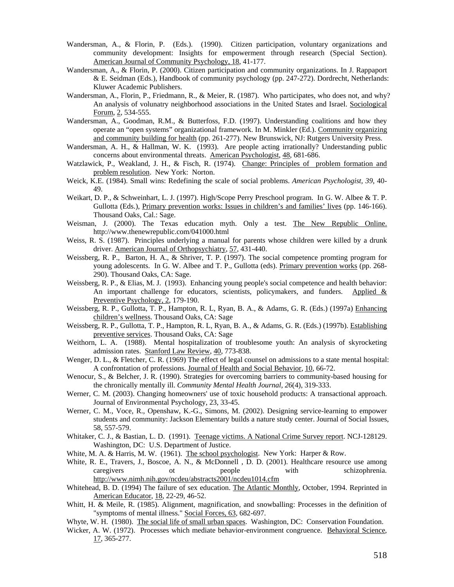- Wandersman, A., & Florin, P. (Eds.). (1990). Citizen participation, voluntary organizations and community development: Insights for empowerment through research (Special Section). American Journal of Community Psychology, 18, 41-177.
- Wandersman, A., & Florin, P. (2000). Citizen participation and community organizations. In J. Rappaport & E. Seidman (Eds.), Handbook of community psychology (pp. 247-272). Dordrecht, Netherlands: Kluwer Academic Publishers.
- Wandersman, A., Florin, P., Friedmann, R., & Meier, R. (1987). Who participates, who does not, and why? An analysis of volunatry neighborhood associations in the United States and Israel. Sociological Forum, 2, 534-555.
- Wandersman, A., Goodman, R.M., & Butterfoss, F.D. (1997). Understanding coalitions and how they operate an "open systems" organizational framework. In M. Minkler (Ed.). Community organizing and community building for health (pp. 261-277). New Brunswick, NJ: Rutgers University Press.
- Wandersman, A. H., & Hallman, W. K. (1993). Are people acting irrationally? Understanding public concerns about environmental threats. American Psychologist, 48, 681-686.
- Watzlawick, P., Weakland, J. H., & Fisch, R. (1974). Change: Principles of problem formation and problem resolution. New York: Norton.
- Weick, K.E. (1984). Small wins: Redefining the scale of social problems. *American Psychologist, 39*, 40- 49.
- Weikart, D. P., & Schweinhart, L. J. (1997). High/Scope Perry Preschool program. In G. W. Albee & T. P. Gullotta (Eds.), Primary prevention works: Issues in children's and families' lives (pp. 146-166). Thousand Oaks, Cal.: Sage.
- Weisman, J. (2000). The Texas education myth. Only a test. The New Republic Online. http://www.thenewrepublic.com/041000.html
- Weiss, R. S. (1987). Principles underlying a manual for parents whose children were killed by a drunk driver. American Journal of Orthopsychiatry, 57, 431-440.
- Weissberg, R. P., Barton, H. A., & Shriver, T. P. (1997). The social competence promting program for young adolescents. In G. W. Albee and T. P., Gullotta (eds). Primary prevention works (pp. 268- 290). Thousand Oaks, CA: Sage.
- Weissberg, R. P., & Elias, M. J. (1993). Enhancing young people's social competence and health behavior: An important challenge for educators, scientists, policymakers, and funders. Applied & Preventive Psychology, 2, 179-190.
- Weissberg, R. P., Gullotta, T. P., Hampton, R. L, Ryan, B. A., & Adams, G. R. (Eds.) (1997a) Enhancing children's wellness. Thousand Oaks, CA: Sage
- Weissberg, R. P., Gullotta, T. P., Hampton, R. L, Ryan, B. A., & Adams, G. R. (Eds.) (1997b). Establishing preventive services. Thousand Oaks, CA: Sage
- Weithorn, L. A. (1988). Mental hospitalization of troublesome youth: An analysis of skyrocketing admission rates. Stanford Law Review, 40, 773-838.
- Wenger, D. L., & Fletcher, C. R. (1969) The effect of legal counsel on admissions to a state mental hospital: A confrontation of professions. Journal of Health and Social Behavior, 10, 66-72.
- Wenocur, S., & Belcher, J. R. (1990). Strategies for overcoming barriers to community-based housing for the chronically mentally ill. *Community Mental Health Journal, 26*(4), 319-333.
- Werner, C. M. (2003). Changing homeowners' use of toxic household products: A transactional approach. Journal of Environmental Psychology, 23, 33-45.
- Werner, C. M., Voce, R., Openshaw, K.-G., Simons, M. (2002). Designing service-learning to empower students and community: Jackson Elementary builds a nature study center. Journal of Social Issues, 58, 557-579.
- Whitaker, C. J., & Bastian, L. D. (1991). Teenage victims. A National Crime Survey report. NCJ-128129. Washington, DC: U.S. Department of Justice.
- White, M. A. & Harris, M. W. (1961). The school psychologist. New York: Harper & Row.
- White, R. E., Travers, J., Boscoe, A. N., & McDonnell, D. D. (2001). Healthcare resource use among caregivers ot people with schizophrenia. http://www.nimh.nih.gov/ncdeu/abstracts2001/ncdeu1014.cfm
- Whitehead, B. D. (1994) The failure of sex education. The Atlantic Monthly, October, 1994. Reprinted in American Educator, 18, 22-29, 46-52.
- Whitt, H. & Meile, R. (1985). Alignment, magnification, and snowballing: Processes in the definition of "symptoms of mental illness." Social Forces, 63, 682-697.
- Whyte, W. H. (1980). The social life of small urban spaces. Washington, DC: Conservation Foundation.
- Wicker, A. W. (1972). Processes which mediate behavior-environment congruence. Behavioral Science, 17, 365-277.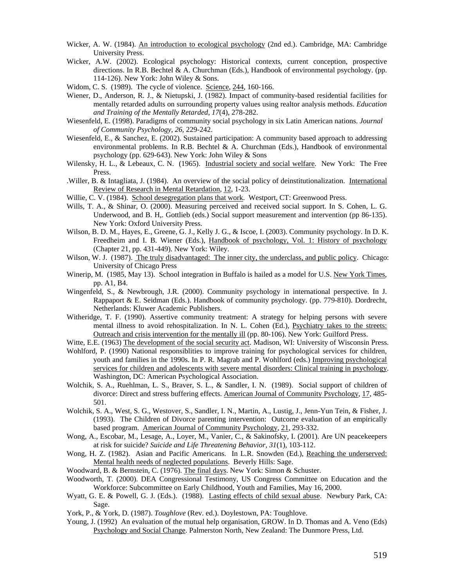- Wicker, A. W. (1984). An introduction to ecological psychology (2nd ed.). Cambridge, MA: Cambridge University Press.
- Wicker, A.W. (2002). Ecological psychology: Historical contexts, current conception, prospective directions. In R.B. Bechtel & A. Churchman (Eds.), Handbook of environmental psychology. (pp. 114-126). New York: John Wiley & Sons.
- Widom, C. S. (1989). The cycle of violence. Science, 244, 160-166.
- Wiener, D., Anderson, R. J., & Nietupski, J. (1982). Impact of community-based residential facilities for mentally retarded adults on surrounding property values using realtor analysis methods. *Education and Training of the Mentally Retarded, 17*(4), 278-282.
- Wiesenfeld, E. (1998). Paradigms of community social psychology in six Latin American nations. *Journal of Community Psychology, 26,* 229-242.
- Wiesenfeld, E., & Sanchez, E. (2002). Sustained participation: A community based approach to addressing environmental problems. In R.B. Bechtel & A. Churchman (Eds.), Handbook of environmental psychology (pp. 629-643). New York: John Wiley & Sons
- Wilensky, H. L., & Lebeaux, C. N. (1965). Industrial society and social welfare. New York: The Free Press.
- .Willer, B. & Intagliata, J. (1984). An overview of the social policy of deinstitutionalization. International Review of Research in Mental Retardation, 12, 1-23.
- Willie, C. V. (1984). School desegregation plans that work. Westport, CT: Greenwood Press.
- Wills, T. A., & Shinar, O. (2000). Measuring perceived and received social support. In S. Cohen, L. G. Underwood, and B. H,. Gottlieb (eds.) Social support measurement and intervention (pp 86-135). New York: Oxford University Press.
- Wilson, B. D. M., Hayes, E., Greene, G. J., Kelly J. G., & Iscoe, I. (2003). Community psychology. In D. K. Freedheim and I. B. Wiener (Eds.), Handbook of psychology, Vol. 1: History of psychology (Chapter 21, pp. 431-449). New York: Wiley.
- Wilson, W. J. (1987). The truly disadvantaged: The inner city, the underclass, and public policy. Chicago: University of Chicago Press
- Winerip, M. (1985, May 13). School integration in Buffalo is hailed as a model for U.S. New York Times, pp. A1, B4.
- Wingenfeld, S., & Newbrough, J.R. (2000). Community psychology in international perspective. In J. Rappaport & E. Seidman (Eds.). Handbook of community psychology. (pp. 779-810). Dordrecht, Netherlands: Kluwer Academic Publishers.
- Witheridge, T. F. (1990). Assertive community treatment: A strategy for helping persons with severe mental illness to avoid rehospitalization. In N. L. Cohen (Ed.), Psychiatry takes to the streets: Outreach and crisis intervention for the mentally ill (pp. 80-106). New York: Guilford Press.
- Witte, E.E. (1963) The development of the social security act. Madison, WI: University of Wisconsin Press.
- Wohlford, P. (1990) National responsiblities to improve training for psychological services for children, youth and families in the 1990s. In P. R. Magrab and P. Wohlford (eds.) Improving psychological services for children and adolescents with severe mental disorders: Clinical training in psychology. Washington, DC: American Psychological Association.
- Wolchik, S. A., Ruehlman, L. S., Braver, S. L., & Sandler, I. N. (1989). Social support of children of divorce: Direct and stress buffering effects. American Journal of Community Psychology, 17, 485- 501.
- Wolchik, S. A., West, S. G., Westover, S., Sandler, I. N., Martin, A., Lustig, J., Jenn-Yun Tein, & Fisher, J. (1993). The Children of Divorce parenting intervention: Outcome evaluation of an empirically based program. American Journal of Community Psychology, 21, 293-332.
- Wong, A., Escobar, M., Lesage, A., Loyer, M., Vanier, C., & Sakinofsky, I. (2001). Are UN peacekeepers at risk for suicide? *Suicide and Life Threatening Behavior, 31*(1), 103-112.
- Wong, H. Z. (1982). Asian and Pacific Americans. In L.R. Snowden (Ed.), Reaching the underserved: Mental health needs of neglected populations. Beverly Hills: Sage.

Woodward, B. & Bernstein, C. (1976). The final days. New York: Simon & Schuster.

- Woodworth, T. (2000). DEA Congressional Testimony, US Congress Committee on Education and the Workforce: Subcommittee on Early Childhood, Youth and Families, May 16, 2000.
- Wyatt, G. E. & Powell, G. J. (Eds.). (1988). Lasting effects of child sexual abuse. Newbury Park, CA: Sage.
- York, P., & York, D. (1987). *Toughlove* (Rev. ed.). Doylestown, PA: Toughlove.
- Young, J. (1992) An evaluation of the mutual help organisation, GROW. In D. Thomas and A. Veno (Eds) Psychology and Social Change. Palmerston North, New Zealand: The Dunmore Press, Ltd.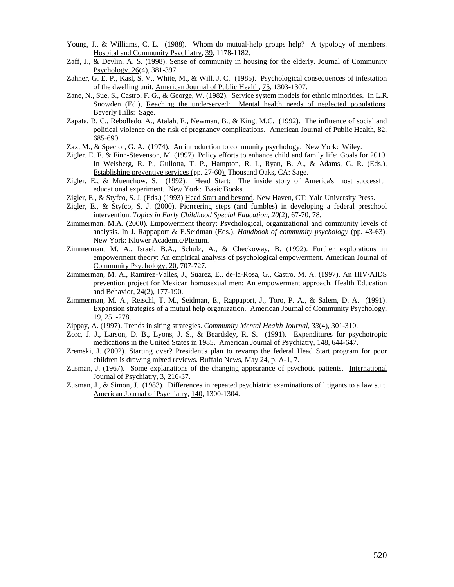- Young, J., & Williams, C. L. (1988). Whom do mutual-help groups help? A typology of members. Hospital and Community Psychiatry, 39, 1178-1182.
- Zaff, J., & Devlin, A. S. (1998). Sense of community in housing for the elderly. Journal of Community Psychology, 26(4), 381-397.
- Zahner, G. E. P., Kasl, S. V., White, M., & Will, J. C. (1985). Psychological consequences of infestation of the dwelling unit. American Journal of Public Health, 75, 1303-1307.
- Zane, N., Sue, S., Castro, F. G., & George, W. (1982). Service system models for ethnic minorities. In L.R. Snowden (Ed.), Reaching the underserved: Mental health needs of neglected populations. Beverly Hills: Sage.
- Zapata, B. C., Rebolledo, A., Atalah, E., Newman, B., & King, M.C. (1992). The influence of social and political violence on the risk of pregnancy complications. American Journal of Public Health, 82, 685-690.
- Zax, M., & Spector, G. A. (1974). An introduction to community psychology. New York: Wiley.
- Zigler, E. F. & Finn-Stevenson, M. (1997). Policy efforts to enhance child and family life: Goals for 2010. In Weisberg, R. P., Gullotta, T. P., Hampton, R. L, Ryan, B. A., & Adams, G. R. (Eds.), Establishing preventive services (pp. 27-60). Thousand Oaks, CA: Sage.
- Zigler, E., & Muenchow, S. (1992). Head Start: The inside story of America's most successful educational experiment. New York: Basic Books.
- Zigler, E., & Styfco, S. J. (Eds.) (1993) Head Start and beyond. New Haven, CT: Yale University Press.
- Zigler, E., & Styfco, S. J. (2000). Pioneering steps (and fumbles) in developing a federal preschool intervention. *Topics in Early Childhood Special Education, 20*(2), 67-70, 78.
- Zimmerman, M.A. (2000). Empowerment theory: Psychological, organizational and community levels of analysis. In J. Rappaport & E.Seidman (Eds.), *Handbook of community psychology* (pp. 43-63). New York: Kluwer Academic/Plenum.
- Zimmerman, M. A., Israel, B.A., Schulz, A., & Checkoway, B. (1992). Further explorations in empowerment theory: An empirical analysis of psychological empowerment. American Journal of Community Psychology, 20, 707-727.
- Zimmerman, M. A., Ramirez-Valles, J., Suarez, E., de-la-Rosa, G., Castro, M. A. (1997). An HIV/AIDS prevention project for Mexican homosexual men: An empowerment approach. Health Education and Behavior, 24(2), 177-190.
- Zimmerman, M. A., Reischl, T. M., Seidman, E., Rappaport, J., Toro, P. A., & Salem, D. A. (1991). Expansion strategies of a mutual help organization. American Journal of Community Psychology, 19, 251-278.
- Zippay, A. (1997). Trends in siting strategies. *Community Mental Health Journal, 33*(4), 301-310.
- Zorc, J. J., Larson, D. B., Lyons, J. S., & Beardsley, R. S. (1991). Expenditures for psychotropic medications in the United States in 1985. American Journal of Psychiatry, 148, 644-647.
- Zremski, J. (2002). Starting over? President's plan to revamp the federal Head Start program for poor children is drawing mixed reviews. Buffalo News, May 24, p. A-1, 7.
- Zusman, J. (1967). Some explanations of the changing appearance of psychotic patients. International Journal of Psychiatry, 3, 216-37.
- Zusman, J., & Simon, J. (1983). Differences in repeated psychiatric examinations of litigants to a law suit. American Journal of Psychiatry, 140, 1300-1304.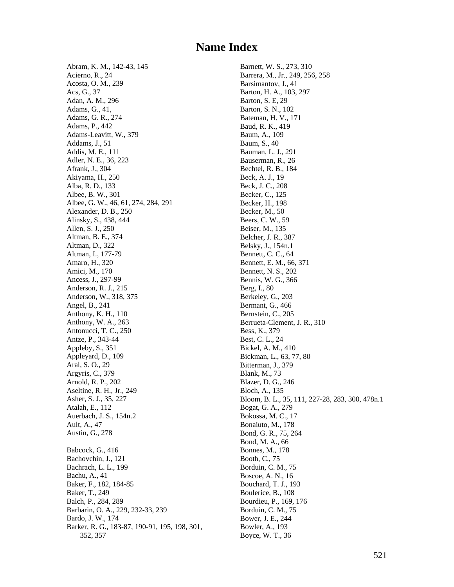## **Name Index**

Abram, K. M., 142-43, 145 Acierno, R., 24 Acosta, O. M., 239 Acs, G., 37 Adan, A. M., 296 Adams, G., 41, Adams, G. R., 274 Adams, P., 442 Adams-Leavitt, W., 379 Addams, J., 51 Addis, M. E., 111 Adler, N. E., 36, 223 Afrank, J., 304 Akiyama, H., 250 Alba, R. D., 133 Albee, B. W., 301 Albee, G. W., 46, 61, 274, 284, 291 Alexander, D. B., 250 Alinsky, S., 438, 444 Allen, S. J., 250 Altman, B. E., 374 Altman, D., 322 Altman, I., 177-79 Amaro, H., 320 Amici, M., 170 Ancess, J., 297-99 Anderson, R. J., 215 Anderson, W., 318, 375 Angel, B., 241 Anthony, K. H., 110 Anthony, W. A., 263 Antonucci, T. C., 250 Antze, P., 343-44 Appleby, S., 351 Appleyard, D., 109 Aral, S. O., 29 Argyris, C., 379 Arnold, R. P., 202 Aseltine, R. H., Jr., 249 Asher, S. J., 35, 227 Atalah, E., 112 Auerbach, J. S., 154n.2 Ault, A., 47 Austin, G., 278 Babcock, G., 416 Bachovchin, J., 121 Bachrach, L. L., 199 Bachu, A., 41 Baker, F., 182, 184-85 Baker, T., 249 Balch, P., 284, 289 Barbarin, O. A., 229, 232-33, 239 Bardo, J. W., 174 Barker, R. G., 183-87, 190-91, 195, 198, 301, 352, 357

Barnett, W. S., 273, 310 Barrera, M., Jr., 249, 256, 258 Barsimantov, J., 41 Barton, H. A., 103, 297 Barton, S. E, 29 Barton, S. N., 102 Bateman, H. V., 171 Baud, R. K., 419 Baum, A., 109 Baum, S., 40 Bauman, L. J., 291 Bauserman, R., 26 Bechtel, R. B., 184 Beck, A. J., 19 Beck, J. C., 208 Becker, C., 125 Becker, H., 198 Becker, M., 50 Beers, C. W., 59 Beiser, M., 135 Belcher, J. R., 387 Belsky, J., 154n.1 Bennett, C. C., 64 Bennett, E. M., 66, 371 Bennett, N. S., 202 Bennis, W. G., 366 Berg, I., 80 Berkeley, G., 203 Bermant, G., 466 Bernstein, C., 205 Berrueta-Clement, J. R., 310 Bess, K., 379 Best, C. L., 24 Bickel, A. M., 410 Bickman, L., 63, 77, 80 Bitterman, J., 379 Blank, M., 73 Blazer, D. G., 246 Bloch, A., 135 Bloom, B. L., 35, 111, 227-28, 283, 300, 478n.1 Bogat, G. A., 279 Bokossa, M. C., 17 Bonaiuto, M., 178 Bond, G. R., 75, 264 Bond, M. A., 66 Bonnes, M., 178 Booth, C., 75 Borduin, C. M., 75 Boscoe, A. N., 16 Bouchard, T. J., 193 Boulerice, B., 108 Bourdieu, P., 169, 176 Borduin, C. M., 75 Bower, J. E., 244 Bowler, A., 193 Boyce, W. T., 36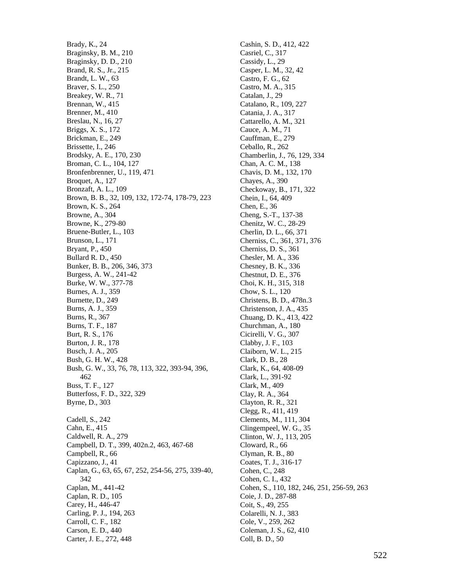Brady, K., 24 Braginsky, B. M., 210 Braginsky, D. D., 210 Brand, R. S., Jr., 215 Brandt, L. W., 63 Braver, S. L., 250 Breakey, W. R., 71 Brennan, W., 415 Brenner, M., 410 Breslau, N., 16, 27 Briggs, X. S., 172 Brickman, E., 249 Brissette, I., 246 Brodsky, A. E., 170, 230 Broman, C. L., 104, 127 Bronfenbrenner, U., 119, 471 Broquet, A., 127 Bronzaft, A. L., 109 Brown, B. B., 32, 109, 132, 172-74, 178-79, 223 Brown, K. S., 264 Browne, A., 304 Browne, K., 279-80 Bruene-Butler, L., 103 Brunson, L., 171 Bryant, P., 450 Bullard R. D., 450 Bunker, B. B., 206, 346, 373 Burgess, A. W., 241-42 Burke, W. W., 377-78 Burnes, A. J., 359 Burnette, D., 249 Burns, A. J., 359 Burns, R., 367 Burns, T. F., 187 Burt, R. S., 176 Burton, J. R., 178 Busch, J. A., 205 Bush, G. H. W., 428 Bush, G. W., 33, 76, 78, 113, 322, 393-94, 396, 462 Buss, T. F., 127 Butterfoss, F. D., 322, 329 Byrne, D., 303 Cadell, S., 242 Cahn, E., 415 Caldwell, R. A., 279 Campbell, D. T., 399, 402n.2, 463, 467-68 Campbell, R., 66 Capizzano, J., 41 Caplan, G., 63, 65, 67, 252, 254-56, 275, 339-40, 342 Caplan, M., 441-42 Caplan, R. D., 105 Carey, H., 446-47 Carling, P. J., 194, 263 Carroll, C. F., 182 Carson, E. D., 440 Carter, J. E., 272, 448

Cashin, S. D., 412, 422 Casriel, C., 317 Cassidy, L., 29 Casper, L. M., 32, 42 Castro, F. G., 62 Castro, M. A., 315 Catalan, J., 29 Catalano, R., 109, 227 Catania, J. A., 317 Cattarello, A. M., 321 Cauce, A. M., 71 Cauffman, E., 279 Ceballo, R., 262 Chamberlin, J., 76, 129, 334 Chan, A. C. M., 138 Chavis, D. M., 132, 170 Chayes, A., 390 Checkoway, B., 171, 322 Chein, I., 64, 409 Chen, E., 36 Cheng, S.-T., 137-38 Chenitz, W. C., 28-29 Cherlin, D. L., 66, 371 Cherniss, C., 361, 371, 376 Cherniss, D. S., 361 Chesler, M. A., 336 Chesney, B. K., 336 Chestnut, D. E., 376 Choi, K. H., 315, 318 Chow, S. L., 120 Christens, B. D., 478n.3 Christenson, J. A., 435 Chuang, D. K., 413, 422 Churchman, A., 180 Cicirelli, V. G., 307 Clabby, J. F., 103 Claiborn, W. L., 215 Clark, D. B., 28 Clark, K., 64, 408-09 Clark, L., 391-92 Clark, M., 409 Clay, R. A., 364 Clayton, R. R., 321 Clegg, R., 411, 419 Clements, M., 111, 304 Clingempeel, W. G., 35 Clinton, W. J., 113, 205 Cloward, R., 66 Clyman, R. B., 80 Coates, T. J., 316-17 Cohen, C., 248 Cohen, C. I., 432 Cohen, S., 110, 182, 246, 251, 256-59, 263 Coie, J. D., 287-88 Coit, S., 49, 255 Colarelli, N. J., 383 Cole, V., 259, 262 Coleman, J. S., 62, 410 Coll, B. D., 50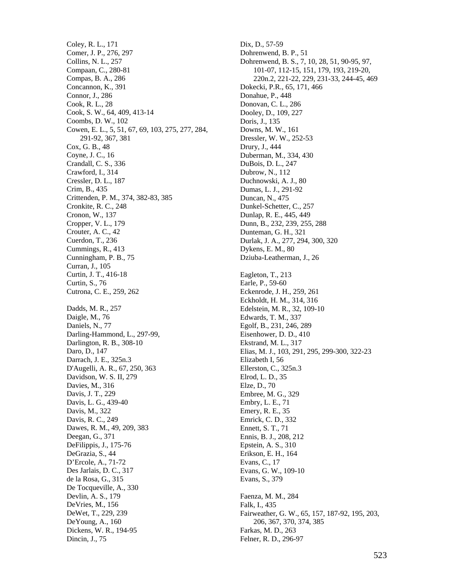Coley, R. L., 171 Comer, J. P., 276, 297 Collins, N. L., 257 Compaan, C., 280-81 Compas, B. A., 286 Concannon, K., 391 Connor, J., 286 Cook, R. L., 28 Cook, S. W., 64, 409, 413-14 Coombs, D. W., 102 Cowen, E. L., 5, 51, 67, 69, 103, 275, 277, 284, 291-92, 367, 381 Cox, G. B., 48 Coyne, J. C., 16 Crandall, C. S., 336 Crawford, I., 314 Cressler, D. L., 187 Crim, B., 435 Crittenden, P. M., 374, 382-83, 385 Cronkite, R. C., 248 Cronon, W., 137 Cropper, V. L., 179 Crouter, A. C., 42 Cuerdon, T., 236 Cummings, R., 413 Cunningham, P. B., 75 Curran, J., 105 Curtin, J. T., 416-18 Curtin, S., 76 Cutrona, C. E., 259, 262 Dadds, M. R., 257 Daigle, M., 76 Daniels, N., 77 Darling-Hammond, L., 297-99, Darlington, R. B., 308-10 Daro, D., 147 Darrach, J. E., 325n.3 D'Augelli, A. R., 67, 250, 363 Davidson, W. S. II, 279 Davies, M., 316 Davis, J. T., 229 Davis, L. G., 439-40 Davis, M., 322 Davis, R. C., 249 Dawes, R. M., 49, 209, 383 Deegan, G., 371 DeFilippis, J., 175-76 DeGrazia, S., 44 D'Ercole, A., 71-72 Des Jarlais, D. C., 317 de la Rosa, G., 315 De Tocqueville, A., 330 Devlin, A. S., 179 DeVries, M., 156 DeWet, T., 229, 239 DeYoung, A., 160 Dickens, W. R., 194-95 Dincin, J., 75

Dix, D., 57-59 Dohrenwend, B. P., 51 Dohrenwend, B. S., 7, 10, 28, 51, 90-95, 97, 101-07, 112-15, 151, 179, 193, 219-20, 220n.2, 221-22, 229, 231-33, 244-45, 469 Dokecki, P.R., 65, 171, 466 Donahue, P., 448 Donovan, C. L., 286 Dooley, D., 109, 227 Doris, J., 135 Downs, M. W., 161 Dressler, W. W., 252-53 Drury, J., 444 Duberman, M., 334, 430 DuBois, D. L., 247 Dubrow, N., 112 Duchnowski, A. J., 80 Dumas, L. J., 291-92 Duncan, N., 475 Dunkel-Schetter, C., 257 Dunlap, R. E., 445, 449 Dunn, B., 232, 239, 255, 288 Dunteman, G. H., 321 Durlak, J. A., 277, 294, 300, 320 Dykens, E. M., 80 Dziuba-Leatherman, J., 26 Eagleton, T., 213 Earle, P., 59-60 Eckenrode, J. H., 259, 261 Eckholdt, H. M., 314, 316 Edelstein, M. R., 32, 109-10 Edwards, T. M., 337 Egolf, B., 231, 246, 289 Eisenhower, D. D., 410 Ekstrand, M. L., 317 Elias, M. J., 103, 291, 295, 299-300, 322-23 Elizabeth I, 56 Ellerston, C., 325n.3 Elrod, L. D., 35 Elze, D., 70 Embree, M. G., 329 Embry, L. E., 71 Emery, R. E., 35 Emrick, C. D., 332 Ennett, S. T., 71 Ennis, B. J., 208, 212 Epstein, A. S., 310 Erikson, E. H., 164 Evans, C., 17 Evans, G. W., 109-10 Evans, S., 379 Faenza, M. M., 284 Falk, I., 435 Fairweather, G. W., 65, 157, 187-92, 195, 203, 206, 367, 370, 374, 385 Farkas, M. D., 263 Felner, R. D., 296-97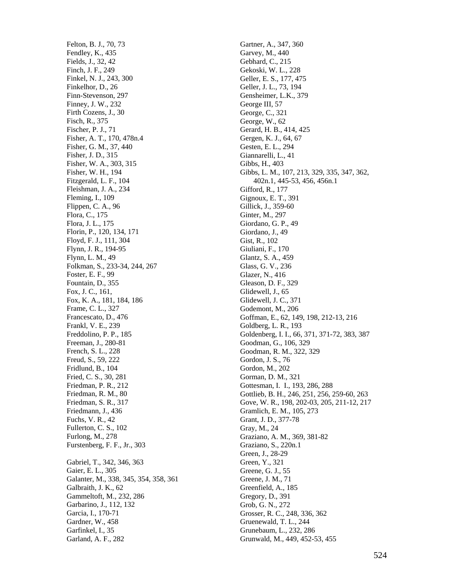Felton, B. J., 70, 73 Fendley, K., 435 Fields, J., 32, 42 Finch, J. F., 249 Finkel, N. J., 243, 300 Finkelhor, D., 26 Finn-Stevenson, 297 Finney, J. W., 232 Firth Cozens, J., 30 Fisch, R., 375 Fischer, P. J., 71 Fisher, A. T., 170, 478n.4 Fisher, G. M., 37, 440 Fisher, J. D., 315 Fisher, W. A., 303, 315 Fisher, W. H., 194 Fitzgerald, L. F., 104 Fleishman, J. A., 234 Fleming, I., 109 Flippen, C. A., 96 Flora, C., 175 Flora, J. L., 175 Florin, P., 120, 134, 171 Floyd, F. J., 111, 304 Flynn, J. R., 194-95 Flynn, L. M., 49 Folkman, S., 233-34, 244, 267 Foster, E. F., 99 Fountain, D., 355 Fox, J. C., 161, Fox, K. A., 181, 184, 186 Frame, C. L., 327 Francescato, D., 476 Frankl, V. E., 239 Freddolino, P. P., 185 Freeman, J., 280-81 French, S. L., 228 Freud, S., 59, 222 Fridlund, B., 104 Fried, C. S., 30, 281 Friedman, P. R., 212 Friedman, R. M., 80 Friedman, S. R., 317 Friedmann, J., 436 Fuchs, V. R., 42 Fullerton, C. S., 102 Furlong, M., 278 Furstenberg, F. F., Jr., 303 Gabriel, T., 342, 346, 363 Gaier, E. L., 305 Galanter, M., 338, 345, 354, 358, 361 Galbraith, J. K., 62 Gammeltoft, M., 232, 286 Garbarino, J., 112, 132 Garcia, I., 170-71 Gardner, W., 458 Garfinkel, I., 35 Garland, A. F., 282

Gartner, A., 347, 360 Garvey, M., 440 Gebhard, C., 215 Gekoski, W. L., 228 Geller, E. S., 177, 475 Geller, J. L., 73, 194 Gensheimer, L.K., 379 George III, 57 George, C., 321 George, W., 62 Gerard, H. B., 414, 425 Gergen, K. J., 64, 67 Gesten, E. L., 294 Giannarelli, L., 41 Gibbs, H., 403 Gibbs, L. M., 107, 213, 329, 335, 347, 362, 402n.1, 445-53, 456, 456n.1 Gifford, R., 177 Gignoux, E. T., 391 Gillick, J., 359-60 Ginter, M., 297 Giordano, G. P., 49 Giordano, J., 49 Gist, R., 102 Giuliani, F., 170 Glantz, S. A., 459 Glass, G. V., 236 Glazer, N., 416 Gleason, D. F., 329 Glidewell, J., 65 Glidewell, J. C., 371 Godemont, M., 206 Goffman, E., 62, 149, 198, 212-13, 216 Goldberg, L. R., 193 Goldenberg, I. I., 66, 371, 371-72, 383, 387 Goodman, G., 106, 329 Goodman, R. M., 322, 329 Gordon, J. S., 76 Gordon, M., 202 Gorman, D. M., 321 Gottesman, I. I., 193, 286, 288 Gottlieb, B. H., 246, 251, 256, 259-60, 263 Gove, W. R., 198, 202-03, 205, 211-12, 217 Gramlich, E. M., 105, 273 Grant, J. D., 377-78 Gray, M., 24 Graziano, A. M., 369, 381-82 Graziano, S., 220n.1 Green, J., 28-29 Green, Y., 321 Greene, G. J., 55 Greene, J. M., 71 Greenfield, A., 185 Gregory, D., 391 Grob, G. N., 272 Grosser, R. C., 248, 336, 362 Gruenewald, T. L., 244 Grunebaum, L., 232, 286 Grunwald, M., 449, 452-53, 455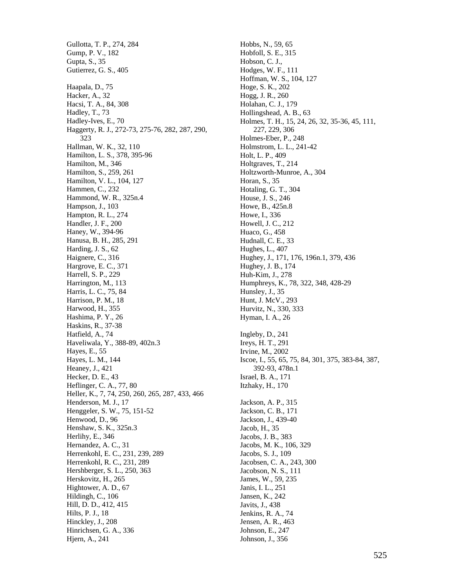Gullotta, T. P., 274, 284 Gump, P. V., 182 Gupta, S., 35 Gutierrez, G. S., 405 Haapala, D., 75 Hacker, A., 32 Hacsi, T. A., 84, 308 Hadley, T., 73 Hadley-Ives, E., 70 Haggerty, R. J., 272-73, 275-76, 282, 287, 290, 323 Hallman, W. K., 32, 110 Hamilton, L. S., 378, 395-96 Hamilton, M., 346 Hamilton, S., 259, 261 Hamilton, V. L., 104, 127 Hammen, C., 232 Hammond, W. R., 325n.4 Hampson, J., 103 Hampton, R. L., 274 Handler, J. F., 200 Haney, W., 394-96 Hanusa, B. H., 285, 291 Harding, J. S., 62 Haignere, C., 316 Hargrove, E. C., 371 Harrell, S. P., 229 Harrington, M., 113 Harris, L. C., 75, 84 Harrison, P. M., 18 Harwood, H., 355 Hashima, P. Y., 26 Haskins, R., 37-38 Hatfield, A., 74 Haveliwala, Y., 388-89, 402n.3 Hayes, E., 55 Hayes, L. M., 144 Heaney, J., 421 Hecker, D. E., 43 Heflinger, C. A., 77, 80 Heller, K., 7, 74, 250, 260, 265, 287, 433, 466 Henderson, M. J., 17 Henggeler, S. W., 75, 151-52 Henwood, D., 96 Henshaw, S. K., 325n.3 Herlihy, E., 346 Hernandez, A. C., 31 Herrenkohl, E. C., 231, 239, 289 Herrenkohl, R. C., 231, 289 Hershberger, S. L., 250, 363 Herskovitz, H., 265 Hightower, A. D., 67 Hildingh, C., 106 Hill, D. D., 412, 415 Hilts, P. J., 18 Hinckley, J., 208 Hinrichsen, G. A., 336 Hjern, A., 241

Hobbs, N., 59, 65 Hobfoll, S. E., 315 Hobson, C. J., Hodges, W. F., 111 Hoffman, W. S., 104, 127 Hoge, S. K., 202 Hogg, J. R., 260 Holahan, C. J., 179 Hollingshead, A. B., 63 Holmes, T. H., 15, 24, 26, 32, 35-36, 45, 111, 227, 229, 306 Holmes-Eber, P., 248 Holmstrom, L. L., 241-42 Holt, L. P., 409 Holtgraves, T., 214 Holtzworth-Munroe, A., 304 Horan, S., 35 Hotaling, G. T., 304 House, J. S., 246 Howe, B., 425n.8 Howe, I., 336 Howell, J. C., 212 Huaco, G., 458 Hudnall, C. E., 33 Hughes, L., 407 Hughey, J., 171, 176, 196n.1, 379, 436 Hughey, J. B., 174 Huh-Kim, J., 278 Humphreys, K., 78, 322, 348, 428-29 Hunsley, J., 35 Hunt, J. McV., 293 Hurvitz, N., 330, 333 Hyman, I. A., 26 Ingleby, D., 241 Ireys, H. T., 291 Irvine, M., 2002 Iscoe, I., 55, 65, 75, 84, 301, 375, 383-84, 387, 392-93, 478n.1 Israel, B. A., 171 Itzhaky, H., 170 Jackson, A. P., 315 Jackson, C. B., 171 Jackson, J., 439-40 Jacob, H., 35 Jacobs, J. B., 383 Jacobs, M. K., 106, 329 Jacobs, S. J., 109 Jacobsen, C. A., 243, 300 Jacobson, N. S., 111 James, W., 59, 235 Janis, I. L., 251 Jansen, K., 242 Javits, J., 438 Jenkins, R. A., 74 Jensen, A. R., 463 Johnson, E., 247 Johnson, J., 356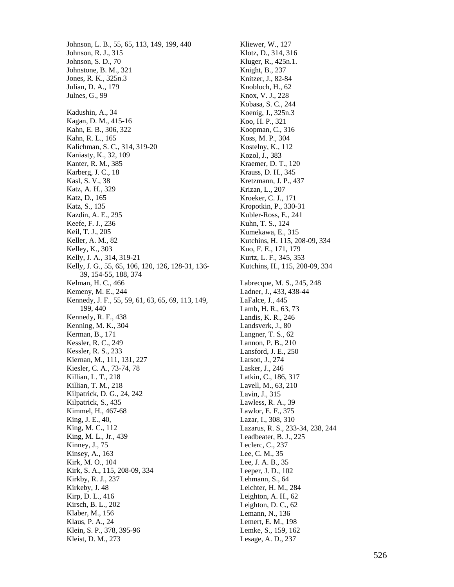Johnson, L. B., 55, 65, 113, 149, 199, 440 Johnson, R. J., 315 Johnson, S. D., 70 Johnstone, B. M., 321 Jones, R. K., 325n.3 Julian, D. A., 179 Julnes, G., 99 Kadushin, A., 34 Kagan, D. M., 415-16 Kahn, E. B., 306, 322 Kahn, R. L., 165 Kalichman, S. C., 314, 319-20 Kaniasty, K., 32, 109 Kanter, R. M., 385 Karberg, J. C., 18 Kasl, S. V., 38 Katz, A. H., 329 Katz, D., 165 Katz, S., 135 Kazdin, A. E., 295 Keefe, F. J., 236 Keil, T. J., 205 Keller, A. M., 82 Kelley, K., 303 Kelly, J. A., 314, 319-21 Kelly, J. G., 55, 65, 106, 120, 126, 128-31, 136- 39, 154-55, 188, 374 Kelman, H. C., 466 Kemeny, M. E., 244 Kennedy, J. F., 55, 59, 61, 63, 65, 69, 113, 149, 199, 440 Kennedy, R. F., 438 Kenning, M. K., 304 Kerman, B., 171 Kessler, R. C., 249 Kessler, R. S., 233 Kiernan, M., 111, 131, 227 Kiesler, C. A., 73-74, 78 Killian, L. T., 218 Killian, T. M., 218 Kilpatrick, D. G., 24, 242 Kilpatrick, S., 435 Kimmel, H., 467-68 King, J. E., 40, King, M. C., 112 King, M. L., Jr., 439 Kinney, J., 75 Kinsey, A., 163 Kirk, M. O., 104 Kirk, S. A., 115, 208-09, 334 Kirkby, R. J., 237 Kirkeby, J. 48 Kirp, D. L., 416 Kirsch, B. L., 202 Klaber, M., 156 Klaus, P. A., 24 Klein, S. P., 378, 395-96 Kleist, D. M., 273

Kliewer, W., 127 Klotz, D., 314, 316 Kluger, R., 425n.1. Knight, B., 237 Knitzer, J., 82-84 Knobloch, H., 62 Knox, V. J., 228 Kobasa, S. C., 244 Koenig, J., 325n.3 Koo, H. P., 321 Koopman, C., 316 Koss, M. P., 304 Kostelny, K., 112 Kozol, J., 383 Kraemer, D. T., 120 Krauss, D. H., 345 Kretzmann, J. P., 437 Krizan, L., 207 Kroeker, C. J., 171 Kropotkin, P., 330-31 Kubler-Ross, E., 241 Kuhn, T. S., 124 Kumekawa, E., 315 Kutchins, H. 115, 208-09, 334 Kuo, F. E., 171, 179 Kurtz, L. F., 345, 353 Kutchins, H., 115, 208-09, 334 Labrecque, M. S., 245, 248 Ladner, J., 433, 438-44 LaFalce, J., 445 Lamb, H. R., 63, 73 Landis, K. R., 246 Landsverk, J., 80 Langner, T. S., 62 Lannon, P. B., 210 Lansford, J. E., 250 Larson, J., 274 Lasker, J., 246 Latkin, C., 186, 317 Lavell, M., 63, 210 Lavin, J., 315 Lawless, R. A., 39 Lawlor, E. F., 375 Lazar, I., 308, 310 Lazarus, R. S., 233-34, 238, 244 Leadbeater, B. J., 225 Leclerc, C., 237 Lee, C. M., 35 Lee, J. A. B., 35 Leeper, J. D., 102 Lehmann, S., 64 Leichter, H. M., 284 Leighton, A. H., 62 Leighton, D. C., 62 Lemann, N., 136 Lemert, E. M., 198 Lemke, S., 159, 162 Lesage, A. D., 237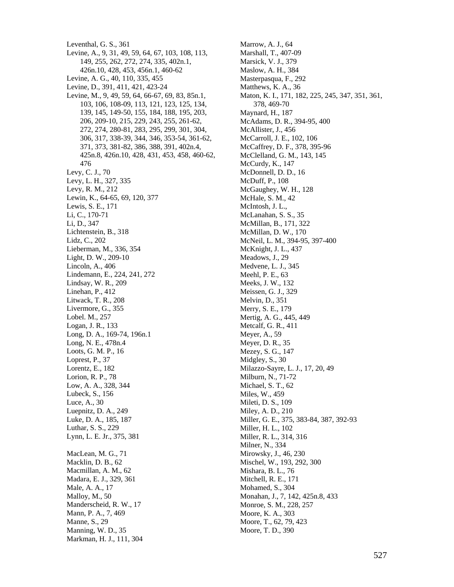Leventhal, G. S., 361 Levine, A., 9, 31, 49, 59, 64, 67, 103, 108, 113, 149, 255, 262, 272, 274, 335, 402n.1, 426n.10, 428, 453, 456n.1, 460-62 Levine, A. G., 40, 110, 335, 455 Levine, D., 391, 411, 421, 423-24 Levine, M., 9, 49, 59, 64, 66-67, 69, 83, 85n.1, 103, 106, 108-09, 113, 121, 123, 125, 134, 139, 145, 149-50, 155, 184, 188, 195, 203, 206, 209-10, 215, 229, 243, 255, 261-62, 272, 274, 280-81, 283, 295, 299, 301, 304, 306, 317, 338-39, 344, 346, 353-54, 361-62, 371, 373, 381-82, 386, 388, 391, 402n.4, 425n.8, 426n.10, 428, 431, 453, 458, 460-62, 476 Levy, C. J., 70 Levy, L. H., 327, 335 Levy, R. M., 212 Lewin, K., 64-65, 69, 120, 377 Lewis, S. E., 171 Li, C., 170-71 Li, D., 347 Lichtenstein, B., 318 Lidz, C., 202 Lieberman, M., 336, 354 Light, D. W., 209-10 Lincoln, A., 406 Lindemann, E., 224, 241, 272 Lindsay, W. R., 209 Linehan, P., 412 Litwack, T. R., 208 Livermore, G., 355 Lobel. M., 257 Logan, J. R., 133 Long, D. A., 169-74, 196n.1 Long, N. E., 478n.4 Loots, G. M. P., 16 Loprest, P., 37 Lorentz, E., 182 Lorion, R. P., 78 Low, A. A., 328, 344 Lubeck, S., 156 Luce, A., 30 Luepnitz, D. A., 249 Luke, D. A., 185, 187 Luthar, S. S., 229 Lynn, L. E. Jr., 375, 381 MacLean, M. G., 71 Macklin, D. B., 62 Macmillan, A. M., 62 Madara, E. J., 329, 361 Male, A. A., 17 Malloy, M., 50 Manderscheid, R. W., 17 Mann, P. A., 7, 469 Manne, S., 29 Manning, W. D., 35 Markman, H. J., 111, 304

Marrow, A. J., 64 Marshall, T., 407-09 Marsick, V. J., 379 Maslow, A. H., 384 Masterpasqua, F., 292 Matthews, K. A., 36 Maton, K. I., 171, 182, 225, 245, 347, 351, 361, 378, 469-70 Maynard, H., 187 McAdams, D. R., 394-95, 400 McAllister, J., 456 McCarroll, J. E., 102, 106 McCaffrey, D. F., 378, 395-96 McClelland, G. M., 143, 145 McCurdy, K., 147 McDonnell, D. D., 16 McDuff, P., 108 McGaughey, W. H., 128 McHale, S. M., 42 McIntosh, J. L., McLanahan, S. S., 35 McMillan, B., 171, 322 McMillan, D. W., 170 McNeil, L. M., 394-95, 397-400 McKnight, J. L., 437 Meadows, J., 29 Medvene, L. J., 345 Meehl, P. E., 63 Meeks, J. W., 132 Meissen, G. J., 329 Melvin, D., 351 Merry, S. E., 179 Mertig, A. G., 445, 449 Metcalf, G. R., 411 Meyer, A., 59 Meyer, D. R., 35 Mezey, S. G., 147 Midgley, S., 30 Milazzo-Sayre, L. J., 17, 20, 49 Milburn, N., 71-72 Michael, S. T., 62 Miles, W., 459 Mileti, D. S., 109 Miley, A. D., 210 Miller, G. E., 375, 383-84, 387, 392-93 Miller, H. L., 102 Miller, R. L., 314, 316 Milner, N., 334 Mirowsky, J., 46, 230 Mischel, W., 193, 292, 300 Mishara, B. L., 76 Mitchell, R. E., 171 Mohamed, S., 304 Monahan, J., 7, 142, 425n.8, 433 Monroe, S. M., 228, 257 Moore, K. A., 303 Moore, T., 62, 79, 423 Moore, T. D., 390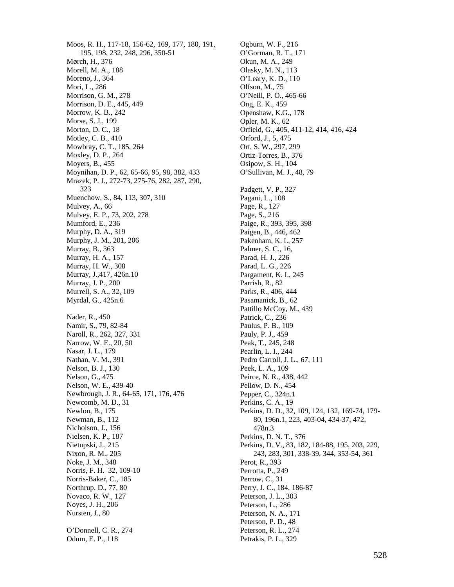Moos, R. H., 117-18, 156-62, 169, 177, 180, 191, 195, 198, 232, 248, 296, 350-51 Mørch, H., 376 Morell, M. A., 188 Moreno, J., 364 Mori, L., 286 Morrison, G. M., 278 Morrison, D. E., 445, 449 Morrow, K. B., 242 Morse, S. J., 199 Morton, D. C., 18 Motley, C. B., 410 Mowbray, C. T., 185, 264 Moxley, D. P., 264 Moyers, B., 455 Moynihan, D. P., 62, 65-66, 95, 98, 382, 433 Mrazek, P. J., 272-73, 275-76, 282, 287, 290, 323 Muenchow, S., 84, 113, 307, 310 Mulvey, A., 66 Mulvey, E. P., 73, 202, 278 Mumford, E., 236 Murphy, D. A., 319 Murphy, J. M., 201, 206 Murray, B., 363 Murray, H. A., 157 Murray, H. W., 308 Murray, J.,417, 426n.10 Murray, J. P., 200 Murrell, S. A., 32, 109 Myrdal, G., 425n.6 Nader, R., 450 Namir, S., 79, 82-84 Naroll, R., 262, 327, 331 Narrow, W. E., 20, 50 Nasar, J. L., 179 Nathan, V. M., 391 Nelson, B. J., 130 Nelson, G., 475 Nelson, W. E., 439-40 Newbrough, J. R., 64-65, 171, 176, 476 Newcomb, M. D., 31 Newlon, B., 175 Newman, B., 112 Nicholson, J., 156 Nielsen, K. P., 187 Nietupski, J., 215 Nixon, R. M., 205 Noke, J. M., 348 Norris, F. H. 32, 109-10 Norris-Baker, C., 185 Northrup, D., 77, 80 Novaco, R. W., 127 Noyes, J. H., 206 Nursten, J., 80 O'Donnell, C. R., 274 Odum, E. P., 118

Ogburn, W. F., 216 O'Gorman, R. T., 171 Okun, M. A., 249 Olasky, M. N., 113 O'Leary, K. D., 110 Olfson, M., 75 O'Neill, P. O., 465-66 Ong, E. K., 459 Openshaw, K.G., 178 Opler, M. K., 62 Orfield, G., 405, 411-12, 414, 416, 424 Orford, J., 5, 475 Ort, S. W., 297, 299 Ortiz-Torres, B., 376 Osipow, S. H., 104 O'Sullivan, M. J., 48, 79 Padgett, V. P., 327 Pagani, L., 108 Page, R., 127 Page, S., 216 Paige, R., 393, 395, 398 Paigen, B., 446, 462 Pakenham, K. I., 257 Palmer, S. C., 16, Parad, H. J., 226 Parad, L. G., 226 Pargament, K. I., 245 Parrish, R., 82 Parks, R., 406, 444 Pasamanick, B., 62 Pattillo McCoy, M., 439 Patrick, C., 236 Paulus, P. B., 109 Pauly, P. J., 459 Peak, T., 245, 248 Pearlin, L. I., 244 Pedro Carroll, J. L., 67, 111 Peek, L. A., 109 Peirce, N. R., 438, 442 Pellow, D. N., 454 Pepper, C., 324n.1 Perkins, C. A., 19 Perkins, D. D., 32, 109, 124, 132, 169-74, 179- 80, 196n.1, 223, 403-04, 434-37, 472, 478n.3 Perkins, D. N. T., 376 Perkins, D. V., 83, 182, 184-88, 195, 203, 229, 243, 283, 301, 338-39, 344, 353-54, 361 Perot, R., 393 Perrotta, P., 249 Perrow, C., 31 Perry, J. C., 184, 186-87 Peterson, J. L., 303 Peterson, L., 286 Peterson, N. A., 171 Peterson, P. D., 48 Peterson, R. L., 274 Petrakis, P. L., 329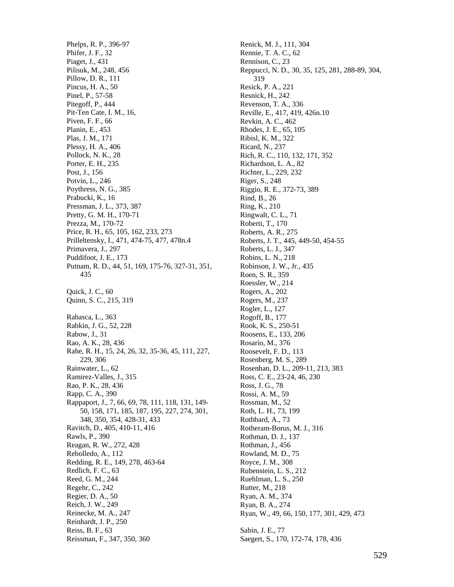Phelps, R. P., 396-97 Phifer, J. F., 32 Piaget, J., 431 Pilisuk, M., 248, 456 Pillow, D. R., 111 Pincus, H. A., 50 Pinel, P., 57-58 Pitegoff, P., 444 Pit-Ten Cate, I. M., 16, Piven, F. F., 66 Planin, E., 453 Plas, J. M., 171 Plessy, H. A., 406 Pollock, N. K., 28 Porter, E. H., 235 Post, J., 156 Potvin, L., 246 Poythress, N. G., 385 Prabucki, K., 16 Pressman, J. L., 373, 387 Pretty, G. M. H., 170-71 Prezza, M., 170-72 Price, R. H., 65, 105, 162, 233, 273 Prilleltensky, I., 471, 474-75, 477, 478n.4 Primavera, J., 297 Puddifoot, J. E., 173 Putnam, R. D., 44, 51, 169, 175-76, 327-31, 351, 435 Quick, J. C., 60 Quinn, S. C., 215, 319 Rabasca, L., 363 Rabkin, J. G., 52, 228 Rabow, J., 31 Rao, A. K., 28, 436 Rahe, R. H., 15, 24, 26, 32, 35-36, 45, 111, 227, 229, 306 Rainwater, L., 62 Ramirez-Valles, J., 315 Rao, P. K., 28, 436 Rapp, C. A., 390 Rappaport, J., 7, 66, 69, 78, 111, 118, 131, 149- 50, 158, 171, 185, 187, 195, 227, 274, 301, 348, 350, 354, 428-31, 433 Ravitch, D., 405, 410-11, 416 Rawls, P., 390 Reagan, R. W., 272, 428 Rebolledo, A., 112 Redding, R. E., 149, 278, 463-64 Redlich, F. C., 63 Reed, G. M., 244 Regehr, C., 242 Regier, D. A., 50 Reich, J. W., 249 Reinecke, M. A., 247 Reinhardt, J. P., 250 Reiss, B. F., 63 Reissman, F., 347, 350, 360

Renick, M. J., 111, 304 Rennie, T. A. C., 62 Rennison, C., 23 Reppucci, N. D., 30, 35, 125, 281, 288-89, 304, 319 Resick, P. A., 221 Resnick, H., 242 Revenson, T. A., 336 Reville, E., 417, 419, 426n.10 Revkin, A. C., 462 Rhodes, J. E., 65, 105 Ribisl, K. M., 322 Ricard, N., 237 Rich, R. C., 110, 132, 171, 352 Richardson, L. A., 82 Richter, L., 229, 232 Riger, S., 248 Riggio, R. E., 372-73, 389 Rind, B., 26 Ring, K., 210 Ringwalt, C. L., 71 Roberti, T., 170 Roberts, A. R., 275 Roberts, J. T., 445, 449-50, 454-55 Roberts, L. J., 347 Robins, L. N., 218 Robinson, J. W., Jr., 435 Roen, S. R., 359 Roessler, W., 214 Rogers, A., 202 Rogers, M., 237 Rogler, L., 127 Rogoff, B., 177 Rook, K. S., 250-51 Roosens, E., 133, 206 Rosario, M., 376 Roosevelt, F. D., 113 Rosenberg, M. S., 289 Rosenhan, D. L., 209-11, 213, 383 Ross, C. E., 23-24, 46, 230 Ross, J. G., 78 Rossi, A. M., 59 Rossman, M., 52 Roth, L. H., 73, 199 Rothbard, A., 73 Rotheram-Borus, M. J., 316 Rothman, D. J., 137 Rothman, J., 456 Rowland, M. D., 75 Royce, J. M., 308 Rubenstein, L. S., 212 Ruehlman, L. S., 250 Rutter, M., 218 Ryan, A. M., 374 Ryan, B. A., 274 Ryan, W., 49, 66, 150, 177, 301, 429, 473 Sabin, J. E., 77

Saegert, S., 170, 172-74, 178, 436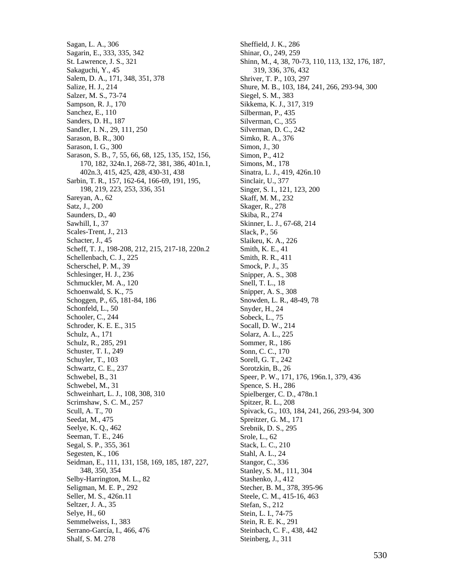Sagan, L. A., 306 Sagarin, E., 333, 335, 342 St. Lawrence, J. S., 321 Sakaguchi, Y., 45 Salem, D. A., 171, 348, 351, 378 Salize, H. J., 214 Salzer, M. S., 73-74 Sampson, R. J., 170 Sanchez, E., 110 Sanders, D. H., 187 Sandler, I. N., 29, 111, 250 Sarason, B. R., 300 Sarason, I. G., 300 Sarason, S. B., 7, 55, 66, 68, 125, 135, 152, 156, 170, 182, 324n.1, 268-72, 381, 386, 401n.1, 402n.3, 415, 425, 428, 430-31, 438 Sarbin, T. R., 157, 162-64, 166-69, 191, 195, 198, 219, 223, 253, 336, 351 Sareyan, A., 62 Satz, J., 200 Saunders, D., 40 Sawhill, I., 37 Scales-Trent, J., 213 Schacter, J., 45 Scheff, T. J., 198-208, 212, 215, 217-18, 220n.2 Schellenbach, C. J., 225 Scherschel, P. M., 39 Schlesinger, H. J., 236 Schmuckler, M. A., 120 Schoenwald, S. K., 75 Schoggen, P., 65, 181-84, 186 Schonfeld, L., 50 Schooler, C., 244 Schroder, K. E. E., 315 Schulz, A., 171 Schulz, R., 285, 291 Schuster, T. I., 249 Schuyler, T., 103 Schwartz, C. E., 237 Schwebel, B., 31 Schwebel, M., 31 Schweinhart, L. J., 108, 308, 310 Scrimshaw, S. C. M., 257 Scull, A. T., 70 Seedat, M., 475 Seelye, K. Q., 462 Seeman, T. E., 246 Segal, S. P., 355, 361 Segesten, K., 106 Seidman, E., 111, 131, 158, 169, 185, 187, 227, 348, 350, 354 Selby-Harrington, M. L., 82 Seligman, M. E. P., 292 Seller, M. S., 426n.11 Seltzer, J. A., 35 Selye, H., 60 Semmelweiss, I., 383 Serrano-García, I., 466, 476 Shalf, S. M. 278

Sheffield, J. K., 286 Shinar, O., 249, 259 Shinn, M., 4, 38, 70-73, 110, 113, 132, 176, 187, 319, 336, 376, 432 Shriver, T. P., 103, 297 Shure, M. B., 103, 184, 241, 266, 293-94, 300 Siegel, S. M., 383 Sikkema, K. J., 317, 319 Silberman, P., 435 Silverman, C., 355 Silverman, D. C., 242 Simko, R. A., 376 Simon, J., 30 Simon, P., 412 Simons, M., 178 Sinatra, L. J., 419, 426n.10 Sinclair, U., 377 Singer, S. I., 121, 123, 200 Skaff, M. M., 232 Skager, R., 278 Skiba, R., 274 Skinner, L. J., 67-68, 214 Slack, P., 56 Slaikeu, K. A., 226 Smith, K. E., 41 Smith, R. R., 411 Smock, P. J., 35 Snipper, A. S., 308 Snell, T. L., 18 Snipper, A. S., 308 Snowden, L. R., 48-49, 78 Snyder, H., 24 Sobeck, L., 75 Socall, D. W., 214 Solarz, A. L., 225 Sommer, R., 186 Sonn, C. C., 170 Sorell, G. T., 242 Sorotzkin, B., 26 Speer, P. W., 171, 176, 196n.1, 379, 436 Spence, S. H., 286 Spielberger, C. D., 478n.1 Spitzer, R. L., 208 Spivack, G., 103, 184, 241, 266, 293-94, 300 Spreitzer, G. M., 171 Srebnik, D. S., 295 Srole, L., 62 Stack, L. C., 210 Stahl, A. L., 24 Stangor, C., 336 Stanley, S. M., 111, 304 Stashenko, J., 412 Stecher, B. M., 378, 395-96 Steele, C. M., 415-16, 463 Stefan, S., 212 Stein, L. I., 74-75 Stein, R. E. K., 291 Steinbach, C. F., 438, 442 Steinberg, J., 311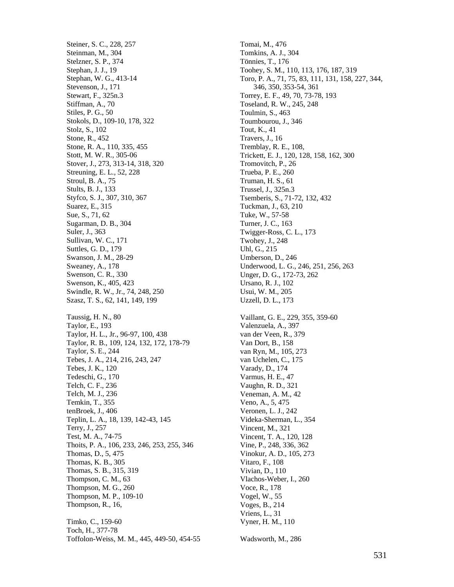Steiner, S. C., 228, 257 Steinman, M., 304 Stelzner, S. P., 374 Stephan, J. J., 19 Stephan, W. G., 413-14 Stevenson, J., 171 Stewart, F., 325n.3 Stiffman, A., 70 Stiles, P. G., 50 Stokols, D., 109-10, 178, 322 Stolz, S., 102 Stone, R., 452 Stone, R. A., 110, 335, 455 Stott, M. W. R., 305-06 Stover, J., 273, 313-14, 318, 320 Streuning, E. L., 52, 228 Stroul, B. A., 75 Stults, B. J., 133 Styfco, S. J., 307, 310, 367 Suarez, E., 315 Sue, S., 71, 62 Sugarman, D. B., 304 Suler, J., 363 Sullivan, W. C., 171 Suttles, G. D., 179 Swanson, J. M., 28-29 Sweaney, A., 178 Swenson, C. R., 330 Swenson, K., 405, 423 Swindle, R. W., Jr., 74, 248, 250 Szasz, T. S., 62, 141, 149, 199 Taussig, H. N., 80 Taylor, E., 193 Taylor, H. L., Jr., 96-97, 100, 438 Taylor, R. B., 109, 124, 132, 172, 178-79 Taylor, S. E., 244 Tebes, J. A., 214, 216, 243, 247 Tebes, J. K., 120 Tedeschi, G., 170 Telch, C. F., 236 Telch, M. J., 236 Temkin, T., 355 tenBroek, J., 406 Teplin, L. A., 18, 139, 142-43, 145 Terry, J., 257 Test, M. A., 74-75 Thoits, P. A., 106, 233, 246, 253, 255, 346 Thomas, D., 5, 475 Thomas, K. B., 305 Thomas, S. B., 315, 319 Thompson, C. M., 63 Thompson, M. G., 260 Thompson, M. P., 109-10 Thompson, R., 16, Timko, C., 159-60 Toch, H., 377-78 Toffolon-Weiss, M. M., 445, 449-50, 454-55 Tomai, M., 476 Tomkins, A. J., 304 Tönnies, T., 176 Toohey, S. M., 110, 113, 176, 187, 319 Toro, P. A., 71, 75, 83, 111, 131, 158, 227, 344, 346, 350, 353-54, 361 Torrey, E. F., 49, 70, 73-78, 193 Toseland, R. W., 245, 248 Toulmin, S., 463 Toumbourou, J., 346 Tout, K., 41 Travers, J., 16 Tremblay, R. E., 108, Trickett, E. J., 120, 128, 158, 162, 300 Tromovitch, P., 26 Trueba, P. E., 260 Truman, H. S., 61 Trussel, J., 325n.3 Tsemberis, S., 71-72, 132, 432 Tuckman, J., 63, 210 Tuke, W., 57-58 Turner, J. C., 163 Twigger-Ross, C. L., 173 Twohey, J., 248 Uhl, G., 215 Umberson, D., 246 Underwood, L. G., 246, 251, 256, 263 Unger, D. G., 172-73, 262 Ursano, R. J., 102 Usui, W. M., 205 Uzzell, D. L., 173 Vaillant, G. E., 229, 355, 359-60 Valenzuela, A., 397 van der Veen, R., 379 Van Dort, B., 158 van Ryn, M., 105, 273 van Uchelen, C., 175 Varady, D., 174 Varmus, H. E., 47 Vaughn, R. D., 321 Veneman, A. M., 42 Veno, A., 5, 475 Veronen, L. J., 242 Videka-Sherman, L., 354 Vincent, M., 321 Vincent, T. A., 120, 128 Vine, P., 248, 336, 362 Vinokur, A. D., 105, 273 Vitaro, F., 108 Vivian, D., 110 Vlachos-Weber, I., 260 Voce, R., 178 Vogel, W., 55 Voges, B., 214 Vriens, L., 31 Vyner, H. M., 110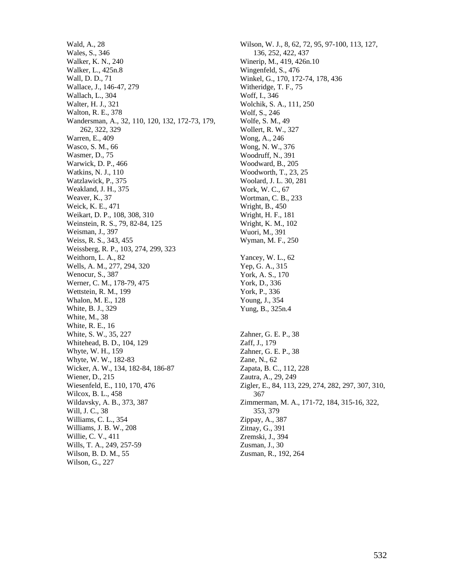Wald, A., 28 Wales, S., 346 Walker, K. N., 240 Walker, L., 425n.8 Wall, D. D., 71 Wallace, J., 146-47, 279 Wallach, L., 304 Walter, H. J., 321 Walton, R. E., 378 Wandersman, A., 32, 110, 120, 132, 172-73, 179, 262, 322, 329 Warren, E., 409 Wasco, S. M., 66 Wasmer, D., 75 Warwick, D. P., 466 Watkins, N. J., 110 Watzlawick, P., 375 Weakland, J. H., 375 Weaver, K., 37 Weick, K. E., 471 Weikart, D. P., 108, 308, 310 Weinstein, R. S., 79, 82-84, 125 Weisman, J., 397 Weiss, R. S., 343, 455 Weissberg, R. P., 103, 274, 299, 323 Weithorn, L. A., 82 Wells, A. M., 277, 294, 320 Wenocur, S., 387 Werner, C. M., 178-79, 475 Wettstein, R. M., 199 Whalon, M. E., 128 White, B. J., 329 White, M., 38 White, R. E., 16 White, S. W., 35, 227 Whitehead, B. D., 104, 129 Whyte, W. H., 159 Whyte, W. W., 182-83 Wicker, A. W., 134, 182-84, 186-87 Wiener, D., 215 Wiesenfeld, E., 110, 170, 476 Wilcox, B. L., 458 Wildavsky, A. B., 373, 387 Will, J. C., 38 Williams, C. L., 354 Williams, J. B. W., 208 Willie, C. V., 411 Wills, T. A., 249, 257-59 Wilson, B. D. M., 55 Wilson, G., 227

Wilson, W. J., 8, 62, 72, 95, 97-100, 113, 127, 136, 252, 422, 437 Winerip, M., 419, 426n.10 Wingenfeld, S., 476 Winkel, G., 170, 172-74, 178, 436 Witheridge, T. F., 75 Woff, I., 346 Wolchik, S. A., 111, 250 Wolf, S., 246 Wolfe, S. M., 49 Wollert, R. W., 327 Wong, A., 246 Wong, N. W., 376 Woodruff, N., 391 Woodward, B., 205 Woodworth, T., 23, 25 Woolard, J. L. 30, 281 Work, W. C., 67 Wortman, C. B., 233 Wright, B., 450 Wright, H. F., 181 Wright, K. M., 102 Wuori, M., 391 Wyman, M. F., 250 Yancey, W. L., 62 Yep, G. A., 315 York, A. S., 170 York, D., 336 York, P., 336 Young, J., 354 Yung, B., 325n.4 Zahner, G. E. P., 38 Zaff, J., 179 Zahner, G. E. P., 38 Zane, N., 62 Zapata, B. C., 112, 228 Zautra, A., 29, 249 Zigler, E., 84, 113, 229, 274, 282, 297, 307, 310, 367 Zimmerman, M. A., 171-72, 184, 315-16, 322, 353, 379 Zippay, A., 387 Zitnay, G., 391 Zremski, J., 394 Zusman, J., 30 Zusman, R., 192, 264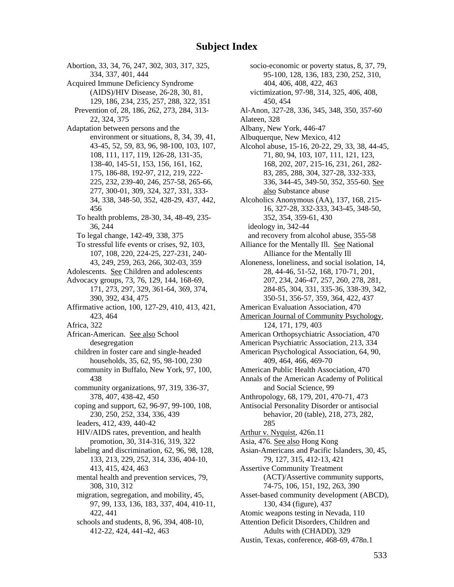## **Subject Index**

Abortion, 33, 34, 76, 247, 302, 303, 317, 325, 334, 337, 401, 444 Acquired Immune Deficiency Syndrome (AIDS)/HIV Disease, 26-28, 30, 81, 129, 186, 234, 235, 257, 288, 322, 351 Prevention of, 28, 186, 262, 273, 284, 313- 22, 324, 375 Adaptation between persons and the environment or situations, 8, 34, 39, 41, 43-45, 52, 59, 83, 96, 98-100, 103, 107, 108, 111, 117, 119, 126-28, 131-35, 138-40, 145-51, 153, 156, 161, 162, 175, 186-88, 192-97, 212, 219, 222- 225, 232, 239-40, 246, 257-58, 265-66, 277, 300-01, 309, 324, 327, 331, 333- 34, 338, 348-50, 352, 428-29, 437, 442, 456 To health problems, 28-30, 34, 48-49, 235- 36, 244 To legal change, 142-49, 338, 375 To stressful life events or crises, 92, 103, 107, 108, 220, 224-25, 227-231, 240- 43, 249, 259, 263, 266, 302-03, 359 Adolescents. See Children and adolescents Advocacy groups, 73, 76, 129, 144, 168-69, 171, 273, 297, 329, 361-64, 369, 374, 390, 392, 434, 475 Affirmative action, 100, 127-29, 410, 413, 421, 423, 464 Africa, 322 African-American. See also School desegregation children in foster care and single-headed households, 35, 62, 95, 98-100, 230 community in Buffalo, New York, 97, 100, 438 community organizations, 97, 319, 336-37, 378, 407, 438-42, 450 coping and support, 62, 96-97, 99-100, 108, 230, 250, 252, 334, 336, 439 leaders, 412, 439, 440-42 HIV/AIDS rates, prevention, and health promotion, 30, 314-316, 319, 322 labeling and discrimination, 62, 96, 98, 128, 133, 213, 229, 252, 314, 336, 404-10, 413, 415, 424, 463 mental health and prevention services, 79, 308, 310, 312 migration, segregation, and mobility, 45, 97, 99, 133, 136, 183, 337, 404, 410-11, 422, 441 schools and students, 8, 96, 394, 408-10, 412-22, 424, 441-42, 463

 socio-economic or poverty status, 8, 37, 79, 95-100, 128, 136, 183, 230, 252, 310, 404, 406, 408, 422, 463 victimization, 97-98, 314, 325, 406, 408, 450, 454 Al-Anon, 327-28, 336, 345, 348, 350, 357-60 Alateen, 328 Albany, New York, 446-47 Albuquerque, New Mexico, 412 Alcohol abuse, 15-16, 20-22, 29, 33, 38, 44-45, 71, 80, 94, 103, 107, 111, 121, 123, 168, 202, 207, 215-16, 231, 261, 282- 83, 285, 288, 304, 327-28, 332-333, 336, 344-45, 349-50, 352, 355-60. See also Substance abuse Alcoholics Anonymous (AA), 137, 168, 215- 16, 327-28, 332-333, 343-45, 348-50, 352, 354, 359-61, 430 ideology in, 342-44 and recovery from alcohol abuse, 355-58 Alliance for the Mentally Ill. See National Alliance for the Mentally Ill Aloneness, loneliness, and social isolation, 14, 28, 44-46, 51-52, 168, 170-71, 201, 207, 234, 246-47, 257, 260, 278, 281, 284-85, 304, 331, 335-36, 338-39, 342, 350-51, 356-57, 359, 364, 422, 437 American Evaluation Association, 470 American Journal of Community Psychology, 124, 171, 179, 403 American Orthopsychiatric Association, 470 American Psychiatric Association, 213, 334 American Psychological Association, 64, 90, 409, 464, 466, 469-70 American Public Health Association, 470 Annals of the American Academy of Political and Social Science, 99 Anthropology, 68, 179, 201, 470-71, 473 Antisocial Personality Disorder or antisocial behavior, 20 (table), 218, 273, 282, 285 Arthur v. Nyquist, 426n.11 Asia, 476. See also Hong Kong Asian-Americans and Pacific Islanders, 30, 45, 79, 127, 315, 412-13, 421 Assertive Community Treatment (ACT)/Assertive community supports, 74-75, 106, 151, 192, 263, 390 Asset-based community development (ABCD), 130, 434 (figure), 437 Atomic weapons testing in Nevada, 110 Attention Deficit Disorders, Children and Adults with (CHADD), 329 Austin, Texas, conference, 468-69, 478n.1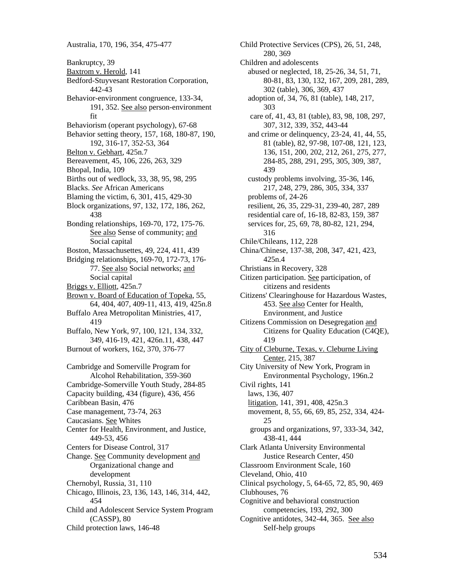Australia, 170, 196, 354, 475-477 Bankruptcy, 39 Baxtrom v. Herold, 141 Bedford-Stuyvesant Restoration Corporation, 442-43 Behavior-environment congruence, 133-34, 191, 352. See also person-environment fit Behaviorism (operant psychology), 67-68 Behavior setting theory, 157, 168, 180-87, 190, 192, 316-17, 352-53, 364 Belton v. Gebhart, 425n.7 Bereavement, 45, 106, 226, 263, 329 Bhopal, India, 109 Births out of wedlock, 33, 38, 95, 98, 295 Blacks. *See* African Americans Blaming the victim, 6, 301, 415, 429-30 Block organizations, 97, 132, 172, 186, 262, 438 Bonding relationships, 169-70, 172, 175-76. See also Sense of community; and Social capital Boston, Massachusettes, 49, 224, 411, 439 Bridging relationships, 169-70, 172-73, 176- 77. See also Social networks; and Social capital Briggs v. Elliott, 425n.7 Brown v. Board of Education of Topeka, 55, 64, 404, 407, 409-11, 413, 419, 425n.8 Buffalo Area Metropolitan Ministries, 417, 419 Buffalo, New York, 97, 100, 121, 134, 332, 349, 416-19, 421, 426n.11, 438, 447 Burnout of workers, 162, 370, 376-77 Cambridge and Somerville Program for Alcohol Rehabilitation, 359-360 Cambridge-Somerville Youth Study, 284-85 Capacity building, 434 (figure), 436, 456 Caribbean Basin, 476 Case management, 73-74, 263 Caucasians. See Whites Center for Health, Environment, and Justice, 449-53, 456 Centers for Disease Control, 317 Change. See Community development and Organizational change and development Chernobyl, Russia, 31, 110 Chicago, Illinois, 23, 136, 143, 146, 314, 442, 454 Child and Adolescent Service System Program (CASSP), 80 Child protection laws, 146-48

Child Protective Services (CPS), 26, 51, 248, 280, 369 Children and adolescents abused or neglected, 18, 25-26, 34, 51, 71, 80-81, 83, 130, 132, 167, 209, 281, 289, 302 (table), 306, 369, 437 adoption of, 34, 76, 81 (table), 148, 217, 303 care of, 41, 43, 81 (table), 83, 98, 108, 297, 307, 312, 339, 352, 443-44 and crime or delinquency, 23-24, 41, 44, 55, 81 (table), 82, 97-98, 107-08, 121, 123, 136, 151, 200, 202, 212, 261, 275, 277, 284-85, 288, 291, 295, 305, 309, 387, 439 custody problems involving, 35-36, 146, 217, 248, 279, 286, 305, 334, 337 problems of, 24-26 resilient, 26, 35, 229-31, 239-40, 287, 289 residential care of, 16-18, 82-83, 159, 387 services for, 25, 69, 78, 80-82, 121, 294, 316 Chile/Chileans, 112, 228 China/Chinese, 137-38, 208, 347, 421, 423, 425n.4 Christians in Recovery, 328 Citizen participation. See participation, of citizens and residents Citizens' Clearinghouse for Hazardous Wastes, 453. See also Center for Health, Environment, and Justice Citizens Commission on Desegregation and Citizens for Quality Education (C4QE), 419 City of Cleburne, Texas, v. Cleburne Living Center, 215, 387 City University of New York, Program in Environmental Psychology, 196n.2 Civil rights, 141 laws, 136, 407 litigation, 141, 391, 408, 425n.3 movement, 8, 55, 66, 69, 85, 252, 334, 424- 25 groups and organizations, 97, 333-34, 342, 438-41, 444 Clark Atlanta University Environmental Justice Research Center, 450 Classroom Environment Scale, 160 Cleveland, Ohio, 410 Clinical psychology, 5, 64-65, 72, 85, 90, 469 Clubhouses, 76 Cognitive and behavioral construction competencies, 193, 292, 300 Cognitive antidotes, 342-44, 365. See also Self-help groups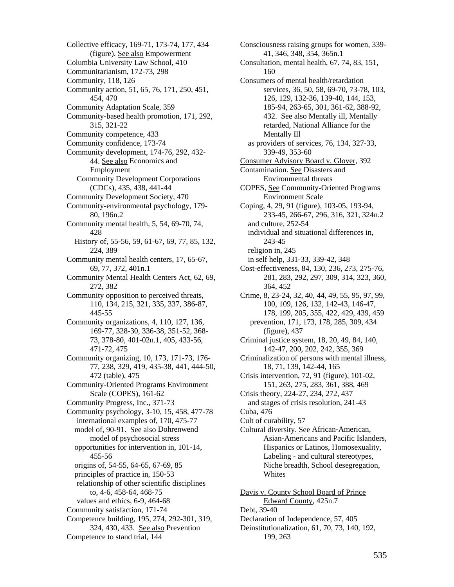Collective efficacy, 169-71, 173-74, 177, 434 (figure). See also Empowerment Columbia University Law School, 410 Communitarianism, 172-73, 298 Community, 118, 126 Community action, 51, 65, 76, 171, 250, 451, 454, 470 Community Adaptation Scale, 359 Community-based health promotion, 171, 292, 315, 321-22 Community competence, 433 Community confidence, 173-74 Community development, 174-76, 292, 432- 44. See also Economics and Employment Community Development Corporations (CDCs), 435, 438, 441-44 Community Development Society, 470 Community-environmental psychology, 179- 80, 196n.2 Community mental health, 5, 54, 69-70, 74, 428 History of, 55-56, 59, 61-67, 69, 77, 85, 132, 224, 389 Community mental health centers, 17, 65-67, 69, 77, 372, 401n.1 Community Mental Health Centers Act, 62, 69, 272, 382 Community opposition to perceived threats, 110, 134, 215, 321, 335, 337, 386-87, 445-55 Community organizations, 4, 110, 127, 136, 169-77, 328-30, 336-38, 351-52, 368- 73, 378-80, 401-02n.1, 405, 433-56, 471-72, 475 Community organizing, 10, 173, 171-73, 176- 77, 238, 329, 419, 435-38, 441, 444-50, 472 (table), 475 Community-Oriented Programs Environment Scale (COPES), 161-62 Community Progress, Inc., 371-73 Community psychology, 3-10, 15, 458, 477-78 international examples of, 170, 475-77 model of, 90-91. See also Dohrenwend model of psychosocial stress opportunities for intervention in, 101-14, 455-56 origins of, 54-55, 64-65, 67-69, 85 principles of practice in, 150-53 relationship of other scientific disciplines to, 4-6, 458-64, 468-75 values and ethics, 6-9, 464-68 Community satisfaction, 171-74 Competence building, 195, 274, 292-301, 319, 324, 430, 433. See also Prevention Competence to stand trial, 144

Consciousness raising groups for women, 339- 41, 346, 348, 354, 365n.1 Consultation, mental health, 67. 74, 83, 151, 160 Consumers of mental health/retardation services, 36, 50, 58, 69-70, 73-78, 103, 126, 129, 132-36, 139-40, 144, 153, 185-94, 263-65, 301, 361-62, 388-92, 432. See also Mentally ill, Mentally retarded, National Alliance for the Mentally Ill as providers of services, 76, 134, 327-33, 339-49, 353-60 Consumer Advisory Board v. Glover, 392 Contamination. See Disasters and Environmental threats COPES, See Community-Oriented Programs Environment Scale Coping, 4, 29, 91 (figure), 103-05, 193-94, 233-45, 266-67, 296, 316, 321, 324n.2 and culture, 252-54 individual and situational differences in, 243-45 religion in, 245 in self help, 331-33, 339-42, 348 Cost-effectiveness, 84, 130, 236, 273, 275-76, 281, 283, 292, 297, 309, 314, 323, 360, 364, 452 Crime, 8, 23-24, 32, 40, 44, 49, 55, 95, 97, 99, 100, 109, 126, 132, 142-43, 146-47, 178, 199, 205, 355, 422, 429, 439, 459 prevention, 171, 173, 178, 285, 309, 434 (figure), 437 Criminal justice system, 18, 20, 49, 84, 140, 142-47, 200, 202, 242, 355, 369 Criminalization of persons with mental illness, 18, 71, 139, 142-44, 165 Crisis intervention, 72, 91 (figure), 101-02, 151, 263, 275, 283, 361, 388, 469 Crisis theory, 224-27, 234, 272, 437 and stages of crisis resolution, 241-43 Cuba, 476 Cult of curability, 57 Cultural diversity. See African-American, Asian-Americans and Pacific Islanders, Hispanics or Latinos, Homosexuality, Labeling - and cultural stereotypes, Niche breadth, School desegregation, Whites Davis v. County School Board of Prince Edward County, 425n.7 Debt, 39-40 Declaration of Independence, 57, 405

Deinstitutionalization, 61, 70, 73, 140, 192, 199, 263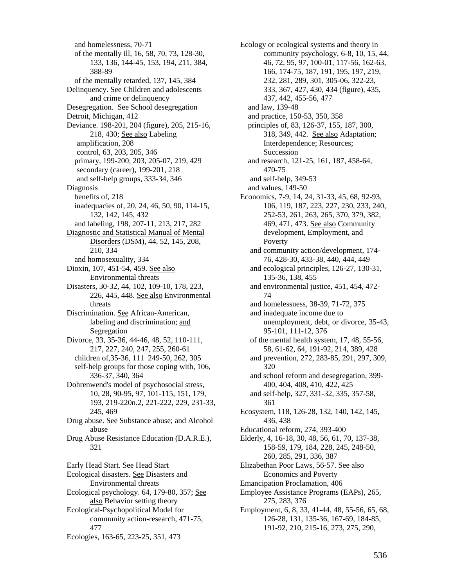and homelessness, 70-71 of the mentally ill, 16, 58, 70, 73, 128-30, 133, 136, 144-45, 153, 194, 211, 384, 388-89 of the mentally retarded, 137, 145, 384 Delinquency. See Children and adolescents and crime or delinquency Desegregation. See School desegregation Detroit, Michigan, 412 Deviance. 198-201, 204 (figure), 205, 215-16, 218, 430; See also Labeling amplification, 208 control, 63, 203, 205, 346 primary, 199-200, 203, 205-07, 219, 429 secondary (career), 199-201, 218 and self-help groups, 333-34, 346 Diagnosis benefits of, 218 inadequacies of, 20, 24, 46, 50, 90, 114-15, 132, 142, 145, 432 and labeling, 198, 207-11, 213, 217, 282 Diagnostic and Statistical Manual of Mental Disorders (DSM), 44, 52, 145, 208, 210, 334 and homosexuality, 334 Dioxin, 107, 451-54, 459. See also Environmental threats Disasters, 30-32, 44, 102, 109-10, 178, 223, 226, 445, 448. See also Environmental threats Discrimination. See African-American, labeling and discrimination; and Segregation Divorce, 33, 35-36, 44-46, 48, 52, 110-111, 217, 227, 240, 247, 255, 260-61 children of,35-36, 111 249-50, 262, 305 self-help groups for those coping with, 106, 336-37, 340, 364 Dohrenwend's model of psychosocial stress, 10, 28, 90-95, 97, 101-115, 151, 179, 193, 219-220n.2, 221-222, 229, 231-33, 245, 469 Drug abuse. See Substance abuse; and Alcohol abuse Drug Abuse Resistance Education (D.A.R.E.), 321 Early Head Start. See Head Start Ecological disasters. See Disasters and Environmental threats Ecological psychology. 64, 179-80, 357; See also Behavior setting theory Ecological-Psychopolitical Model for community action-research, 471-75, 477

Ecologies, 163-65, 223-25, 351, 473

Ecology or ecological systems and theory in community psychology, 6-8, 10, 15, 44, 46, 72, 95, 97, 100-01, 117-56, 162-63, 166, 174-75, 187, 191, 195, 197, 219, 232, 281, 289, 301, 305-06, 322-23, 333, 367, 427, 430, 434 (figure), 435, 437, 442, 455-56, 477 and law, 139-48 and practice, 150-53, 350, 358 principles of, 83, 126-37, 155, 187, 300, 318, 349, 442. See also Adaptation; Interdependence; Resources; Succession and research, 121-25, 161, 187, 458-64, 470-75 and self-help, 349-53 and values, 149-50 Economics, 7-9, 14, 24, 31-33, 45, 68, 92-93, 106, 119, 187, 223, 227, 230, 233, 240, 252-53, 261, 263, 265, 370, 379, 382, 469, 471, 473. See also Community development, Employment, and Poverty and community action/development, 174- 76, 428-30, 433-38, 440, 444, 449 and ecological principles, 126-27, 130-31, 135-36, 138, 455 and environmental justice, 451, 454, 472- 74 and homelessness, 38-39, 71-72, 375 and inadequate income due to unemployment, debt, or divorce, 35-43, 95-101, 111-12, 376 of the mental health system, 17, 48, 55-56, 58, 61-62, 64, 191-92, 214, 389, 428 and prevention, 272, 283-85, 291, 297, 309, 320 and school reform and desegregation, 399- 400, 404, 408, 410, 422, 425 and self-help, 327, 331-32, 335, 357-58, 361 Ecosystem, 118, 126-28, 132, 140, 142, 145, 436, 438 Educational reform, 274, 393-400 Elderly, 4, 16-18, 30, 48, 56, 61, 70, 137-38, 158-59, 179, 184, 228, 245, 248-50, 260, 285, 291, 336, 387 Elizabethan Poor Laws, 56-57. See also Economics and Poverty Emancipation Proclamation, 406 Employee Assistance Programs (EAPs), 265, 275, 283, 376 Employment, 6, 8, 33, 41-44, 48, 55-56, 65, 68, 126-28, 131, 135-36, 167-69, 184-85, 191-92, 210, 215-16, 273, 275, 290,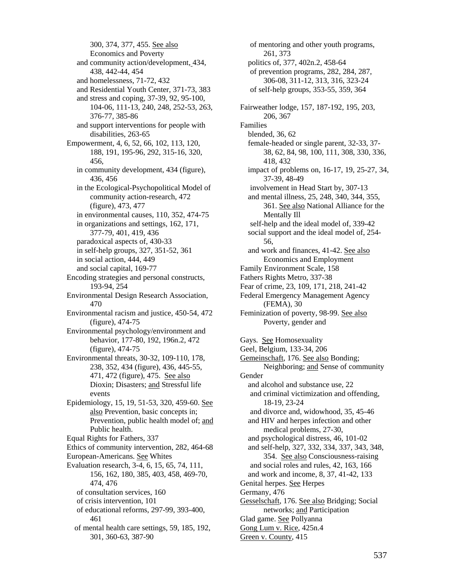300, 374, 377, 455. See also Economics and Poverty and community action/development, 434, 438, 442-44, 454 and homelessness, 71-72, 432 and Residential Youth Center, 371-73, 383 and stress and coping, 37-39, 92, 95-100, 104-06, 111-13, 240, 248, 252-53, 263, 376-77, 385-86 and support interventions for people with disabilities, 263-65 Empowerment, 4, 6, 52, 66, 102, 113, 120, 188, 191, 195-96, 292, 315-16, 320, 456, in community development, 434 (figure), 436, 456 in the Ecological-Psychopolitical Model of community action-research, 472 (figure), 473, 477 in environmental causes, 110, 352, 474-75 in organizations and settings, 162, 171, 377-79, 401, 419, 436 paradoxical aspects of, 430-33 in self-help groups, 327, 351-52, 361 in social action, 444, 449 and social capital, 169-77 Encoding strategies and personal constructs, 193-94, 254 Environmental Design Research Association, 470 Environmental racism and justice, 450-54, 472 (figure), 474-75 Environmental psychology/environment and behavior, 177-80, 192, 196n.2, 472 (figure), 474-75 Environmental threats, 30-32, 109-110, 178, 238, 352, 434 (figure), 436, 445-55, 471, 472 (figure), 475. See also Dioxin; Disasters; and Stressful life events Epidemiology, 15, 19, 51-53, 320, 459-60. See also Prevention, basic concepts in; Prevention, public health model of; and Public health. Equal Rights for Fathers, 337 Ethics of community intervention, 282, 464-68 European-Americans. See Whites Evaluation research, 3-4, 6, 15, 65, 74, 111, 156, 162, 180, 385, 403, 458, 469-70, 474, 476 of consultation services, 160 of crisis intervention, 101 of educational reforms, 297-99, 393-400, 461 of mental health care settings, 59, 185, 192, 301, 360-63, 387-90

 of mentoring and other youth programs, 261, 373 politics of, 377, 402n.2, 458-64 of prevention programs, 282, 284, 287, 306-08, 311-12, 313, 316, 323-24 of self-help groups, 353-55, 359, 364 Fairweather lodge, 157, 187-192, 195, 203, 206, 367 Families blended, 36, 62 female-headed or single parent, 32-33, 37- 38, 62, 84, 98, 100, 111, 308, 330, 336, 418, 432 impact of problems on, 16-17, 19, 25-27, 34, 37-39, 48-49 involvement in Head Start by, 307-13 and mental illness, 25, 248, 340, 344, 355, 361. See also National Alliance for the Mentally Ill self-help and the ideal model of, 339-42 social support and the ideal model of, 254- 56, and work and finances, 41-42. See also Economics and Employment Family Environment Scale, 158 Fathers Rights Metro, 337-38 Fear of crime, 23, 109, 171, 218, 241-42 Federal Emergency Management Agency (FEMA), 30 Feminization of poverty, 98-99. See also Poverty, gender and Gays. See Homosexuality Geel, Belgium, 133-34, 206 Gemeinschaft, 176. See also Bonding; Neighboring; and Sense of community Gender and alcohol and substance use, 22 and criminal victimization and offending, 18-19, 23-24 and divorce and, widowhood, 35, 45-46 and HIV and herpes infection and other medical problems, 27-30, and psychological distress, 46, 101-02 and self-help, 327, 332, 334, 337, 343, 348, 354. See also Consciousness-raising and social roles and rules, 42, 163, 166 and work and income, 8, 37, 41-42, 133 Genital herpes. See Herpes Germany, 476 Gesselschaft, 176. See also Bridging; Social networks; and Participation Glad game. See Pollyanna Gong Lum v. Rice, 425n.4 Green v. County, 415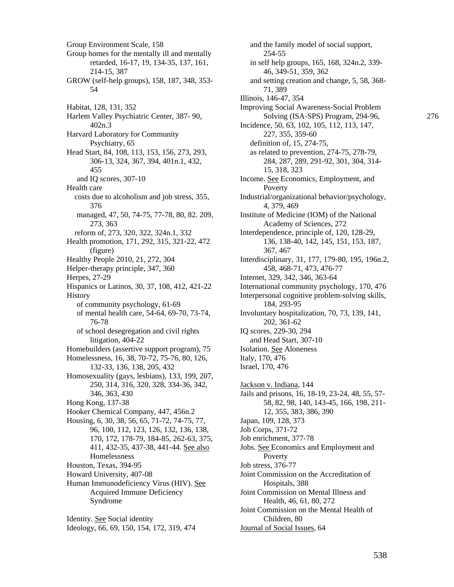Group Environment Scale, 158 Group homes for the mentally ill and mentally retarded, 16-17, 19, 134-35, 137, 161, 214-15, 387 GROW (self-help groups), 158, 187, 348, 353- 54 Habitat, 128, 131, 352 Harlem Valley Psychiatric Center, 387- 90, 402n.3 Harvard Laboratory for Community Psychiatry, 65 Head Start, 84, 108, 113, 153, 156, 273, 293, 306-13, 324, 367, 394, 401n.1, 432, 455 and IQ scores, 307-10 Health care costs due to alcoholism and job stress, 355, 376 managed, 47, 50, 74-75, 77-78, 80, 82. 209, 273, 363 reform of, 273, 320, 322, 324n.1, 332 Health promotion, 171, 292, 315, 321-22, 472 (figure) Healthy People 2010, 21, 272, 304 Helper-therapy principle, 347, 360 Herpes, 27-29 Hispanics or Latinos, 30, 37, 108, 412, 421-22 **History**  of community psychology, 61-69 of mental health care, 54-64, 69-70, 73-74, 76-78 of school desegregation and civil rights litigation, 404-22 Homebuilders (assertive support program), 75 Homelessness, 16, 38, 70-72, 75-76, 80, 126, 132-33, 136, 138, 205, 432 Homosexuality (gays, lesbians), 133, 199, 207, 250, 314, 316, 320, 328, 334-36, 342, 346, 363, 430 Hong Kong, 137-38 Hooker Chemical Company, 447, 456n.2 Housing, 6, 30, 38, 56, 65, 71-72, 74-75, 77, 96, 100, 112, 123, 126, 132, 136, 138, 170, 172, 178-79, 184-85, 262-63, 375, 411, 432-35, 437-38, 441-44. See also Homelessness Houston, Texas, 394-95 Howard University, 407-08 Human Immunodeficiency Virus (HIV). See Acquired Immune Deficiency Syndrome

Identity. See Social identity Ideology, 66, 69, 150, 154, 172, 319, 474

 and the family model of social support, 254-55 in self help groups, 165, 168, 324n.2, 339- 46, 349-51, 359, 362 and setting creation and change, 5, 58, 368- 71, 389 Illinois, 146-47, 354 Improving Social Awareness-Social Problem Solving (ISA-SPS) Program, 294-96, 276 Incidence, 50, 63, 102, 105, 112, 113, 147, 227, 355, 359-60 definition of, 15, 274-75, as related to prevention, 274-75, 278-79, 284, 287, 289, 291-92, 301, 304, 314- 15, 318, 323 Income. See Economics, Employment, and Poverty Industrial/organizational behavior/psychology, 4, 379, 469 Institute of Medicine (IOM) of the National Academy of Sciences, 272 Interdependence, principle of, 120, 128-29, 136, 138-40, 142, 145, 151, 153, 187, 367, 467 Interdisciplinary, 31, 177, 179-80, 195, 196n.2, 458, 468-71, 473, 476-77 Internet, 329, 342, 346, 363-64 International community psychology, 170, 476 Interpersonal cognitive problem-solving skills, 184, 293-95 Involuntary hospitalization, 70, 73, 139, 141, 202, 361-62 IQ scores, 229-30, 294 and Head Start, 307-10 Isolation. See Aloneness Italy, 170, 476 Israel, 170, 476 Jackson v. Indiana, 144 Jails and prisons, 16, 18-19, 23-24, 48, 55, 57- 58, 82, 98, 140, 143-45, 166, 198, 211- 12, 355, 383, 386, 390 Japan, 109, 128, 373 Job Corps, 371-72 Job enrichment, 377-78 Jobs. See Economics and Employment and Poverty Job stress, 376-77 Joint Commission on the Accreditation of Hospitals, 388 Joint Commission on Mental Illness and Health, 46, 61, 80, 272

Joint Commission on the Mental Health of Children, 80

Journal of Social Issues, 64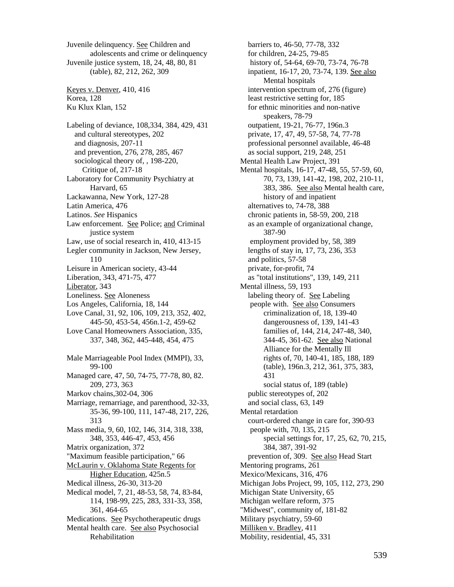Juvenile delinquency. See Children and adolescents and crime or delinquency Juvenile justice system, 18, 24, 48, 80, 81 (table), 82, 212, 262, 309 Keyes v. Denver, 410, 416 Korea, 128 Ku Klux Klan, 152 Labeling of deviance, 108,334, 384, 429, 431 and cultural stereotypes, 202 and diagnosis, 207-11 and prevention, 276, 278, 285, 467 sociological theory of, , 198-220, Critique of, 217-18 Laboratory for Community Psychiatry at Harvard, 65 Lackawanna, New York, 127-28 Latin America, 476 Latinos. *See* Hispanics Law enforcement. See Police; and Criminal justice system Law, use of social research in, 410, 413-15 Legler community in Jackson, New Jersey, 110 Leisure in American society, 43-44 Liberation, 343, 471-75, 477 Liberator, 343 Loneliness. See Aloneness Los Angeles, California, 18, 144 Love Canal, 31, 92, 106, 109, 213, 352, 402, 445-50, 453-54, 456n.1-2, 459-62 Love Canal Homeowners Association, 335, 337, 348, 362, 445-448, 454, 475 Male Marriageable Pool Index (MMPI), 33, 99-100 Managed care, 47, 50, 74-75, 77-78, 80, 82. 209, 273, 363 Markov chains,302-04, 306 Marriage, remarriage, and parenthood, 32-33, 35-36, 99-100, 111, 147-48, 217, 226, 313 Mass media, 9, 60, 102, 146, 314, 318, 338, 348, 353, 446-47, 453, 456 Matrix organization, 372 "Maximum feasible participation," 66 McLaurin v. Oklahoma State Regents for Higher Education, 425n.5 Medical illness, 26-30, 313-20 Medical model, 7, 21, 48-53, 58, 74, 83-84, 114, 198-99, 225, 283, 331-33, 358, 361, 464-65 Medications. See Psychotherapeutic drugs Mental health care. See also Psychosocial Rehabilitation

 barriers to, 46-50, 77-78, 332 for children, 24-25, 79-85 history of, 54-64, 69-70, 73-74, 76-78 inpatient, 16-17, 20, 73-74, 139. See also Mental hospitals intervention spectrum of, 276 (figure) least restrictive setting for, 185 for ethnic minorities and non-native speakers, 78-79 outpatient, 19-21, 76-77, 196n.3 private, 17, 47, 49, 57-58, 74, 77-78 professional personnel available, 46-48 as social support, 219, 248, 251 Mental Health Law Project, 391 Mental hospitals, 16-17, 47-48, 55, 57-59, 60, 70, 73, 139, 141-42, 198, 202, 210-11, 383, 386. See also Mental health care, history of and inpatient alternatives to, 74-78, 388 chronic patients in, 58-59, 200, 218 as an example of organizational change, 387-90 employment provided by, 58, 389 lengths of stay in, 17, 73, 236, 353 and politics, 57-58 private, for-profit, 74 as "total institutions", 139, 149, 211 Mental illness, 59, 193 labeling theory of. See Labeling people with. See also Consumers criminalization of, 18, 139-40 dangerousness of, 139, 141-43 families of, 144, 214, 247-48, 340, 344-45, 361-62. See also National Alliance for the Mentally Ill rights of, 70, 140-41, 185, 188, 189 (table), 196n.3, 212, 361, 375, 383, 431 social status of, 189 (table) public stereotypes of, 202 and social class, 63, 149 Mental retardation court-ordered change in care for, 390-93 people with, 70, 135, 215 special settings for, 17, 25, 62, 70, 215, 384, 387, 391-92 prevention of, 309. See also Head Start Mentoring programs, 261 Mexico/Mexicans, 316, 476 Michigan Jobs Project, 99, 105, 112, 273, 290 Michigan State University, 65 Michigan welfare reform, 375 "Midwest", community of, 181-82 Military psychiatry, 59-60 Milliken v. Bradley, 411 Mobility, residential, 45, 331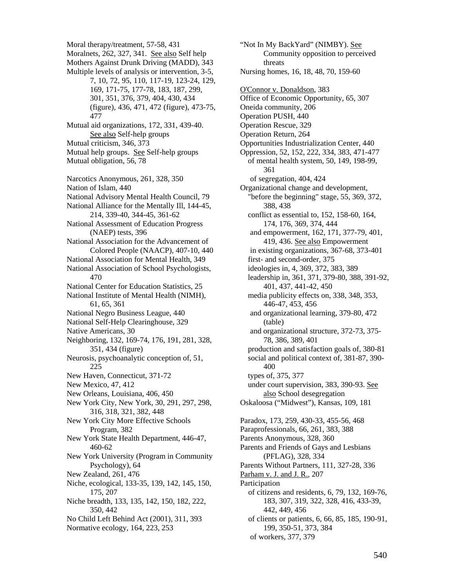Moralnets, 262, 327, 341. See also Self help Mothers Against Drunk Driving (MADD), 343 Multiple levels of analysis or intervention, 3-5, 7, 10, 72, 95, 110, 117-19, 123-24, 129, 169, 171-75, 177-78, 183, 187, 299, 301, 351, 376, 379, 404, 430, 434 (figure), 436, 471, 472 (figure), 473-75, 477 Mutual aid organizations, 172, 331, 439-40. See also Self-help groups Mutual criticism, 346, 373 Mutual help groups. See Self-help groups Mutual obligation, 56, 78 Narcotics Anonymous, 261, 328, 350 Nation of Islam, 440 National Advisory Mental Health Council, 79 National Alliance for the Mentally Ill, 144-45, 214, 339-40, 344-45, 361-62 National Assessment of Education Progress (NAEP) tests, 396 National Association for the Advancement of Colored People (NAACP), 407-10, 440 National Association for Mental Health, 349 National Association of School Psychologists, 470 National Center for Education Statistics, 25 National Institute of Mental Health (NIMH), 61, 65, 361 National Negro Business League, 440 National Self-Help Clearinghouse, 329 Native Americans, 30 Neighboring, 132, 169-74, 176, 191, 281, 328, 351, 434 (figure) Neurosis, psychoanalytic conception of, 51, 225 New Haven, Connecticut, 371-72 New Mexico, 47, 412 New Orleans, Louisiana, 406, 450 New York City, New York, 30, 291, 297, 298, 316, 318, 321, 382, 448 New York City More Effective Schools Program, 382 New York State Health Department, 446-47, 460-62 New York University (Program in Community Psychology), 64 New Zealand, 261, 476 Niche, ecological, 133-35, 139, 142, 145, 150, 175, 207 Niche breadth, 133, 135, 142, 150, 182, 222, 350, 442 No Child Left Behind Act (2001), 311, 393 Normative ecology, 164, 223, 253

Moral therapy/treatment, 57-58, 431

"Not In My BackYard" (NIMBY). See Community opposition to perceived threats Nursing homes, 16, 18, 48, 70, 159-60 O'Connor v. Donaldson, 383 Office of Economic Opportunity, 65, 307 Oneida community, 206 Operation PUSH, 440 Operation Rescue, 329 Operation Return, 264 Opportunities Industrialization Center, 440 Oppression, 52, 152, 222, 334, 383, 471-477 of mental health system, 50, 149, 198-99, 361 of segregation, 404, 424 Organizational change and development, "before the beginning" stage, 55, 369, 372, 388, 438 conflict as essential to, 152, 158-60, 164, 174, 176, 369, 374, 444 and empowerment, 162, 171, 377-79, 401, 419, 436. See also Empowerment in existing organizations, 367-68, 373-401 first- and second-order, 375 ideologies in, 4, 369, 372, 383, 389 leadership in, 361, 371, 379-80, 388, 391-92, 401, 437, 441-42, 450 media publicity effects on, 338, 348, 353, 446-47, 453, 456 and organizational learning, 379-80, 472 (table) and organizational structure, 372-73, 375- 78, 386, 389, 401 production and satisfaction goals of, 380-81 social and political context of, 381-87, 390- 400 types of, 375, 377 under court supervision, 383, 390-93. See also School desegregation Oskaloosa ("Midwest"), Kansas, 109, 181 Paradox, 173, 259, 430-33, 455-56, 468 Paraprofessionals, 66, 261, 383, 388 Parents Anonymous, 328, 360 Parents and Friends of Gays and Lesbians (PFLAG), 328, 334 Parents Without Partners, 111, 327-28, 336 Parham v. J. and J. R., 207 **Participation**  of citizens and residents, 6, 79, 132, 169-76, 183, 307, 319, 322, 328, 416, 433-39, 442, 449, 456 of clients or patients, 6, 66, 85, 185, 190-91, 199, 350-51, 373, 384 of workers, 377, 379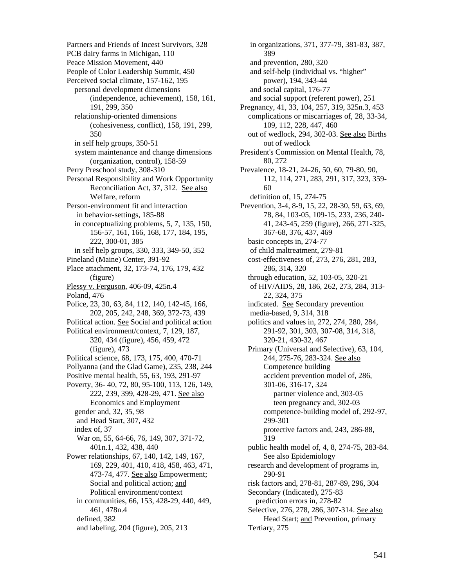Partners and Friends of Incest Survivors, 328 PCB dairy farms in Michigan, 110 Peace Mission Movement, 440 People of Color Leadership Summit, 450 Perceived social climate, 157-162, 195 personal development dimensions (independence, achievement), 158, 161, 191, 299, 350 relationship-oriented dimensions (cohesiveness, conflict), 158, 191, 299, 350 in self help groups, 350-51 system maintenance and change dimensions (organization, control), 158-59 Perry Preschool study, 308-310 Personal Responsibility and Work Opportunity Reconciliation Act, 37, 312. See also Welfare, reform Person-environment fit and interaction in behavior-settings, 185-88 in conceptualizing problems, 5, 7, 135, 150, 156-57, 161, 166, 168, 177, 184, 195, 222, 300-01, 385 in self help groups, 330, 333, 349-50, 352 Pineland (Maine) Center, 391-92 Place attachment, 32, 173-74, 176, 179, 432 (figure) Plessy v. Ferguson, 406-09, 425n.4 Poland, 476 Police, 23, 30, 63, 84, 112, 140, 142-45, 166, 202, 205, 242, 248, 369, 372-73, 439 Political action. See Social and political action Political environment/context, 7, 129, 187, 320, 434 (figure), 456, 459, 472 (figure), 473 Political science, 68, 173, 175, 400, 470-71 Pollyanna (and the Glad Game), 235, 238, 244 Positive mental health, 55, 63, 193, 291-97 Poverty, 36- 40, 72, 80, 95-100, 113, 126, 149, 222, 239, 399, 428-29, 471. See also Economics and Employment gender and, 32, 35, 98 and Head Start, 307, 432 index of, 37 War on, 55, 64-66, 76, 149, 307, 371-72, 401n.1, 432, 438, 440 Power relationships, 67, 140, 142, 149, 167, 169, 229, 401, 410, 418, 458, 463, 471, 473-74, 477. See also Empowerment; Social and political action; and Political environment/context in communities, 66, 153, 428-29, 440, 449, 461, 478n.4 defined, 382 and labeling, 204 (figure), 205, 213

 in organizations, 371, 377-79, 381-83, 387, 389 and prevention, 280, 320 and self-help (individual vs. "higher" power), 194, 343-44 and social capital, 176-77 and social support (referent power), 251 Pregnancy, 41, 33, 104, 257, 319, 325n.3, 453 complications or miscarriages of, 28, 33-34, 109, 112, 228, 447, 460 out of wedlock, 294, 302-03. See also Births out of wedlock President's Commission on Mental Health, 78, 80, 272 Prevalence, 18-21, 24-26, 50, 60, 79-80, 90, 112, 114, 271, 283, 291, 317, 323, 359- 60 definition of, 15, 274-75 Prevention, 3-4, 8-9, 15, 22, 28-30, 59, 63, 69, 78, 84, 103-05, 109-15, 233, 236, 240- 41, 243-45, 259 (figure), 266, 271-325, 367-68, 376, 437, 469 basic concepts in, 274-77 of child maltreatment, 279-81 cost-effectiveness of, 273, 276, 281, 283, 286, 314, 320 through education, 52, 103-05, 320-21 of HIV/AIDS, 28, 186, 262, 273, 284, 313- 22, 324, 375 indicated. See Secondary prevention media-based, 9, 314, 318 politics and values in, 272, 274, 280, 284, 291-92, 301, 303, 307-08, 314, 318, 320-21, 430-32, 467 Primary (Universal and Selective), 63, 104, 244, 275-76, 283-324. See also Competence building accident prevention model of, 286, 301-06, 316-17, 324 partner violence and, 303-05 teen pregnancy and, 302-03 competence-building model of, 292-97, 299-301 protective factors and, 243, 286-88, 319 public health model of, 4, 8, 274-75, 283-84. See also Epidemiology research and development of programs in, 290-91 risk factors and, 278-81, 287-89, 296, 304 Secondary (Indicated), 275-83 prediction errors in, 278-82 Selective, 276, 278, 286, 307-314. See also Head Start; and Prevention, primary Tertiary, 275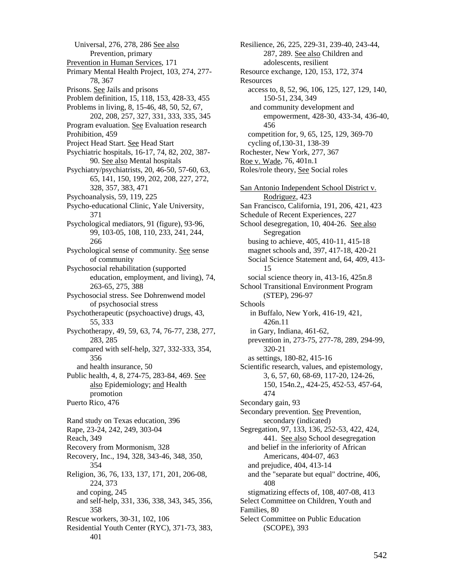Universal, 276, 278, 286 See also Prevention, primary Prevention in Human Services, 171 Primary Mental Health Project, 103, 274, 277- 78, 367 Prisons. See Jails and prisons Problem definition, 15, 118, 153, 428-33, 455 Problems in living, 8, 15-46, 48, 50, 52, 67, 202, 208, 257, 327, 331, 333, 335, 345 Program evaluation. See Evaluation research Prohibition, 459 Project Head Start. See Head Start Psychiatric hospitals, 16-17, 74, 82, 202, 387- 90. See also Mental hospitals Psychiatry/psychiatrists, 20, 46-50, 57-60, 63, 65, 141, 150, 199, 202, 208, 227, 272, 328, 357, 383, 471 Psychoanalysis, 59, 119, 225 Psycho-educational Clinic, Yale University, 371 Psychological mediators, 91 (figure), 93-96, 99, 103-05, 108, 110, 233, 241, 244, 266 Psychological sense of community. See sense of community Psychosocial rehabilitation (supported education, employment, and living), 74, 263-65, 275, 388 Psychosocial stress. See Dohrenwend model of psychosocial stress Psychotherapeutic (psychoactive) drugs, 43, 55, 333 Psychotherapy, 49, 59, 63, 74, 76-77, 238, 277, 283, 285 compared with self-help, 327, 332-333, 354, 356 and health insurance, 50 Public health, 4, 8, 274-75, 283-84, 469. See also Epidemiology; and Health promotion Puerto Rico, 476 Rand study on Texas education, 396 Rape, 23-24, 242, 249, 303-04 Reach, 349 Recovery from Mormonism, 328 Recovery, Inc., 194, 328, 343-46, 348, 350, 354 Religion, 36, 76, 133, 137, 171, 201, 206-08, 224, 373 and coping, 245 and self-help, 331, 336, 338, 343, 345, 356, 358 Rescue workers, 30-31, 102, 106 Residential Youth Center (RYC), 371-73, 383, 401

Resilience, 26, 225, 229-31, 239-40, 243-44, 287, 289. See also Children and adolescents, resilient Resource exchange, 120, 153, 172, 374 Resources access to, 8, 52, 96, 106, 125, 127, 129, 140, 150-51, 234, 349 and community development and empowerment, 428-30, 433-34, 436-40, 456 competition for, 9, 65, 125, 129, 369-70 cycling of,130-31, 138-39 Rochester, New York, 277, 367 Roe v. Wade, 76, 401n.1 Roles/role theory, See Social roles San Antonio Independent School District v. Rodriguez, 423 San Francisco, California, 191, 206, 421, 423 Schedule of Recent Experiences, 227 School desegregation, 10, 404-26. See also Segregation busing to achieve, 405, 410-11, 415-18 magnet schools and, 397, 417-18, 420-21 Social Science Statement and, 64, 409, 413- 15 social science theory in, 413-16, 425n.8 School Transitional Environment Program (STEP), 296-97 Schools in Buffalo, New York, 416-19, 421, 426n.11 in Gary, Indiana, 461-62, prevention in, 273-75, 277-78, 289, 294-99, 320-21 as settings, 180-82, 415-16 Scientific research, values, and epistemology, 3, 6, 57, 60, 68-69, 117-20, 124-26, 150, 154n.2,, 424-25, 452-53, 457-64, 474 Secondary gain, 93 Secondary prevention. See Prevention, secondary (indicated) Segregation, 97, 133, 136, 252-53, 422, 424, 441. See also School desegregation and belief in the inferiority of African Americans, 404-07, 463 and prejudice, 404, 413-14 and the "separate but equal" doctrine, 406, 408 stigmatizing effects of, 108, 407-08, 413 Select Committee on Children, Youth and Families, 80 Select Committee on Public Education (SCOPE), 393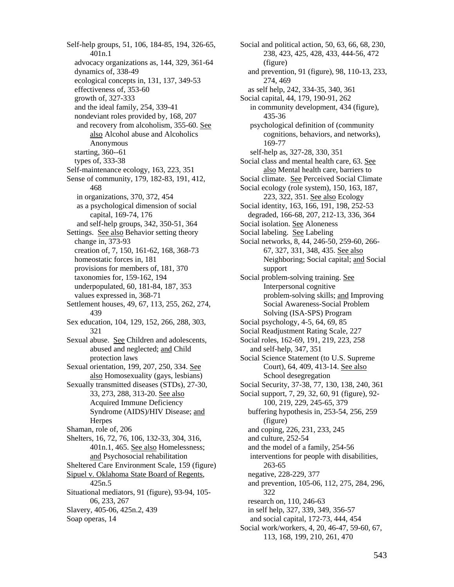Self-help groups, 51, 106, 184-85, 194, 326-65, 401n.1 advocacy organizations as, 144, 329, 361-64 dynamics of, 338-49 ecological concepts in, 131, 137, 349-53 effectiveness of, 353-60 growth of, 327-333 and the ideal family, 254, 339-41 nondeviant roles provided by, 168, 207 and recovery from alcoholism, 355-60. See also Alcohol abuse and Alcoholics Anonymous starting, 360--61 types of, 333-38 Self-maintenance ecology, 163, 223, 351 Sense of community, 179, 182-83, 191, 412, 468 in organizations, 370, 372, 454 as a psychological dimension of social capital, 169-74, 176 and self-help groups, 342, 350-51, 364 Settings. See also Behavior setting theory change in, 373-93 creation of, 7, 150, 161-62, 168, 368-73 homeostatic forces in, 181 provisions for members of, 181, 370 taxonomies for, 159-162, 194 underpopulated, 60, 181-84, 187, 353 values expressed in, 368-71 Settlement houses, 49, 67, 113, 255, 262, 274, 439 Sex education, 104, 129, 152, 266, 288, 303, 321 Sexual abuse. See Children and adolescents, abused and neglected; and Child protection laws Sexual orientation, 199, 207, 250, 334. See also Homosexuality (gays, lesbians) Sexually transmitted diseases (STDs), 27-30, 33, 273, 288, 313-20. See also Acquired Immune Deficiency Syndrome (AIDS)/HIV Disease; and Herpes Shaman, role of, 206 Shelters, 16, 72, 76, 106, 132-33, 304, 316, 401n.1, 465. See also Homelessness; and Psychosocial rehabilitation Sheltered Care Environment Scale, 159 (figure) Sipuel v. Oklahoma State Board of Regents, 425n.5 Situational mediators, 91 (figure), 93-94, 105- 06, 233, 267 Slavery, 405-06, 425n.2, 439 Soap operas, 14

Social and political action, 50, 63, 66, 68, 230, 238, 423, 425, 428, 433, 444-56, 472 (figure) and prevention, 91 (figure), 98, 110-13, 233, 274, 469 as self help, 242, 334-35, 340, 361 Social capital, 44, 179, 190-91, 262 in community development, 434 (figure), 435-36 psychological definition of (community cognitions, behaviors, and networks), 169-77 self-help as, 327-28, 330, 351 Social class and mental health care, 63. See also Mental health care, barriers to Social climate. See Perceived Social Climate Social ecology (role system), 150, 163, 187, 223, 322, 351. See also Ecology Social identity, 163, 166, 191, 198, 252-53 degraded, 166-68, 207, 212-13, 336, 364 Social isolation. See Aloneness Social labeling. See Labeling Social networks, 8, 44, 246-50, 259-60, 266- 67, 327, 331, 348, 435. See also Neighboring; Social capital; and Social support Social problem-solving training. See Interpersonal cognitive problem-solving skills; and Improving Social Awareness-Social Problem Solving (ISA-SPS) Program Social psychology, 4-5, 64, 69, 85 Social Readjustment Rating Scale, 227 Social roles, 162-69, 191, 219, 223, 258 and self-help, 347, 351 Social Science Statement (to U.S. Supreme Court), 64, 409, 413-14. See also School desegregation Social Security, 37-38, 77, 130, 138, 240, 361 Social support, 7, 29, 32, 60, 91 (figure), 92- 100, 219, 229, 245-65, 379 buffering hypothesis in, 253-54, 256, 259 (figure) and coping, 226, 231, 233, 245 and culture, 252-54 and the model of a family, 254-56 interventions for people with disabilities, 263-65 negative, 228-229, 377 and prevention, 105-06, 112, 275, 284, 296, 322 research on, 110, 246-63 in self help, 327, 339, 349, 356-57 and social capital, 172-73, 444, 454 Social work/workers, 4, 20, 46-47, 59-60, 67, 113, 168, 199, 210, 261, 470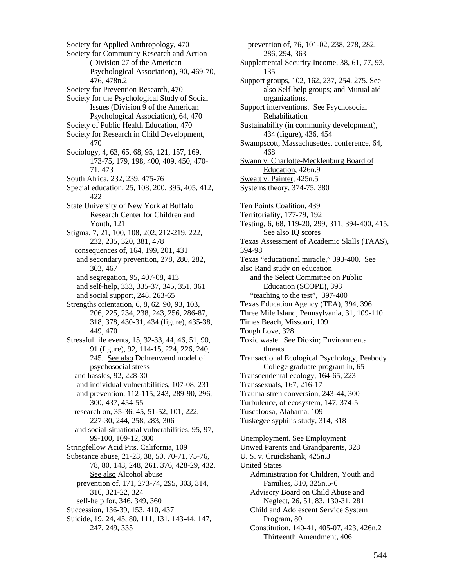Society for Applied Anthropology, 470 Society for Community Research and Action (Division 27 of the American Psychological Association), 90, 469-70, 476, 478n.2 Society for Prevention Research, 470 Society for the Psychological Study of Social Issues (Division 9 of the American Psychological Association), 64, 470 Society of Public Health Education, 470 Society for Research in Child Development, 470 Sociology, 4, 63, 65, 68, 95, 121, 157, 169, 173-75, 179, 198, 400, 409, 450, 470- 71, 473 South Africa, 232, 239, 475-76 Special education, 25, 108, 200, 395, 405, 412, 422 State University of New York at Buffalo Research Center for Children and Youth, 121 Stigma, 7, 21, 100, 108, 202, 212-219, 222, 232, 235, 320, 381, 478 consequences of, 164, 199, 201, 431 and secondary prevention, 278, 280, 282, 303, 467 and segregation, 95, 407-08, 413 and self-help, 333, 335-37, 345, 351, 361 and social support, 248, 263-65 Strengths orientation, 6, 8, 62, 90, 93, 103, 206, 225, 234, 238, 243, 256, 286-87, 318, 378, 430-31, 434 (figure), 435-38, 449, 470 Stressful life events, 15, 32-33, 44, 46, 51, 90, 91 (figure), 92, 114-15, 224, 226, 240, 245. See also Dohrenwend model of psychosocial stress and hassles, 92, 228-30 and individual vulnerabilities, 107-08, 231 and prevention, 112-115, 243, 289-90, 296, 300, 437, 454-55 research on, 35-36, 45, 51-52, 101, 222, 227-30, 244, 258, 283, 306 and social-situational vulnerabilities, 95, 97, 99-100, 109-12, 300 Stringfellow Acid Pits, California, 109 Substance abuse, 21-23, 38, 50, 70-71, 75-76, 78, 80, 143, 248, 261, 376, 428-29, 432. See also Alcohol abuse prevention of, 171, 273-74, 295, 303, 314, 316, 321-22, 324 self-help for, 346, 349, 360 Succession, 136-39, 153, 410, 437 Suicide, 19, 24, 45, 80, 111, 131, 143-44, 147, 247, 249, 335

 prevention of, 76, 101-02, 238, 278, 282, 286, 294, 363 Supplemental Security Income, 38, 61, 77, 93, 135 Support groups, 102, 162, 237, 254, 275. See also Self-help groups; and Mutual aid organizations, Support interventions. See Psychosocial Rehabilitation Sustainability (in community development), 434 (figure), 436, 454 Swampscott, Massachusettes, conference, 64, 468 Swann v. Charlotte-Mecklenburg Board of Education, 426n.9 Sweatt v. Painter, 425n.5 Systems theory, 374-75, 380 Ten Points Coalition, 439 Territoriality, 177-79, 192 Testing, 6, 68, 119-20, 299, 311, 394-400, 415. See also IQ scores Texas Assessment of Academic Skills (TAAS), 394-98 Texas "educational miracle," 393-400. See also Rand study on education and the Select Committee on Public Education (SCOPE), 393 "teaching to the test", 397-400 Texas Education Agency (TEA), 394, 396 Three Mile Island, Pennsylvania, 31, 109-110 Times Beach, Missouri, 109 Tough Love, 328 Toxic waste. See Dioxin; Environmental threats Transactional Ecological Psychology, Peabody College graduate program in, 65 Transcendental ecology, 164-65, 223 Transsexuals, 167, 216-17 Trauma-stren conversion, 243-44, 300 Turbulence, of ecosystem, 147, 374-5 Tuscaloosa, Alabama, 109 Tuskegee syphilis study, 314, 318 Unemployment. See Employment Unwed Parents and Grandparents, 328 U. S. v. Cruickshank, 425n.3 United States Administration for Children, Youth and Families, 310, 325n.5-6 Advisory Board on Child Abuse and Neglect, 26, 51, 83, 130-31, 281 Child and Adolescent Service System Program, 80 Constitution, 140-41, 405-07, 423, 426n.2 Thirteenth Amendment, 406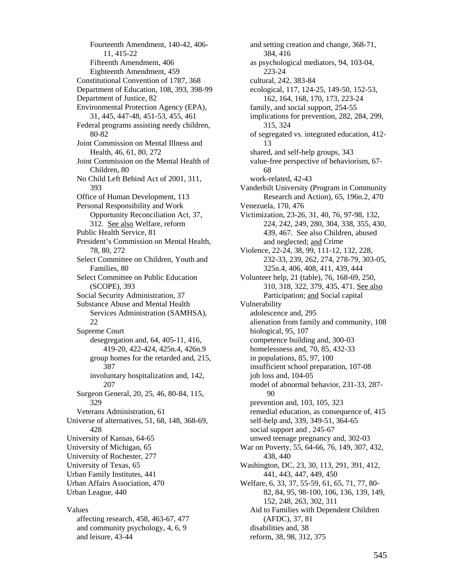Fourteenth Amendment, 140-42, 406- 11, 415-22 Fifteenth Amendment, 406 Eighteenth Amendment, 459 Constitutional Convention of 1787, 368 Department of Education, 108, 393, 398-99 Department of Justice, 82 Environmental Protection Agency (EPA), 31, 445, 447-48, 451-53, 455, 461 Federal programs assisting needy children, 80-82 Joint Commission on Mental Illness and Health, 46, 61, 80, 272 Joint Commission on the Mental Health of Children, 80 No Child Left Behind Act of 2001, 311, 393 Office of Human Development, 113 Personal Responsibility and Work Opportunity Reconciliation Act, 37, 312. See also Welfare, reform Public Health Service, 81 President's Commission on Mental Health, 78, 80, 272 Select Committee on Children, Youth and Families, 80 Select Committee on Public Education (SCOPE), 393 Social Security Administration, 37 Substance Abuse and Mental Health Services Administration (SAMHSA), 22 Supreme Court desegregation and, 64, 405-11, 416, 419-20, 422-424, 425n.4, 426n.9 group homes for the retarded and, 215, 387 involuntary hospitalization and, 142, 207 Surgeon General, 20, 25, 46, 80-84, 115, 329 Veterans Administration, 61 Universe of alternatives, 51, 68, 148, 368-69, 428 University of Kansas, 64-65 University of Michigan, 65 University of Rochester, 277 University of Texas, 65 Urban Family Institutes, 441 Urban Affairs Association, 470 Urban League, 440 Values affecting research, 458, 463-67, 477

and community psychology, 4, 6, 9

and leisure, 43-44

and setting creation and change, 368-71, 384, 416 as psychological mediators, 94, 103-04, 223-24 cultural, 242, 383-84 ecological, 117, 124-25, 149-50, 152-53, 162, 164, 168, 170, 173, 223-24 family, and social support, 254-55 implications for prevention, 282, 284, 299, 315, 324 of segregated vs. integrated education, 412- 13 shared, and self-help groups, 343 value-free perspective of behaviorism, 67- 68 work-related, 42-43 Vanderbilt University (Program in Community Research and Action), 65, 196n.2, 470 Venezuela, 170, 476 Victimization, 23-26, 31, 40, 76, 97-98, 132, 224, 242, 249, 280, 304, 338, 355, 430, 439, 467. See also Children, abused and neglected; and Crime Violence, 22-24, 38, 99, 111-12, 132, 228, 232-33, 239, 262, 274, 278-79, 303-05, 325n.4, 406, 408, 411, 439, 444 Volunteer help, 21 (table), 76, 168-69, 250, 310, 318, 322, 379, 435, 471. See also Participation; and Social capital Vulnerability adolescence and, 295 alienation from family and community, 108 biological, 95, 107 competence building and, 300-03 homelessness and, 70, 85, 432-33 in populations, 85, 97, 100 insufficient school preparation, 107-08 job loss and, 104-05 model of abnormal behavior, 231-33, 287- 90 prevention and, 103, 105, 323 remedial education, as consequence of, 415 self-help and, 339, 349-51, 364-65 social support and , 245-67 unwed teenage pregnancy and, 302-03 War on Poverty, 55, 64-66, 76, 149, 307, 432, 438, 440 Washington, DC, 23, 30, 113, 291, 391, 412, 441, 443, 447, 449, 450 Welfare, 6, 33, 37, 55-59, 61, 65, 71, 77, 80- 82, 84, 95, 98-100, 106, 136, 139, 149, 152, 248, 263, 302, 311 Aid to Families with Dependent Children (AFDC), 37, 81 disabilities and, 38 reform, 38, 98, 312, 375